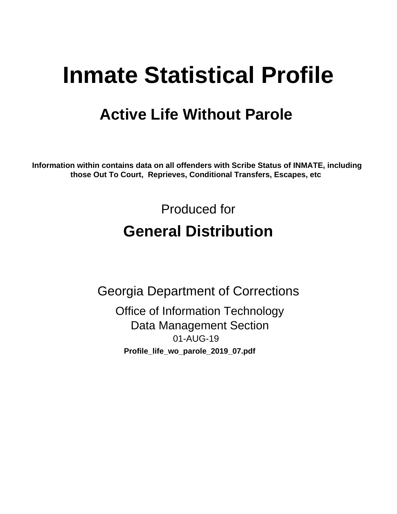# **Inmate Statistical Profile**

# **Active Life Without Parole**

Information within contains data on all offenders with Scribe Status of INMATE, including those Out To Court, Reprieves, Conditional Transfers, Escapes, etc

> Produced for **General Distribution**

**Georgia Department of Corrections Office of Information Technology Data Management Section** 01-AUG-19 Profile\_life\_wo\_parole\_2019\_07.pdf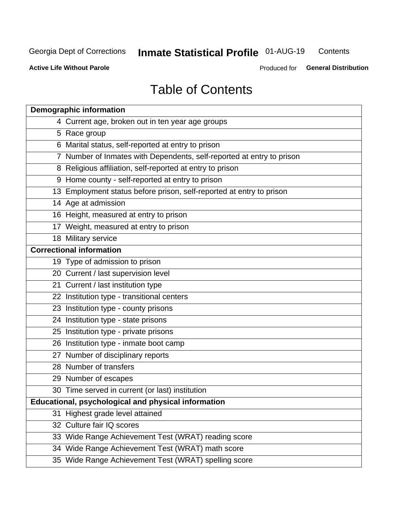#### **Inmate Statistical Profile 01-AUG-19** Contents

**Active Life Without Parole** 

Produced for General Distribution

# **Table of Contents**

|    | <b>Demographic information</b>                                        |
|----|-----------------------------------------------------------------------|
|    | 4 Current age, broken out in ten year age groups                      |
|    | 5 Race group                                                          |
|    | 6 Marital status, self-reported at entry to prison                    |
|    | 7 Number of Inmates with Dependents, self-reported at entry to prison |
|    | 8 Religious affiliation, self-reported at entry to prison             |
|    | 9 Home county - self-reported at entry to prison                      |
|    | 13 Employment status before prison, self-reported at entry to prison  |
|    | 14 Age at admission                                                   |
|    | 16 Height, measured at entry to prison                                |
|    | 17 Weight, measured at entry to prison                                |
|    | 18 Military service                                                   |
|    | <b>Correctional information</b>                                       |
|    | 19 Type of admission to prison                                        |
|    | 20 Current / last supervision level                                   |
|    | 21 Current / last institution type                                    |
|    | 22 Institution type - transitional centers                            |
|    | 23 Institution type - county prisons                                  |
|    | 24 Institution type - state prisons                                   |
|    | 25 Institution type - private prisons                                 |
|    | 26 Institution type - inmate boot camp                                |
|    | 27 Number of disciplinary reports                                     |
|    | 28 Number of transfers                                                |
|    | 29 Number of escapes                                                  |
|    | 30 Time served in current (or last) institution                       |
|    | Educational, psychological and physical information                   |
| 31 | Highest grade level attained                                          |
|    | 32 Culture fair IQ scores                                             |
|    | 33 Wide Range Achievement Test (WRAT) reading score                   |
|    | 34 Wide Range Achievement Test (WRAT) math score                      |
|    | 35 Wide Range Achievement Test (WRAT) spelling score                  |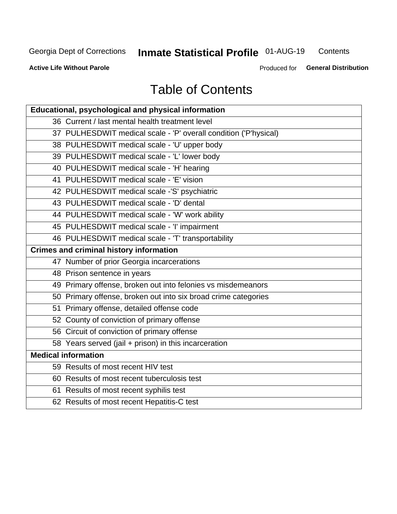#### **Inmate Statistical Profile 01-AUG-19** Contents

**Active Life Without Parole** 

Produced for General Distribution

# **Table of Contents**

| Educational, psychological and physical information              |
|------------------------------------------------------------------|
| 36 Current / last mental health treatment level                  |
| 37 PULHESDWIT medical scale - 'P' overall condition ('P'hysical) |
| 38 PULHESDWIT medical scale - 'U' upper body                     |
| 39 PULHESDWIT medical scale - 'L' lower body                     |
| 40 PULHESDWIT medical scale - 'H' hearing                        |
| 41 PULHESDWIT medical scale - 'E' vision                         |
| 42 PULHESDWIT medical scale -'S' psychiatric                     |
| 43 PULHESDWIT medical scale - 'D' dental                         |
| 44 PULHESDWIT medical scale - 'W' work ability                   |
| 45 PULHESDWIT medical scale - 'I' impairment                     |
| 46 PULHESDWIT medical scale - 'T' transportability               |
| <b>Crimes and criminal history information</b>                   |
| 47 Number of prior Georgia incarcerations                        |
| 48 Prison sentence in years                                      |
| 49 Primary offense, broken out into felonies vs misdemeanors     |
| 50 Primary offense, broken out into six broad crime categories   |
| 51 Primary offense, detailed offense code                        |
| 52 County of conviction of primary offense                       |
| 56 Circuit of conviction of primary offense                      |
| 58 Years served (jail + prison) in this incarceration            |
| <b>Medical information</b>                                       |
| 59 Results of most recent HIV test                               |
| 60 Results of most recent tuberculosis test                      |
| 61 Results of most recent syphilis test                          |
| 62 Results of most recent Hepatitis-C test                       |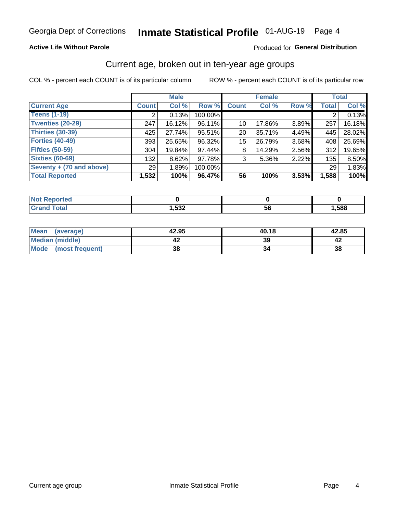#### **Active Life Without Parole**

#### Produced for General Distribution

### Current age, broken out in ten-year age groups

COL % - percent each COUNT is of its particular column

|                          | <b>Male</b>  |        |         |                 | <b>Female</b> |          |              | <b>Total</b> |
|--------------------------|--------------|--------|---------|-----------------|---------------|----------|--------------|--------------|
| <b>Current Age</b>       | <b>Count</b> | Col %  | Row %   | <b>Count</b>    | Col %         | Row %    | <b>Total</b> | Col %        |
| <b>Teens (1-19)</b>      |              | 0.13%  | 100.00% |                 |               |          |              | 0.13%        |
| <b>Twenties (20-29)</b>  | 247          | 16.12% | 96.11%  | 10 <sub>1</sub> | 17.86%        | $3.89\%$ | 257          | 16.18%       |
| Thirties (30-39)         | 425          | 27.74% | 95.51%  | 20 <sub>1</sub> | 35.71%        | 4.49%    | 445          | 28.02%       |
| <b>Forties (40-49)</b>   | 393          | 25.65% | 96.32%  | 15              | 26.79%        | 3.68%    | 408          | 25.69%       |
| <b>Fifties (50-59)</b>   | 304          | 19.84% | 97.44%  | 8               | 14.29%        | 2.56%    | 312          | 19.65%       |
| <b>Sixties (60-69)</b>   | 132          | 8.62%  | 97.78%  | 3               | $5.36\%$      | 2.22%    | 135          | 8.50%        |
| Seventy + (70 and above) | 29           | 1.89%  | 100.00% |                 |               |          | 29           | 1.83%        |
| <b>Total Reported</b>    | 1,532        | 100%   | 96.47%  | 56              | 100%          | 3.53%    | 1,588        | 100%         |

| المراجع بالنوار<br>rtea<br><b>NOT REPO</b><br>$\sim$ |               |    |      |
|------------------------------------------------------|---------------|----|------|
| $T0+0'$                                              | よつつ<br>∡ככ, י | วง | ,588 |

| <b>Mean</b><br>(average) | 42.95 | 40.18 | 42.85 |
|--------------------------|-------|-------|-------|
| Median (middle)          |       | 39    |       |
| Mode<br>(most frequent)  | 38    |       | 38    |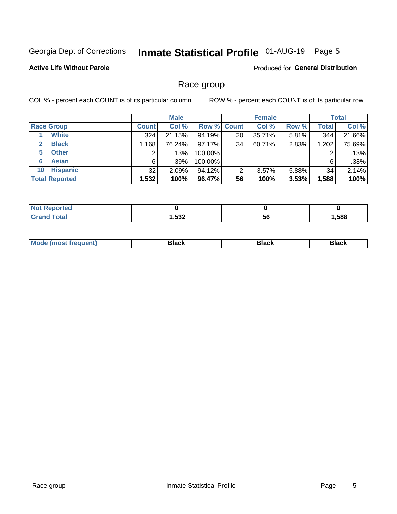# Inmate Statistical Profile 01-AUG-19 Page 5

#### **Active Life Without Parole**

Produced for General Distribution

### Race group

COL % - percent each COUNT is of its particular column

|                              | <b>Male</b>  |          |           | <b>Female</b>      |        |          | <b>Total</b> |        |
|------------------------------|--------------|----------|-----------|--------------------|--------|----------|--------------|--------|
| <b>Race Group</b>            | <b>Count</b> | Col %    |           | <b>Row % Count</b> | Col %  | Row %    | <b>Total</b> | Col %  |
| <b>White</b>                 | 324          | 21.15%   | 94.19%    | 20                 | 35.71% | 5.81%    | 344          | 21.66% |
| <b>Black</b><br>$\mathbf{2}$ | 1,168        | 76.24%   | $97.17\%$ | 34                 | 60.71% | 2.83%    | 1,202        | 75.69% |
| <b>Other</b><br>5.           |              | .13%     | 100.00%   |                    |        |          | 2            | .13%   |
| <b>Asian</b><br>6            | 6            | $.39\%$  | 100.00%   |                    |        |          | 6            | .38%   |
| <b>Hispanic</b><br>10        | 32           | $2.09\%$ | 94.12%    | 2                  | 3.57%  | $5.88\%$ | 34           | 2.14%  |
| <b>Total Reported</b>        | 1,532        | 100%     | 96.47%    | 56                 | 100%   | 3.53%    | 1,588        | 100%   |

| .<br>rer                |                       |     |      |
|-------------------------|-----------------------|-----|------|
| $f$ $f \circ f \circ f$ | <b>EOO</b><br>_∡ככ, י | -56 | ,588 |

| –•••• |  | M |  |  |  |
|-------|--|---|--|--|--|
|-------|--|---|--|--|--|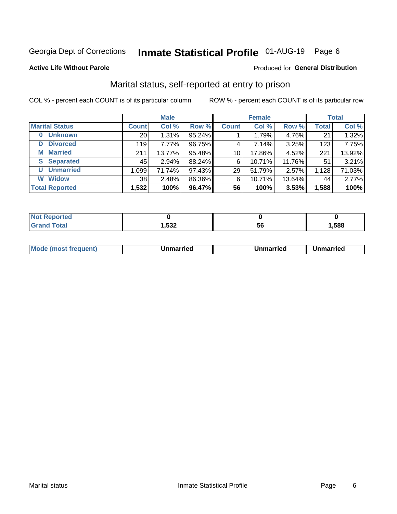# Inmate Statistical Profile 01-AUG-19 Page 6

#### **Active Life Without Parole**

#### Produced for General Distribution

### Marital status, self-reported at entry to prison

COL % - percent each COUNT is of its particular column

|                            |              | <b>Male</b> |        |                 | <b>Female</b> |        |              | <b>Total</b> |
|----------------------------|--------------|-------------|--------|-----------------|---------------|--------|--------------|--------------|
| <b>Marital Status</b>      | <b>Count</b> | Col %       | Row %  | <b>Count</b>    | Col %         | Row %  | <b>Total</b> | Col %        |
| <b>Unknown</b><br>$\bf{0}$ | 20           | 1.31%       | 95.24% |                 | 1.79%         | 4.76%  | 21           | 1.32%        |
| <b>Divorced</b><br>D       | 119          | 7.77%       | 96.75% | 4               | 7.14%         | 3.25%  | 123          | 7.75%        |
| <b>Married</b><br>М        | 211          | 13.77%      | 95.48% | 10 <sup>1</sup> | 17.86%        | 4.52%  | 221          | 13.92%       |
| <b>S</b> Separated         | 45           | $2.94\%$    | 88.24% | 6               | 10.71%        | 11.76% | 51           | 3.21%        |
| <b>Unmarried</b><br>U      | 1,099        | 71.74%      | 97.43% | 29              | 51.79%        | 2.57%  | 1,128        | 71.03%       |
| <b>Widow</b><br>W          | 38           | 2.48%       | 86.36% | 6               | 10.71%        | 13.64% | 44           | 2.77%        |
| <b>Total Reported</b>      | 1,532        | 100%        | 96.47% | 56              | 100%          | 3.53%  | 1,588        | 100%         |

| <b>Not Reported</b><br>. <b>.</b> |        |    |      |
|-----------------------------------|--------|----|------|
| <b>Total</b>                      | 532, ا | วง | ,588 |

|  | M | . | Unmarried | າmarried<br>_____ |
|--|---|---|-----------|-------------------|
|--|---|---|-----------|-------------------|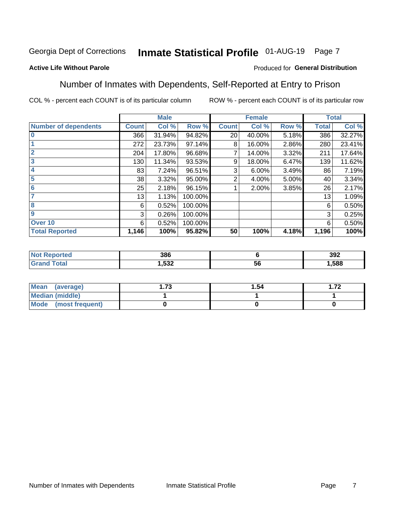#### Inmate Statistical Profile 01-AUG-19 Page 7

#### **Active Life Without Parole**

#### Produced for General Distribution

### Number of Inmates with Dependents, Self-Reported at Entry to Prison

COL % - percent each COUNT is of its particular column

|                             |              | <b>Male</b> |         |                | <b>Female</b> |       |              | <b>Total</b> |
|-----------------------------|--------------|-------------|---------|----------------|---------------|-------|--------------|--------------|
| <b>Number of dependents</b> | <b>Count</b> | Col %       | Row %   | <b>Count</b>   | Col %         | Row % | <b>Total</b> | Col %        |
| $\bf{0}$                    | 366          | 31.94%      | 94.82%  | 20             | 40.00%        | 5.18% | 386          | 32.27%       |
|                             | 272          | 23.73%      | 97.14%  | 8              | 16.00%        | 2.86% | 280          | 23.41%       |
| $\overline{2}$              | 204          | 17.80%      | 96.68%  |                | 14.00%        | 3.32% | 211          | 17.64%       |
| 3                           | 130          | 11.34%      | 93.53%  | 9              | 18.00%        | 6.47% | 139          | 11.62%       |
| 4                           | 83           | 7.24%       | 96.51%  | 3              | $6.00\%$      | 3.49% | 86           | 7.19%        |
| 5                           | 38           | 3.32%       | 95.00%  | $\overline{2}$ | 4.00%         | 5.00% | 40           | 3.34%        |
| 6                           | 25           | 2.18%       | 96.15%  |                | 2.00%         | 3.85% | 26           | 2.17%        |
| 7                           | 13           | 1.13%       | 100.00% |                |               |       | 13           | 1.09%        |
| 8                           | 6            | 0.52%       | 100.00% |                |               |       | 6            | 0.50%        |
| $\boldsymbol{9}$            | 3            | 0.26%       | 100.00% |                |               |       | 3            | 0.25%        |
| Over <sub>10</sub>          | 6            | 0.52%       | 100.00% |                |               |       | 6            | 0.50%        |
| <b>Total Reported</b>       | 1,146        | 100%        | 95.82%  | 50             | 100%          | 4.18% | 1,196        | 100%         |

| 386         |     | 392   |
|-------------|-----|-------|
| E20<br>ےככ. | -5t | 1,588 |

| <b>Mean</b><br>(average) | 72<br>I . / J | 1.54 | ר ד<br>I . <i>I 4</i> |
|--------------------------|---------------|------|-----------------------|
| <b>Median (middle)</b>   |               |      |                       |
| Mode (most frequent)     |               |      |                       |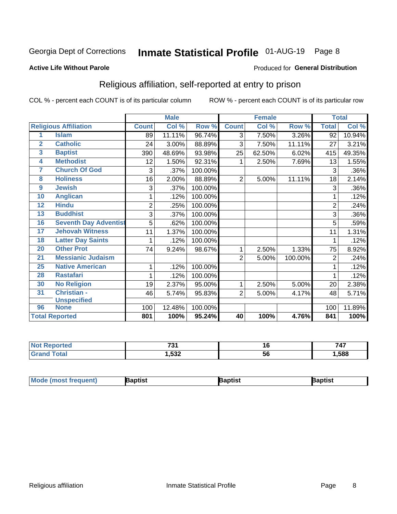# Inmate Statistical Profile 01-AUG-19 Page 8

#### **Active Life Without Parole**

#### Produced for General Distribution

### Religious affiliation, self-reported at entry to prison

COL % - percent each COUNT is of its particular column

|                |                              |                | <b>Male</b> |         |                | <b>Female</b>             |         |                | <b>Total</b> |
|----------------|------------------------------|----------------|-------------|---------|----------------|---------------------------|---------|----------------|--------------|
|                | <b>Religious Affiliation</b> | <b>Count</b>   | Col %       | Row %   | <b>Count</b>   | $\overline{\text{Col}}$ % | Row %   | <b>Total</b>   | Col %        |
| 1              | <b>Islam</b>                 | 89             | 11.11%      | 96.74%  | $\overline{3}$ | 7.50%                     | 3.26%   | 92             | 10.94%       |
| $\overline{2}$ | <b>Catholic</b>              | 24             | 3.00%       | 88.89%  | 3              | 7.50%                     | 11.11%  | 27             | 3.21%        |
| 3              | <b>Baptist</b>               | 390            | 48.69%      | 93.98%  | 25             | 62.50%                    | 6.02%   | 415            | 49.35%       |
| 4              | <b>Methodist</b>             | 12             | 1.50%       | 92.31%  | 1              | 2.50%                     | 7.69%   | 13             | 1.55%        |
| 7              | <b>Church Of God</b>         | 3              | .37%        | 100.00% |                |                           |         | 3              | .36%         |
| 8              | <b>Holiness</b>              | 16             | 2.00%       | 88.89%  | 2              | 5.00%                     | 11.11%  | 18             | 2.14%        |
| 9              | <b>Jewish</b>                | 3              | .37%        | 100.00% |                |                           |         | 3              | .36%         |
| 10             | <b>Anglican</b>              |                | .12%        | 100.00% |                |                           |         |                | .12%         |
| 12             | <b>Hindu</b>                 | $\overline{2}$ | .25%        | 100.00% |                |                           |         | $\overline{2}$ | .24%         |
| 13             | <b>Buddhist</b>              | 3              | .37%        | 100.00% |                |                           |         | 3              | .36%         |
| 16             | <b>Seventh Day Adventist</b> | 5              | .62%        | 100.00% |                |                           |         | 5              | .59%         |
| 17             | <b>Jehovah Witness</b>       | 11             | 1.37%       | 100.00% |                |                           |         | 11             | 1.31%        |
| 18             | <b>Latter Day Saints</b>     | 1              | .12%        | 100.00% |                |                           |         |                | .12%         |
| 20             | <b>Other Prot</b>            | 74             | 9.24%       | 98.67%  | 1              | 2.50%                     | 1.33%   | 75             | 8.92%        |
| 21             | <b>Messianic Judaism</b>     |                |             |         | $\overline{2}$ | 5.00%                     | 100.00% | $\overline{2}$ | .24%         |
| 25             | <b>Native American</b>       | 1              | .12%        | 100.00% |                |                           |         |                | .12%         |
| 28             | <b>Rastafari</b>             | 1              | .12%        | 100.00% |                |                           |         |                | .12%         |
| 30             | <b>No Religion</b>           | 19             | 2.37%       | 95.00%  | 1              | 2.50%                     | 5.00%   | 20             | 2.38%        |
| 31             | Christian -                  | 46             | 5.74%       | 95.83%  | 2              | 5.00%                     | 4.17%   | 48             | 5.71%        |
|                | <b>Unspecified</b>           |                |             |         |                |                           |         |                |              |
| 96             | <b>None</b>                  | 100            | 12.48%      | 100.00% |                |                           |         | 100            | 11.89%       |
|                | <b>Total Reported</b>        | 801            | 100%        | 95.24%  | 40             | 100%                      | 4.76%   | 841            | 100%         |

| τeο | $\mathbf{z}$<br>ິພ ເ | 10  | $-1-$<br>741 |
|-----|----------------------|-----|--------------|
|     | 1,532                | JL. | ,588         |

| <b>Mode (most frequent)</b> | aptist | Baptist | Baptist |
|-----------------------------|--------|---------|---------|
|-----------------------------|--------|---------|---------|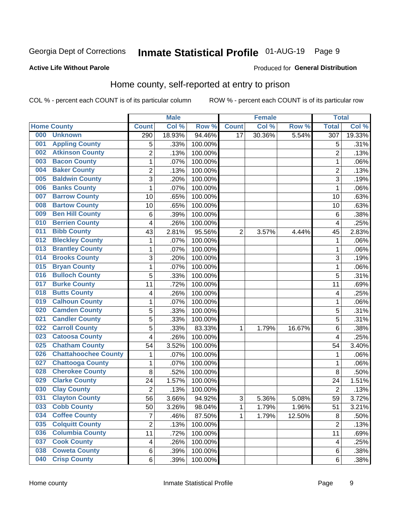# Inmate Statistical Profile 01-AUG-19 Page 9

#### **Active Life Without Parole**

#### Produced for General Distribution

### Home county, self-reported at entry to prison

COL % - percent each COUNT is of its particular column

|     |                             |                | <b>Male</b> |         |                | <b>Female</b> |        | <b>Total</b>     |        |
|-----|-----------------------------|----------------|-------------|---------|----------------|---------------|--------|------------------|--------|
|     | <b>Home County</b>          | <b>Count</b>   | Col %       | Row %   | <b>Count</b>   | Col %         | Row %  | <b>Total</b>     | Col %  |
| 000 | <b>Unknown</b>              | 290            | 18.93%      | 94.46%  | 17             | 30.36%        | 5.54%  | $\overline{307}$ | 19.33% |
| 001 | <b>Appling County</b>       | 5              | .33%        | 100.00% |                |               |        | 5                | .31%   |
| 002 | <b>Atkinson County</b>      | $\overline{2}$ | .13%        | 100.00% |                |               |        | $\overline{2}$   | .13%   |
| 003 | <b>Bacon County</b>         | $\mathbf 1$    | .07%        | 100.00% |                |               |        | 1                | .06%   |
| 004 | <b>Baker County</b>         | $\overline{2}$ | .13%        | 100.00% |                |               |        | $\overline{2}$   | .13%   |
| 005 | <b>Baldwin County</b>       | 3              | .20%        | 100.00% |                |               |        | 3                | .19%   |
| 006 | <b>Banks County</b>         | $\mathbf{1}$   | .07%        | 100.00% |                |               |        | 1                | .06%   |
| 007 | <b>Barrow County</b>        | 10             | .65%        | 100.00% |                |               |        | 10               | .63%   |
| 008 | <b>Bartow County</b>        | 10             | .65%        | 100.00% |                |               |        | 10               | .63%   |
| 009 | <b>Ben Hill County</b>      | 6              | .39%        | 100.00% |                |               |        | 6                | .38%   |
| 010 | <b>Berrien County</b>       | 4              | .26%        | 100.00% |                |               |        | $\overline{4}$   | .25%   |
| 011 | <b>Bibb County</b>          | 43             | 2.81%       | 95.56%  | $\overline{2}$ | 3.57%         | 4.44%  | 45               | 2.83%  |
| 012 | <b>Bleckley County</b>      | 1              | .07%        | 100.00% |                |               |        | 1                | .06%   |
| 013 | <b>Brantley County</b>      | $\mathbf 1$    | .07%        | 100.00% |                |               |        | 1                | .06%   |
| 014 | <b>Brooks County</b>        | 3              | .20%        | 100.00% |                |               |        | 3                | .19%   |
| 015 | <b>Bryan County</b>         | $\mathbf 1$    | .07%        | 100.00% |                |               |        | 1                | .06%   |
| 016 | <b>Bulloch County</b>       | 5              | .33%        | 100.00% |                |               |        | 5                | .31%   |
| 017 | <b>Burke County</b>         | 11             | .72%        | 100.00% |                |               |        | 11               | .69%   |
| 018 | <b>Butts County</b>         | 4              | .26%        | 100.00% |                |               |        | 4                | .25%   |
| 019 | <b>Calhoun County</b>       | $\mathbf 1$    | .07%        | 100.00% |                |               |        | 1                | .06%   |
| 020 | <b>Camden County</b>        | 5              | .33%        | 100.00% |                |               |        | 5                | .31%   |
| 021 | <b>Candler County</b>       | 5              | .33%        | 100.00% |                |               |        | 5                | .31%   |
| 022 | <b>Carroll County</b>       | 5              | .33%        | 83.33%  | 1              | 1.79%         | 16.67% | 6                | .38%   |
| 023 | <b>Catoosa County</b>       | 4              | .26%        | 100.00% |                |               |        | 4                | .25%   |
| 025 | <b>Chatham County</b>       | 54             | 3.52%       | 100.00% |                |               |        | 54               | 3.40%  |
| 026 | <b>Chattahoochee County</b> | $\mathbf 1$    | .07%        | 100.00% |                |               |        | 1                | .06%   |
| 027 | <b>Chattooga County</b>     | $\mathbf 1$    | .07%        | 100.00% |                |               |        | 1                | .06%   |
| 028 | <b>Cherokee County</b>      | 8              | .52%        | 100.00% |                |               |        | 8                | .50%   |
| 029 | <b>Clarke County</b>        | 24             | 1.57%       | 100.00% |                |               |        | 24               | 1.51%  |
| 030 | <b>Clay County</b>          | $\overline{2}$ | .13%        | 100.00% |                |               |        | $\overline{2}$   | .13%   |
| 031 | <b>Clayton County</b>       | 56             | 3.66%       | 94.92%  | 3              | 5.36%         | 5.08%  | 59               | 3.72%  |
| 033 | <b>Cobb County</b>          | 50             | 3.26%       | 98.04%  | 1              | 1.79%         | 1.96%  | 51               | 3.21%  |
| 034 | <b>Coffee County</b>        | $\overline{7}$ | .46%        | 87.50%  | 1              | 1.79%         | 12.50% | 8                | .50%   |
| 035 | <b>Colquitt County</b>      | $\overline{2}$ | .13%        | 100.00% |                |               |        | $\overline{2}$   | .13%   |
| 036 | <b>Columbia County</b>      | 11             | .72%        | 100.00% |                |               |        | 11               | .69%   |
| 037 | <b>Cook County</b>          | 4              | .26%        | 100.00% |                |               |        | 4                | .25%   |
| 038 | <b>Coweta County</b>        | 6              | .39%        | 100.00% |                |               |        | 6                | .38%   |
| 040 | <b>Crisp County</b>         | 6              | .39%        | 100.00% |                |               |        | 6                | .38%   |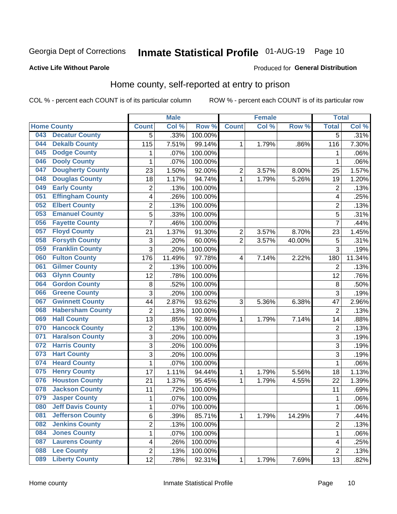# Inmate Statistical Profile 01-AUG-19 Page 10

#### **Active Life Without Parole**

#### Produced for General Distribution

### Home county, self-reported at entry to prison

COL % - percent each COUNT is of its particular column

|     |                          |                | <b>Male</b> |         |                | <b>Female</b> |        | <b>Total</b>   |        |
|-----|--------------------------|----------------|-------------|---------|----------------|---------------|--------|----------------|--------|
|     | <b>Home County</b>       | <b>Count</b>   | Col %       | Row %   | <b>Count</b>   | Col %         | Row %  | <b>Total</b>   | Col %  |
| 043 | <b>Decatur County</b>    | 5              | .33%        | 100.00% |                |               |        | 5              | .31%   |
| 044 | <b>Dekalb County</b>     | 115            | 7.51%       | 99.14%  | 1              | 1.79%         | .86%   | 116            | 7.30%  |
| 045 | <b>Dodge County</b>      | 1              | .07%        | 100.00% |                |               |        | 1              | .06%   |
| 046 | <b>Dooly County</b>      | 1              | .07%        | 100.00% |                |               |        | 1              | .06%   |
| 047 | <b>Dougherty County</b>  | 23             | 1.50%       | 92.00%  | $\overline{2}$ | 3.57%         | 8.00%  | 25             | 1.57%  |
| 048 | <b>Douglas County</b>    | 18             | 1.17%       | 94.74%  | 1              | 1.79%         | 5.26%  | 19             | 1.20%  |
| 049 | <b>Early County</b>      | $\overline{2}$ | .13%        | 100.00% |                |               |        | $\overline{2}$ | .13%   |
| 051 | <b>Effingham County</b>  | 4              | .26%        | 100.00% |                |               |        | 4              | .25%   |
| 052 | <b>Elbert County</b>     | $\overline{2}$ | .13%        | 100.00% |                |               |        | $\overline{2}$ | .13%   |
| 053 | <b>Emanuel County</b>    | 5              | .33%        | 100.00% |                |               |        | 5              | .31%   |
| 056 | <b>Fayette County</b>    | $\overline{7}$ | .46%        | 100.00% |                |               |        | $\overline{7}$ | .44%   |
| 057 | <b>Floyd County</b>      | 21             | 1.37%       | 91.30%  | $\overline{2}$ | 3.57%         | 8.70%  | 23             | 1.45%  |
| 058 | <b>Forsyth County</b>    | 3              | .20%        | 60.00%  | $\overline{2}$ | 3.57%         | 40.00% | 5              | .31%   |
| 059 | <b>Franklin County</b>   | 3              | .20%        | 100.00% |                |               |        | 3              | .19%   |
| 060 | <b>Fulton County</b>     | 176            | 11.49%      | 97.78%  | 4              | 7.14%         | 2.22%  | 180            | 11.34% |
| 061 | <b>Gilmer County</b>     | 2              | .13%        | 100.00% |                |               |        | $\overline{2}$ | .13%   |
| 063 | <b>Glynn County</b>      | 12             | .78%        | 100.00% |                |               |        | 12             | .76%   |
| 064 | <b>Gordon County</b>     | 8              | .52%        | 100.00% |                |               |        | 8              | .50%   |
| 066 | <b>Greene County</b>     | 3              | .20%        | 100.00% |                |               |        | 3              | .19%   |
| 067 | <b>Gwinnett County</b>   | 44             | 2.87%       | 93.62%  | 3              | 5.36%         | 6.38%  | 47             | 2.96%  |
| 068 | <b>Habersham County</b>  | $\overline{2}$ | .13%        | 100.00% |                |               |        | $\overline{2}$ | .13%   |
| 069 | <b>Hall County</b>       | 13             | .85%        | 92.86%  | 1              | 1.79%         | 7.14%  | 14             | .88%   |
| 070 | <b>Hancock County</b>    | $\overline{2}$ | .13%        | 100.00% |                |               |        | $\overline{2}$ | .13%   |
| 071 | <b>Haralson County</b>   | 3              | .20%        | 100.00% |                |               |        | 3              | .19%   |
| 072 | <b>Harris County</b>     | 3              | .20%        | 100.00% |                |               |        | 3              | .19%   |
| 073 | <b>Hart County</b>       | 3              | .20%        | 100.00% |                |               |        | 3              | .19%   |
| 074 | <b>Heard County</b>      | $\mathbf 1$    | .07%        | 100.00% |                |               |        | 1              | .06%   |
| 075 | <b>Henry County</b>      | 17             | 1.11%       | 94.44%  | 1              | 1.79%         | 5.56%  | 18             | 1.13%  |
| 076 | <b>Houston County</b>    | 21             | 1.37%       | 95.45%  | 1              | 1.79%         | 4.55%  | 22             | 1.39%  |
| 078 | <b>Jackson County</b>    | 11             | .72%        | 100.00% |                |               |        | 11             | .69%   |
| 079 | <b>Jasper County</b>     | 1              | .07%        | 100.00% |                |               |        | 1              | .06%   |
| 080 | <b>Jeff Davis County</b> | 1              | .07%        | 100.00% |                |               |        | 1              | .06%   |
| 081 | <b>Jefferson County</b>  | 6              | .39%        | 85.71%  | 1              | 1.79%         | 14.29% | $\overline{7}$ | .44%   |
| 082 | <b>Jenkins County</b>    | $\overline{2}$ | .13%        | 100.00% |                |               |        | $\overline{2}$ | .13%   |
| 084 | <b>Jones County</b>      | $\mathbf 1$    | .07%        | 100.00% |                |               |        | 1              | .06%   |
| 087 | <b>Laurens County</b>    | 4              | .26%        | 100.00% |                |               |        | 4              | .25%   |
| 088 | <b>Lee County</b>        | $\overline{2}$ | .13%        | 100.00% |                |               |        | $\overline{2}$ | .13%   |
| 089 | <b>Liberty County</b>    | 12             | .78%        | 92.31%  | 1              | 1.79%         | 7.69%  | 13             | .82%   |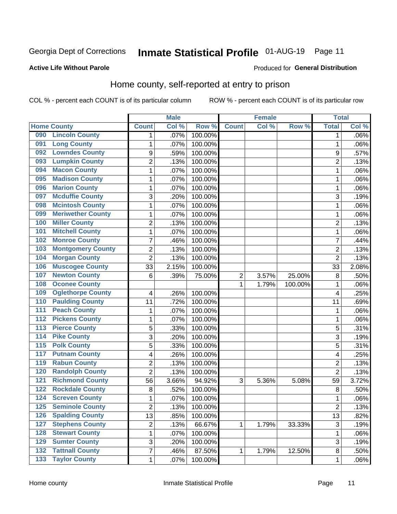# Inmate Statistical Profile 01-AUG-19 Page 11

#### **Active Life Without Parole**

#### Produced for General Distribution

### Home county, self-reported at entry to prison

COL % - percent each COUNT is of its particular column

|                  |                          |                | <b>Male</b> |         |                | <b>Female</b> |         | <b>Total</b>   |       |
|------------------|--------------------------|----------------|-------------|---------|----------------|---------------|---------|----------------|-------|
|                  | <b>Home County</b>       | <b>Count</b>   | Col %       | Row %   | <b>Count</b>   | Col %         | Row %   | <b>Total</b>   | Col % |
| 090              | <b>Lincoln County</b>    | 1              | .07%        | 100.00% |                |               |         | 1              | .06%  |
| 091              | <b>Long County</b>       | 1              | .07%        | 100.00% |                |               |         | 1              | .06%  |
| 092              | <b>Lowndes County</b>    | 9              | .59%        | 100.00% |                |               |         | 9              | .57%  |
| 093              | <b>Lumpkin County</b>    | $\overline{2}$ | .13%        | 100.00% |                |               |         | $\overline{2}$ | .13%  |
| 094              | <b>Macon County</b>      | $\mathbf 1$    | .07%        | 100.00% |                |               |         | 1              | .06%  |
| 095              | <b>Madison County</b>    | $\mathbf 1$    | .07%        | 100.00% |                |               |         | 1              | .06%  |
| 096              | <b>Marion County</b>     | $\mathbf 1$    | .07%        | 100.00% |                |               |         | 1              | .06%  |
| 097              | <b>Mcduffie County</b>   | 3              | .20%        | 100.00% |                |               |         | 3              | .19%  |
| 098              | <b>Mcintosh County</b>   | $\mathbf 1$    | .07%        | 100.00% |                |               |         | 1              | .06%  |
| 099              | <b>Meriwether County</b> | $\mathbf 1$    | .07%        | 100.00% |                |               |         | 1              | .06%  |
| 100              | <b>Miller County</b>     | $\overline{c}$ | .13%        | 100.00% |                |               |         | 2              | .13%  |
| 101              | <b>Mitchell County</b>   | 1              | .07%        | 100.00% |                |               |         | 1              | .06%  |
| 102              | <b>Monroe County</b>     | 7              | .46%        | 100.00% |                |               |         | 7              | .44%  |
| 103              | <b>Montgomery County</b> | $\overline{c}$ | .13%        | 100.00% |                |               |         | $\overline{2}$ | .13%  |
| 104              | <b>Morgan County</b>     | $\overline{2}$ | .13%        | 100.00% |                |               |         | $\overline{2}$ | .13%  |
| 106              | <b>Muscogee County</b>   | 33             | 2.15%       | 100.00% |                |               |         | 33             | 2.08% |
| 107              | <b>Newton County</b>     | 6              | .39%        | 75.00%  | $\overline{2}$ | 3.57%         | 25.00%  | 8              | .50%  |
| 108              | <b>Oconee County</b>     |                |             |         | 1              | 1.79%         | 100.00% | 1              | .06%  |
| 109              | <b>Oglethorpe County</b> | 4              | .26%        | 100.00% |                |               |         | 4              | .25%  |
| 110              | <b>Paulding County</b>   | 11             | .72%        | 100.00% |                |               |         | 11             | .69%  |
| 111              | <b>Peach County</b>      | $\mathbf 1$    | .07%        | 100.00% |                |               |         | 1              | .06%  |
| $\overline{112}$ | <b>Pickens County</b>    | $\mathbf 1$    | .07%        | 100.00% |                |               |         | 1              | .06%  |
| 113              | <b>Pierce County</b>     | 5              | .33%        | 100.00% |                |               |         | 5              | .31%  |
| 114              | <b>Pike County</b>       | 3              | .20%        | 100.00% |                |               |         | 3              | .19%  |
| $\overline{115}$ | <b>Polk County</b>       | 5              | .33%        | 100.00% |                |               |         | 5              | .31%  |
| 117              | <b>Putnam County</b>     | 4              | .26%        | 100.00% |                |               |         | 4              | .25%  |
| 119              | <b>Rabun County</b>      | $\overline{2}$ | .13%        | 100.00% |                |               |         | $\overline{2}$ | .13%  |
| 120              | <b>Randolph County</b>   | $\overline{2}$ | .13%        | 100.00% |                |               |         | $\overline{2}$ | .13%  |
| 121              | <b>Richmond County</b>   | 56             | 3.66%       | 94.92%  | 3              | 5.36%         | 5.08%   | 59             | 3.72% |
| 122              | <b>Rockdale County</b>   | 8              | .52%        | 100.00% |                |               |         | 8              | .50%  |
| 124              | <b>Screven County</b>    | $\mathbf 1$    | .07%        | 100.00% |                |               |         | 1              | .06%  |
| 125              | <b>Seminole County</b>   | 2              | .13%        | 100.00% |                |               |         | 2              | .13%  |
| 126              | <b>Spalding County</b>   | 13             | .85%        | 100.00% |                |               |         | 13             | .82%  |
| 127              | <b>Stephens County</b>   | $\overline{c}$ | .13%        | 66.67%  | 1              | 1.79%         | 33.33%  | $\mathbf{3}$   | .19%  |
| 128              | <b>Stewart County</b>    | $\mathbf{1}$   | .07%        | 100.00% |                |               |         | $\mathbf 1$    | .06%  |
| 129              | <b>Sumter County</b>     | 3              | .20%        | 100.00% |                |               |         | 3              | .19%  |
| $\overline{132}$ | <b>Tattnall County</b>   | $\overline{7}$ | .46%        | 87.50%  | 1              | 1.79%         | 12.50%  | 8              | .50%  |
| $\overline{133}$ | <b>Taylor County</b>     | $\mathbf{1}$   | .07%        | 100.00% |                |               |         | 1              | .06%  |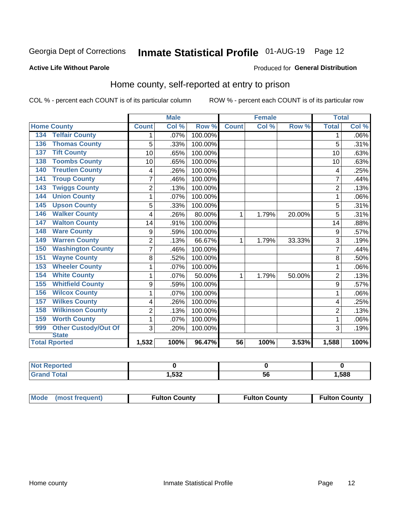# Inmate Statistical Profile 01-AUG-19 Page 12

#### **Active Life Without Parole**

#### Produced for General Distribution

### Home county, self-reported at entry to prison

COL % - percent each COUNT is of its particular column

|                                    |                | <b>Male</b> |         | <b>Female</b> |       |        | <b>Total</b>   |         |
|------------------------------------|----------------|-------------|---------|---------------|-------|--------|----------------|---------|
| <b>Home County</b>                 | <b>Count</b>   | Col%        | Row %   | <b>Count</b>  | Col % | Row %  | <b>Total</b>   | Col %   |
| <b>Telfair County</b><br>134       | 1              | .07%        | 100.00% |               |       |        | 1              | $.06\%$ |
| <b>Thomas County</b><br>136        | 5              | .33%        | 100.00% |               |       |        | 5              | .31%    |
| <b>Tift County</b><br>137          | 10             | .65%        | 100.00% |               |       |        | 10             | .63%    |
| <b>Toombs County</b><br>138        | 10             | .65%        | 100.00% |               |       |        | 10             | .63%    |
| <b>Treutlen County</b><br>140      | 4              | .26%        | 100.00% |               |       |        | 4              | .25%    |
| <b>Troup County</b><br>141         | $\overline{7}$ | .46%        | 100.00% |               |       |        | 7              | .44%    |
| <b>Twiggs County</b><br>143        | $\overline{c}$ | .13%        | 100.00% |               |       |        | $\overline{2}$ | .13%    |
| <b>Union County</b><br>144         | 1              | .07%        | 100.00% |               |       |        | 1              | .06%    |
| <b>Upson County</b><br>145         | 5              | .33%        | 100.00% |               |       |        | 5              | .31%    |
| <b>Walker County</b><br>146        | 4              | .26%        | 80.00%  | 1             | 1.79% | 20.00% | 5              | .31%    |
| <b>Walton County</b><br>147        | 14             | .91%        | 100.00% |               |       |        | 14             | .88%    |
| <b>Ware County</b><br>148          | 9              | .59%        | 100.00% |               |       |        | 9              | .57%    |
| <b>Warren County</b><br>149        | $\overline{2}$ | .13%        | 66.67%  | 1             | 1.79% | 33.33% | 3              | .19%    |
| <b>Washington County</b><br>150    | 7              | .46%        | 100.00% |               |       |        | 7              | .44%    |
| <b>Wayne County</b><br>151         | 8              | .52%        | 100.00% |               |       |        | 8              | .50%    |
| <b>Wheeler County</b><br>153       | 1              | .07%        | 100.00% |               |       |        | 1              | .06%    |
| <b>White County</b><br>154         | 1              | .07%        | 50.00%  | 1             | 1.79% | 50.00% | $\overline{2}$ | .13%    |
| <b>Whitfield County</b><br>155     | 9              | .59%        | 100.00% |               |       |        | 9              | .57%    |
| <b>Wilcox County</b><br>156        | 1              | .07%        | 100.00% |               |       |        |                | .06%    |
| <b>Wilkes County</b><br>157        | 4              | .26%        | 100.00% |               |       |        | 4              | .25%    |
| <b>Wilkinson County</b><br>158     | 2              | .13%        | 100.00% |               |       |        | $\overline{2}$ | .13%    |
| <b>Worth County</b><br>159         | 1              | .07%        | 100.00% |               |       |        | 1              | .06%    |
| <b>Other Custody/Out Of</b><br>999 | 3              | .20%        | 100.00% |               |       |        | 3              | .19%    |
| <b>State</b>                       |                |             |         |               |       |        |                |         |
| <b>Total Rported</b>               | 1,532          | 100%        | 96.47%  | 56            | 100%  | 3.53%  | 1,588          | 100%    |

| NOt<br>Reported |      |    |      |
|-----------------|------|----|------|
| `otal           | ,532 | ວບ | ,588 |

| Mode (most frequent) | <b>Fulton County</b> | <b>Fulton County</b> | <b>Fulton County</b> |
|----------------------|----------------------|----------------------|----------------------|
|----------------------|----------------------|----------------------|----------------------|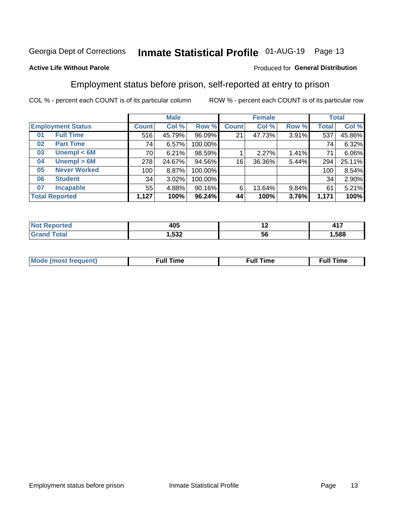# Inmate Statistical Profile 01-AUG-19 Page 13

#### **Active Life Without Parole**

#### Produced for General Distribution

### Employment status before prison, self-reported at entry to prison

COL % - percent each COUNT is of its particular column

|                           |         | <b>Male</b> |         |              | <b>Female</b> |       |       | <b>Total</b> |
|---------------------------|---------|-------------|---------|--------------|---------------|-------|-------|--------------|
| <b>Employment Status</b>  | Count l | Col %       | Row %   | <b>Count</b> | Col %         | Row % | Total | Col %        |
| <b>Full Time</b><br>01    | 516     | 45.79%      | 96.09%  | 21           | 47.73%        | 3.91% | 537   | 45.86%       |
| <b>Part Time</b><br>02    | 74      | 6.57%       | 100.00% |              |               |       | 74    | 6.32%        |
| Unempl $<$ 6M<br>03       | 70      | 6.21%       | 98.59%  |              | 2.27%         | 1.41% | 71    | 6.06%        |
| Unempl > 6M<br>04         | 278     | 24.67%      | 94.56%  | 16           | 36.36%        | 5.44% | 294   | 25.11%       |
| <b>Never Worked</b><br>05 | 100     | 8.87%       | 100.00% |              |               |       | 100   | 8.54%        |
| <b>Student</b><br>06      | 34      | 3.02%       | 100.00% |              |               |       | 34    | 2.90%        |
| <b>Incapable</b><br>07    | 55      | 4.88%       | 90.16%  | 6            | 13.64%        | 9.84% | 61    | 5.21%        |
| <b>Total Reported</b>     | 1,127   | 100%        | 96.24%  | 44           | 100%          | 3.76% | 1,171 | 100%         |

| 405<br>__ | $\overline{\phantom{0}}$ | .<br>-<br><b>TII</b> |
|-----------|--------------------------|----------------------|
| ,532      | ುರ                       | .588                 |

| Mc | ∙u∥<br>----<br>ıme | ίuΙ<br>Πmε |
|----|--------------------|------------|
|    |                    |            |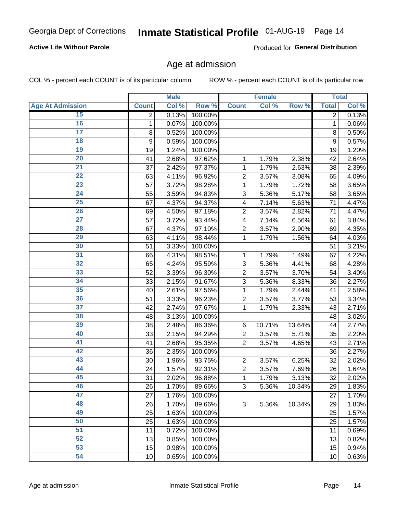#### **Active Life Without Parole**

Produced for General Distribution

### Age at admission

COL % - percent each COUNT is of its particular column

|                         |                | <b>Male</b> |         |                           | <b>Female</b> |        |              | <b>Total</b> |
|-------------------------|----------------|-------------|---------|---------------------------|---------------|--------|--------------|--------------|
| <b>Age At Admission</b> | <b>Count</b>   | Col %       | Row %   | <b>Count</b>              | Col %         | Row %  | <b>Total</b> | Col %        |
| 15                      | $\overline{2}$ | 0.13%       | 100.00% |                           |               |        | 2            | 0.13%        |
| 16                      | 1              | 0.07%       | 100.00% |                           |               |        | $\mathbf{1}$ | 0.06%        |
| $\overline{17}$         | 8              | 0.52%       | 100.00% |                           |               |        | 8            | 0.50%        |
| 18                      | 9              | 0.59%       | 100.00% |                           |               |        | 9            | 0.57%        |
| 19                      | 19             | 1.24%       | 100.00% |                           |               |        | 19           | 1.20%        |
| $\overline{20}$         | 41             | 2.68%       | 97.62%  | 1                         | 1.79%         | 2.38%  | 42           | 2.64%        |
| 21                      | 37             | 2.42%       | 97.37%  | 1                         | 1.79%         | 2.63%  | 38           | 2.39%        |
| $\overline{22}$         | 63             | 4.11%       | 96.92%  | $\overline{2}$            | 3.57%         | 3.08%  | 65           | 4.09%        |
| $\overline{23}$         | 57             | 3.72%       | 98.28%  | 1                         | 1.79%         | 1.72%  | 58           | 3.65%        |
| 24                      | 55             | 3.59%       | 94.83%  | 3                         | 5.36%         | 5.17%  | 58           | 3.65%        |
| $\overline{25}$         | 67             | 4.37%       | 94.37%  | $\overline{\mathbf{4}}$   | 7.14%         | 5.63%  | 71           | 4.47%        |
| 26                      | 69             | 4.50%       | 97.18%  | $\overline{2}$            | 3.57%         | 2.82%  | 71           | 4.47%        |
| $\overline{27}$         | 57             | 3.72%       | 93.44%  | $\overline{\mathbf{4}}$   | 7.14%         | 6.56%  | 61           | 3.84%        |
| 28                      | 67             | 4.37%       | 97.10%  | $\overline{2}$            | 3.57%         | 2.90%  | 69           | 4.35%        |
| 29                      | 63             | 4.11%       | 98.44%  | 1                         | 1.79%         | 1.56%  | 64           | 4.03%        |
| 30                      | 51             | 3.33%       | 100.00% |                           |               |        | 51           | 3.21%        |
| 31                      | 66             | 4.31%       | 98.51%  | 1                         | 1.79%         | 1.49%  | 67           | 4.22%        |
| $\overline{32}$         | 65             | 4.24%       | 95.59%  | 3                         | 5.36%         | 4.41%  | 68           | 4.28%        |
| 33                      | 52             | 3.39%       | 96.30%  | $\overline{2}$            | 3.57%         | 3.70%  | 54           | 3.40%        |
| 34                      | 33             | 2.15%       | 91.67%  | 3                         | 5.36%         | 8.33%  | 36           | 2.27%        |
| 35                      | 40             | 2.61%       | 97.56%  | 1                         | 1.79%         | 2.44%  | 41           | 2.58%        |
| 36                      | 51             | 3.33%       | 96.23%  | $\overline{c}$            | 3.57%         | 3.77%  | 53           | 3.34%        |
| $\overline{37}$         | 42             | 2.74%       | 97.67%  | 1                         | 1.79%         | 2.33%  | 43           | 2.71%        |
| 38                      | 48             | 3.13%       | 100.00% |                           |               |        | 48           | 3.02%        |
| 39                      | 38             | 2.48%       | 86.36%  | 6                         | 10.71%        | 13.64% | 44           | 2.77%        |
| 40                      | 33             | 2.15%       | 94.29%  | $\overline{c}$            | 3.57%         | 5.71%  | 35           | 2.20%        |
| 41                      | 41             | 2.68%       | 95.35%  | $\overline{2}$            | 3.57%         | 4.65%  | 43           | 2.71%        |
| 42                      | 36             | 2.35%       | 100.00% |                           |               |        | 36           | 2.27%        |
| 43                      | 30             | 1.96%       | 93.75%  | $\overline{2}$            | 3.57%         | 6.25%  | 32           | 2.02%        |
| 44                      | 24             | 1.57%       | 92.31%  | $\overline{c}$            | 3.57%         | 7.69%  | 26           | 1.64%        |
| 45                      | 31             | 2.02%       | 96.88%  | 1                         | 1.79%         | 3.13%  | 32           | 2.02%        |
| 46                      | 26             | 1.70%       | 89.66%  | $\ensuremath{\mathsf{3}}$ | 5.36%         | 10.34% | 29           | 1.83%        |
| 47                      | 27             | 1.76%       | 100.00% |                           |               |        | 27           | 1.70%        |
| 48                      | 26             | 1.70%       | 89.66%  | 3                         | 5.36%         | 10.34% | 29           | 1.83%        |
| 49                      | 25             | 1.63%       | 100.00% |                           |               |        | 25           | 1.57%        |
| 50                      | 25             | 1.63%       | 100.00% |                           |               |        | 25           | 1.57%        |
| $\overline{51}$         | 11             | 0.72%       | 100.00% |                           |               |        | 11           | 0.69%        |
| 52                      | 13             | 0.85%       | 100.00% |                           |               |        | 13           | 0.82%        |
| 53                      | 15             | 0.98%       | 100.00% |                           |               |        | 15           | 0.94%        |
| 54                      | 10             | 0.65%       | 100.00% |                           |               |        | 10           | 0.63%        |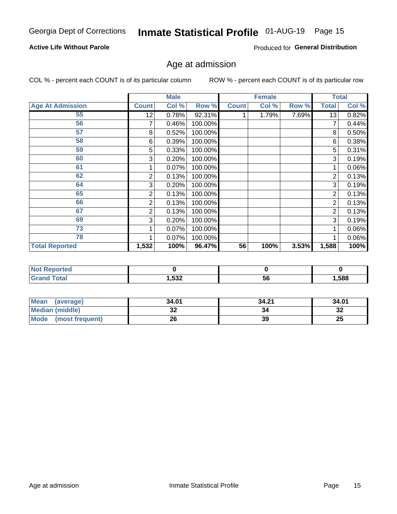#### **Active Life Without Parole**

Produced for General Distribution

# Age at admission

COL % - percent each COUNT is of its particular column

|                         |              | <b>Male</b> |         |              | <b>Female</b> |       |       | <b>Total</b> |
|-------------------------|--------------|-------------|---------|--------------|---------------|-------|-------|--------------|
| <b>Age At Admission</b> | <b>Count</b> | Col %       | Row %   | <b>Count</b> | Col %         | Row % | Total | Col %        |
| 55                      | 12           | 0.78%       | 92.31%  |              | 1.79%         | 7.69% | 13    | 0.82%        |
| 56                      | 7            | 0.46%       | 100.00% |              |               |       |       | 0.44%        |
| 57                      | 8            | 0.52%       | 100.00% |              |               |       | 8     | 0.50%        |
| 58                      | 6            | 0.39%       | 100.00% |              |               |       | 6     | 0.38%        |
| 59                      | 5            | 0.33%       | 100.00% |              |               |       | 5     | 0.31%        |
| 60                      | 3            | 0.20%       | 100.00% |              |               |       | 3     | 0.19%        |
| 61                      |              | 0.07%       | 100.00% |              |               |       |       | 0.06%        |
| 62                      | 2            | 0.13%       | 100.00% |              |               |       | 2     | 0.13%        |
| 64                      | 3            | 0.20%       | 100.00% |              |               |       | 3     | 0.19%        |
| 65                      | 2            | 0.13%       | 100.00% |              |               |       | 2     | 0.13%        |
| 66                      | 2            | 0.13%       | 100.00% |              |               |       | 2     | 0.13%        |
| 67                      | 2            | 0.13%       | 100.00% |              |               |       | 2     | 0.13%        |
| 69                      | 3            | 0.20%       | 100.00% |              |               |       | 3     | 0.19%        |
| 73                      |              | 0.07%       | 100.00% |              |               |       |       | 0.06%        |
| 78                      |              | 0.07%       | 100.00% |              |               |       |       | 0.06%        |
| <b>Total Reported</b>   | 1,532        | 100%        | 96.47%  | 56           | 100%          | 3.53% | 1,588 | 100%         |

| <b>Not Reported</b> |      |    |      |
|---------------------|------|----|------|
| Total               | ,532 | ುರ | .588 |

| <b>Mean</b><br>(average) | 34.01   | 34.21 | 34.01   |
|--------------------------|---------|-------|---------|
| <b>Median (middle)</b>   | ົ<br>JZ | 34    | ົ<br>∠ت |
| Mode<br>(most frequent)  | 26      | 39    | 25      |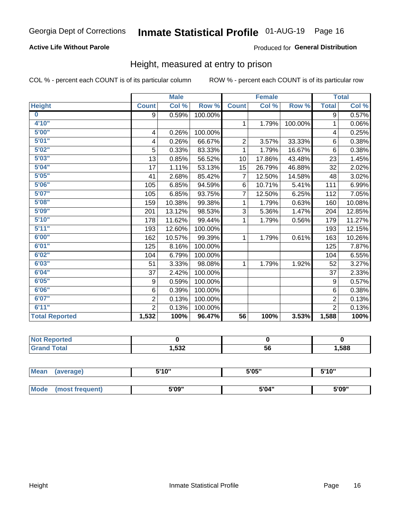#### **Active Life Without Parole**

#### Produced for General Distribution

### Height, measured at entry to prison

COL % - percent each COUNT is of its particular column

|                       |                | <b>Male</b> |         |                 | <b>Female</b> |         |                | <b>Total</b> |
|-----------------------|----------------|-------------|---------|-----------------|---------------|---------|----------------|--------------|
| <b>Height</b>         | <b>Count</b>   | Col %       | Row %   | <b>Count</b>    | Col %         | Row %   | <b>Total</b>   | Col %        |
| $\bf{0}$              | 9              | 0.59%       | 100.00% |                 |               |         | 9              | 0.57%        |
| 4'10''                |                |             |         | $\mathbf{1}$    | 1.79%         | 100.00% | 1              | 0.06%        |
| 5'00''                | 4              | 0.26%       | 100.00% |                 |               |         | 4              | 0.25%        |
| 5'01"                 | 4              | 0.26%       | 66.67%  | $\overline{2}$  | 3.57%         | 33.33%  | 6              | 0.38%        |
| 5'02"                 | 5              | 0.33%       | 83.33%  | 1               | 1.79%         | 16.67%  | $6\phantom{1}$ | 0.38%        |
| 5'03''                | 13             | 0.85%       | 56.52%  | 10              | 17.86%        | 43.48%  | 23             | 1.45%        |
| 5'04"                 | 17             | 1.11%       | 53.13%  | 15              | 26.79%        | 46.88%  | 32             | 2.02%        |
| 5'05"                 | 41             | 2.68%       | 85.42%  | $\overline{7}$  | 12.50%        | 14.58%  | 48             | 3.02%        |
| 5'06''                | 105            | 6.85%       | 94.59%  | 6               | 10.71%        | 5.41%   | 111            | 6.99%        |
| 5'07"                 | 105            | 6.85%       | 93.75%  | 7               | 12.50%        | 6.25%   | 112            | 7.05%        |
| 5'08''                | 159            | 10.38%      | 99.38%  | 1               | 1.79%         | 0.63%   | 160            | 10.08%       |
| 5'09''                | 201            | 13.12%      | 98.53%  | 3               | 5.36%         | 1.47%   | 204            | 12.85%       |
| 5'10''                | 178            | 11.62%      | 99.44%  | 1               | 1.79%         | 0.56%   | 179            | 11.27%       |
| 5'11"                 | 193            | 12.60%      | 100.00% |                 |               |         | 193            | 12.15%       |
| 6'00''                | 162            | 10.57%      | 99.39%  | 1.              | 1.79%         | 0.61%   | 163            | 10.26%       |
| 6'01''                | 125            | 8.16%       | 100.00% |                 |               |         | 125            | 7.87%        |
| 6'02"                 | 104            | 6.79%       | 100.00% |                 |               |         | 104            | 6.55%        |
| 6'03''                | 51             | 3.33%       | 98.08%  | $\mathbf{1}$    | 1.79%         | 1.92%   | 52             | 3.27%        |
| 6'04"                 | 37             | 2.42%       | 100.00% |                 |               |         | 37             | 2.33%        |
| 6'05"                 | 9              | 0.59%       | 100.00% |                 |               |         | 9              | 0.57%        |
| 6'06''                | 6              | 0.39%       | 100.00% |                 |               |         | 6              | 0.38%        |
| 6'07''                | $\overline{2}$ | 0.13%       | 100.00% |                 |               |         | $\overline{2}$ | 0.13%        |
| 6'11''                | $\overline{2}$ | 0.13%       | 100.00% |                 |               |         | $\overline{2}$ | 0.13%        |
| <b>Total Reported</b> | 1,532          | 100%        | 96.47%  | $\overline{56}$ | 100%          | 3.53%   | 1,588          | 100%         |

| w<br>τeα |       |    |      |
|----------|-------|----|------|
| ______   | 1,532 | 56 | ,588 |

| <b>Mean</b> | (average)       | 5'10" | 5'05" | 5'10" |
|-------------|-----------------|-------|-------|-------|
|             |                 |       |       |       |
| Mode        | (most frequent) | 5'09" | 5'04" | 5'09" |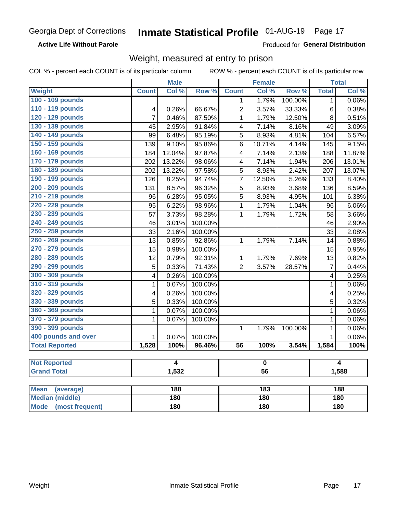**Active Life Without Parole** 

Produced for General Distribution

### Weight, measured at entry to prison

COL % - percent each COUNT is of its particular column

|                          |                         | <b>Male</b>    |         |                 | <b>Female</b>   |         |                | <b>Total</b> |
|--------------------------|-------------------------|----------------|---------|-----------------|-----------------|---------|----------------|--------------|
| <b>Weight</b>            | <b>Count</b>            | Col %          | Row %   | <b>Count</b>    | Col %           | Row %   | <b>Total</b>   | Col %        |
| 100 - 109 pounds         |                         |                |         | 1               | 1.79%           | 100.00% | $\mathbf 1$    | 0.06%        |
| 110 - 119 pounds         | 4                       | 0.26%          | 66.67%  | $\overline{2}$  | 3.57%           | 33.33%  | 6              | 0.38%        |
| 120 - 129 pounds         | $\overline{7}$          | 0.46%          | 87.50%  | $\mathbf{1}$    | 1.79%           | 12.50%  | 8              | 0.51%        |
| 130 - 139 pounds         | 45                      | 2.95%          | 91.84%  | 4               | 7.14%           | 8.16%   | 49             | 3.09%        |
| 140 - 149 pounds         | 99                      | 6.48%          | 95.19%  | 5               | 8.93%           | 4.81%   | 104            | 6.57%        |
| 150 - 159 pounds         | 139                     | 9.10%          | 95.86%  | 6               | 10.71%          | 4.14%   | 145            | 9.15%        |
| 160 - 169 pounds         | 184                     | 12.04%         | 97.87%  | 4               | 7.14%           | 2.13%   | 188            | 11.87%       |
| 170 - 179 pounds         | 202                     | 13.22%         | 98.06%  | 4               | 7.14%           | 1.94%   | 206            | 13.01%       |
| 180 - 189 pounds         | 202                     | 13.22%         | 97.58%  | 5               | 8.93%           | 2.42%   | 207            | 13.07%       |
| 190 - 199 pounds         | 126                     | 8.25%          | 94.74%  | $\overline{7}$  | 12.50%          | 5.26%   | 133            | 8.40%        |
| 200 - 209 pounds         | 131                     | 8.57%          | 96.32%  | 5               | 8.93%           | 3.68%   | 136            | 8.59%        |
| 210 - 219 pounds         | 96                      | 6.28%          | 95.05%  | 5               | 8.93%           | 4.95%   | 101            | 6.38%        |
| 220 - 229 pounds         | 95                      | 6.22%          | 98.96%  | 1               | 1.79%           | 1.04%   | 96             | 6.06%        |
| 230 - 239 pounds         | 57                      | 3.73%          | 98.28%  | $\mathbf{1}$    | 1.79%           | 1.72%   | 58             | 3.66%        |
| 240 - 249 pounds         | 46                      | 3.01%          | 100.00% |                 |                 |         | 46             | 2.90%        |
| 250 - 259 pounds         | 33                      | 2.16%          | 100.00% |                 |                 |         | 33             | 2.08%        |
| 260 - 269 pounds         | 13                      | 0.85%          | 92.86%  | $\mathbf{1}$    | 1.79%           | 7.14%   | 14             | 0.88%        |
| 270 - 279 pounds         | 15                      | 0.98%          | 100.00% |                 |                 |         | 15             | 0.95%        |
| 280 - 289 pounds         | 12                      | 0.79%          | 92.31%  | 1               | 1.79%           | 7.69%   | 13             | 0.82%        |
| 290 - 299 pounds         | $\overline{5}$          | 0.33%          | 71.43%  | $\overline{2}$  | 3.57%           | 28.57%  | $\overline{7}$ | 0.44%        |
| 300 - 309 pounds         | 4                       | 0.26%          | 100.00% |                 |                 |         | 4              | 0.25%        |
| 310 - 319 pounds         | 1                       | 0.07%          | 100.00% |                 |                 |         | $\mathbf 1$    | 0.06%        |
| 320 - 329 pounds         | $\overline{\mathbf{4}}$ | 0.26%          | 100.00% |                 |                 |         | 4              | 0.25%        |
| 330 - 339 pounds         | $\overline{5}$          | 0.33%          | 100.00% |                 |                 |         | 5              | 0.32%        |
| 360 - 369 pounds         | $\mathbf{1}$            | 0.07%          | 100.00% |                 |                 |         | $\mathbf{1}$   | 0.06%        |
| 370 - 379 pounds         | 1                       | 0.07%          | 100.00% |                 |                 |         | 1              | 0.06%        |
| 390 - 399 pounds         |                         |                |         | $\mathbf{1}$    | 1.79%           | 100.00% | 1              | 0.06%        |
| 400 pounds and over      | $\mathbf{1}$            | 0.07%          | 100.00% |                 |                 |         | $\mathbf{1}$   | 0.06%        |
| <b>Total Reported</b>    | 1,528                   | 100%           | 96.46%  | $\overline{56}$ | 100%            | 3.54%   | 1,584          | 100%         |
| <b>Not Reported</b>      |                         | $\overline{4}$ |         |                 | $\mathbf 0$     |         |                | 4            |
| <b>Grand Total</b>       |                         | 1,532          |         |                 | $\overline{56}$ |         |                | 1,588        |
|                          |                         |                |         |                 |                 |         |                |              |
| <b>Mean</b><br>(average) |                         | 188            |         |                 | 183             |         |                | 188          |

| <b>Mean</b><br>(average)       | 188 | 183 | 188 |
|--------------------------------|-----|-----|-----|
| Median (middle)                | 180 | 180 | 180 |
| <b>Mode</b><br>(most frequent) | 180 | 180 | 180 |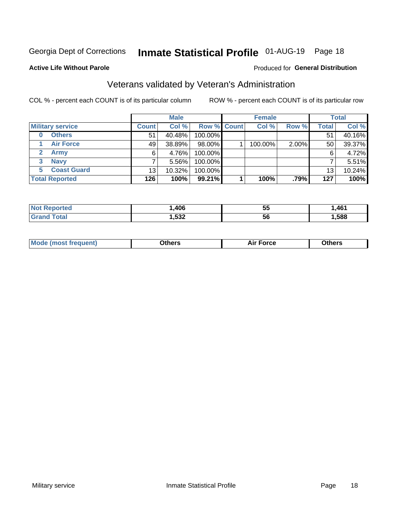# Inmate Statistical Profile 01-AUG-19 Page 18

#### **Active Life Without Parole**

#### Produced for General Distribution

### Veterans validated by Veteran's Administration

COL % - percent each COUNT is of its particular column

|                          | <b>Male</b>  |           |                    | <b>Female</b> |         |       | <b>Total</b> |        |
|--------------------------|--------------|-----------|--------------------|---------------|---------|-------|--------------|--------|
| <b>Military service</b>  | <b>Count</b> | Col %     | <b>Row % Count</b> |               | Col %   | Row % | Total        | Col %  |
| <b>Others</b><br>0       | 51           | 40.48%    | 100.00%            |               |         |       | 51           | 40.16% |
| <b>Air Force</b>         | 49           | 38.89%    | 98.00%             |               | 100.00% | 2.00% | 50           | 39.37% |
| <b>Army</b>              | 6            | 4.76%     | 100.00%            |               |         |       | 6            | 4.72%  |
| <b>Navy</b><br>3         |              | $5.56\%$  | 100.00%            |               |         |       |              | 5.51%  |
| <b>Coast Guard</b><br>5. | 13           | $10.32\%$ | 100.00%            |               |         |       | 13           | 10.24% |
| <b>Total Reported</b>    | 126          | 100%      | 99.21%             |               | 100%    | .79%  | 127          | 100%   |

| orted   | .406           | --<br>. .<br>◡ | .461 |
|---------|----------------|----------------|------|
| $F = F$ | よつつ<br>ີ' ∙ວວ∡ | 56             | ,588 |

| _____<br>____ |
|---------------|
|---------------|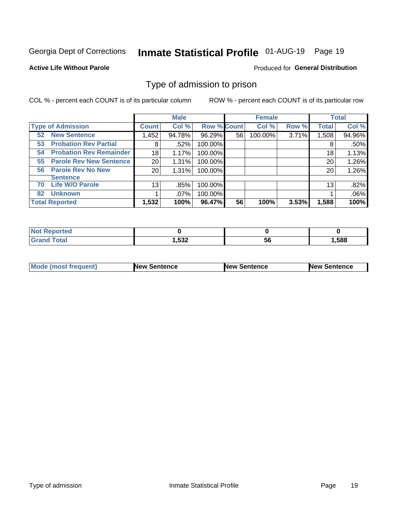# Inmate Statistical Profile 01-AUG-19 Page 19

#### **Active Life Without Parole**

#### Produced for General Distribution

### Type of admission to prison

COL % - percent each COUNT is of its particular column

|                                      |              | <b>Male</b> |                    |    | <b>Female</b> |       |              | <b>Total</b> |
|--------------------------------------|--------------|-------------|--------------------|----|---------------|-------|--------------|--------------|
| <b>Type of Admission</b>             | <b>Count</b> | Col %       | <b>Row % Count</b> |    | Col %         | Row % | <b>Total</b> | Col %        |
| <b>New Sentence</b><br>52            | 1,452        | 94.78%      | 96.29%             | 56 | 100.00%       | 3.71% | 1,508        | 94.96%       |
| <b>Probation Rev Partial</b><br>53   | 8            | .52%        | 100.00%            |    |               |       | 8            | .50%         |
| <b>Probation Rev Remainder</b><br>54 | 18           | 1.17%       | 100.00%            |    |               |       | 18           | 1.13%        |
| <b>Parole Rev New Sentence</b><br>55 | 20           | 1.31%       | 100.00%            |    |               |       | 20           | 1.26%        |
| <b>Parole Rev No New</b><br>56       | 20           | 1.31%       | 100.00%            |    |               |       | 20           | 1.26%        |
| <b>Sentence</b>                      |              |             |                    |    |               |       |              |              |
| <b>Life W/O Parole</b><br>70         | 13           | .85%        | 100.00%            |    |               |       | 13           | .82%         |
| <b>Unknown</b><br>82                 |              | .07%        | 100.00%            |    |               |       |              | .06%         |
| <b>Total Reported</b>                | 1,532        | 100%        | 96.47%             | 56 | 100%          | 3.53% | 1,588        | 100%         |

| <b>Not Reported</b> |               |           |      |
|---------------------|---------------|-----------|------|
| <b>Total</b>        | よつつ<br>∠دڌ, ו | - -<br>56 | ,588 |

| <b>Mode (most frequent)</b> | <b>New Sentence</b> | <b>New Sentence</b> | <b>New Sentence</b> |
|-----------------------------|---------------------|---------------------|---------------------|
|                             |                     |                     |                     |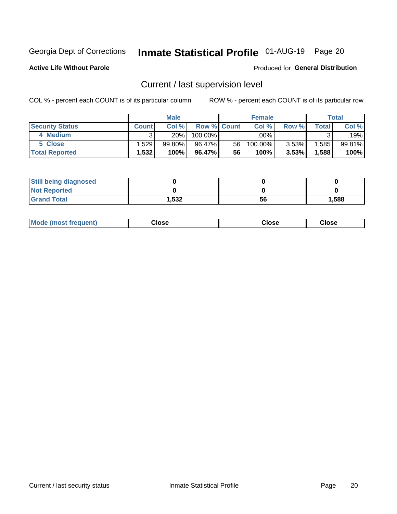# Inmate Statistical Profile 01-AUG-19 Page 20

**Active Life Without Parole** 

#### Produced for General Distribution

# Current / last supervision level

COL % - percent each COUNT is of its particular column

|                        |              | <b>Male</b> |                    |    | <b>Female</b> |       |       | <b>Total</b> |
|------------------------|--------------|-------------|--------------------|----|---------------|-------|-------|--------------|
| <b>Security Status</b> | <b>Count</b> | Col%        | <b>Row % Count</b> |    | Col %         | Row % | Total | Col %        |
| 4 Medium               | ົ            | .20% '      | 100.00%            |    | .00%          |       |       | .19%         |
| 5 Close                | ا 529. ا     | 99.80%      | 96.47%             | 56 | 100.00%       | 3.53% | .585  | 99.81%       |
| <b>Total Reported</b>  | 1,532        | 100%        | 96.47%             | 56 | 100%          | 3.53% | 1,588 | 100%         |

| <b>Still being diagnosed</b> |       |    |       |
|------------------------------|-------|----|-------|
| <b>Not Reported</b>          |       |    |       |
| <b>Grand Total</b>           | 1,532 | 56 | 1,588 |

| <b>Mode (most frequent)</b> | Close | ∵lose | Close |
|-----------------------------|-------|-------|-------|
|                             |       |       |       |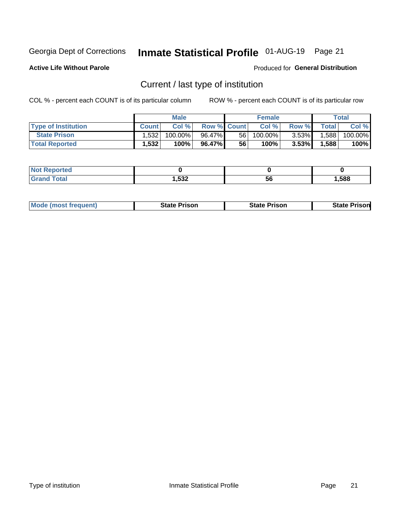# Inmate Statistical Profile 01-AUG-19 Page 21

**Active Life Without Parole** 

Produced for General Distribution

# Current / last type of institution

COL % - percent each COUNT is of its particular column

|                            |              | <b>Male</b> |                    |    | <b>Female</b> |          |              | <b>Total</b> |
|----------------------------|--------------|-------------|--------------------|----|---------------|----------|--------------|--------------|
| <b>Type of Institution</b> | <b>Count</b> | Col%        | <b>Row % Count</b> |    | Col %         | Row %    | <b>Total</b> | Col %        |
| <b>State Prison</b>        | 1.532        | 100.00%     | 96.47%             | 56 | 100.00%       | $3.53\%$ | 1,588        | 100.00%      |
| <b>Total Reported</b>      | 1,532        | 100%        | 96.47%             | 56 | 100%          | $3.53\%$ | 1,588        | 100%         |

| е |             |    |      |
|---|-------------|----|------|
|   | E00<br>,JJZ | 5t | .588 |

|  | <b>Mode (most frequent)</b> | State Prison | <b>State Prison</b> | <b>State Prison</b> |
|--|-----------------------------|--------------|---------------------|---------------------|
|--|-----------------------------|--------------|---------------------|---------------------|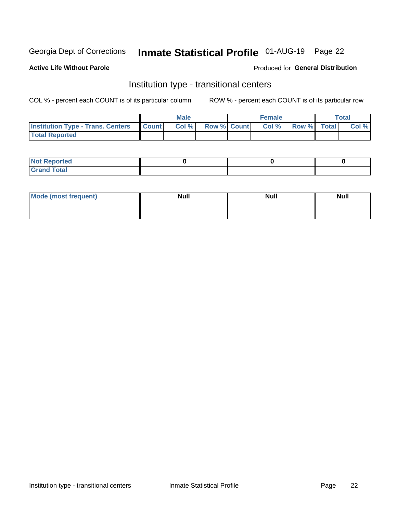# Inmate Statistical Profile 01-AUG-19 Page 22

#### **Active Life Without Parole**

#### Produced for General Distribution

### Institution type - transitional centers

COL % - percent each COUNT is of its particular column

|                                                  | <b>Male</b> |                    | <b>Female</b> |             | Total |
|--------------------------------------------------|-------------|--------------------|---------------|-------------|-------|
| <b>Institution Type - Trans. Centers Count  </b> | Col%        | <b>Row % Count</b> | Col %         | Row % Total | Col % |
| <b>Total Reported</b>                            |             |                    |               |             |       |

| <b>Reported</b><br><b>NOT</b><br>$\sim$            |  |  |
|----------------------------------------------------|--|--|
| $f$ $f \circ f \circ f$<br>$C = 1$<br><b>TULAI</b> |  |  |

| Mode (most frequent) | <b>Null</b> | <b>Null</b> | <b>Null</b> |
|----------------------|-------------|-------------|-------------|
|                      |             |             |             |
|                      |             |             |             |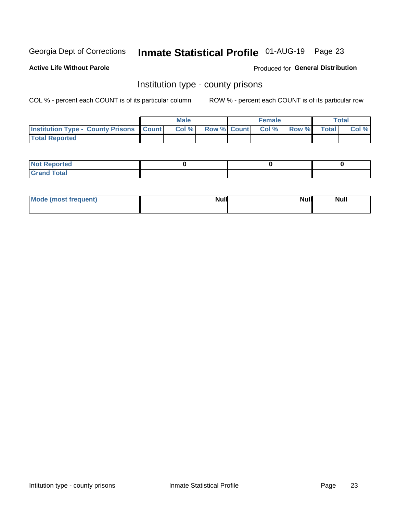# Inmate Statistical Profile 01-AUG-19 Page 23

**Active Life Without Parole** 

Produced for General Distribution

### Institution type - county prisons

COL % - percent each COUNT is of its particular column

|                                                    | <b>Male</b> |  | <b>Female</b>            |             | <b>Total</b> |
|----------------------------------------------------|-------------|--|--------------------------|-------------|--------------|
| <b>Institution Type - County Prisons   Count  </b> | Col %       |  | <b>Row % Count Col %</b> | Row % Total | Col %        |
| <b>Total Reported</b>                              |             |  |                          |             |              |

| <b>Not</b><br>: Reported<br> |  |  |
|------------------------------|--|--|
| <b>Total</b><br>---          |  |  |

| Mode (most frequent) | <b>Null</b> | <b>Null</b><br><b>Null</b> |
|----------------------|-------------|----------------------------|
|                      |             |                            |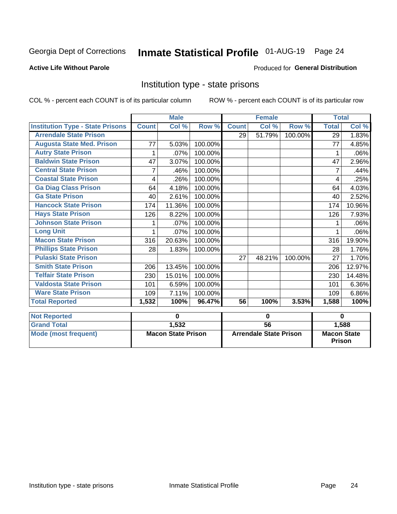# Inmate Statistical Profile 01-AUG-19 Page 24

#### **Active Life Without Parole**

#### Produced for General Distribution

### Institution type - state prisons

COL % - percent each COUNT is of its particular column

|                                         |              | <b>Male</b>               |         |                 | <b>Female</b>                 |         | <b>Total</b>                        |                    |
|-----------------------------------------|--------------|---------------------------|---------|-----------------|-------------------------------|---------|-------------------------------------|--------------------|
| <b>Institution Type - State Prisons</b> | <b>Count</b> | Col %                     | Row %   | <b>Count</b>    | Col %                         | Row %   | <b>Total</b>                        | Col %              |
| <b>Arrendale State Prison</b>           |              |                           |         | 29              | 51.79%                        | 100.00% | 29                                  | 1.83%              |
| <b>Augusta State Med. Prison</b>        | 77           | 5.03%                     | 100.00% |                 |                               |         | 77                                  | 4.85%              |
| <b>Autry State Prison</b>               | 1            | .07%                      | 100.00% |                 |                               |         | 1                                   | .06%               |
| <b>Baldwin State Prison</b>             | 47           | 3.07%                     | 100.00% |                 |                               |         | 47                                  | 2.96%              |
| <b>Central State Prison</b>             |              | .46%                      | 100.00% |                 |                               |         |                                     | .44%               |
| <b>Coastal State Prison</b>             | 4            | .26%                      | 100.00% |                 |                               |         | 4                                   | .25%               |
| <b>Ga Diag Class Prison</b>             | 64           | 4.18%                     | 100.00% |                 |                               |         | 64                                  | 4.03%              |
| <b>Ga State Prison</b>                  | 40           | 2.61%                     | 100.00% |                 |                               |         | 40                                  | 2.52%              |
| <b>Hancock State Prison</b>             | 174          | 11.36%                    | 100.00% |                 |                               |         | 174                                 | 10.96%             |
| <b>Hays State Prison</b>                | 126          | 8.22%                     | 100.00% |                 |                               |         | 126                                 | 7.93%              |
| <b>Johnson State Prison</b>             |              | .07%                      | 100.00% |                 |                               |         |                                     | .06%               |
| <b>Long Unit</b>                        | 1            | .07%                      | 100.00% |                 |                               |         |                                     | .06%               |
| <b>Macon State Prison</b>               | 316          | 20.63%                    | 100.00% |                 |                               |         | 316                                 | 19.90%             |
| <b>Phillips State Prison</b>            | 28           | 1.83%                     | 100.00% |                 |                               |         | 28                                  | 1.76%              |
| <b>Pulaski State Prison</b>             |              |                           |         | 27              | 48.21%                        | 100.00% | 27                                  | 1.70%              |
| <b>Smith State Prison</b>               | 206          | 13.45%                    | 100.00% |                 |                               |         | 206                                 | 12.97%             |
| <b>Telfair State Prison</b>             | 230          | 15.01%                    | 100.00% |                 |                               |         | 230                                 | 14.48%             |
| <b>Valdosta State Prison</b>            | 101          | 6.59%                     | 100.00% |                 |                               |         | 101                                 | 6.36%              |
| <b>Ware State Prison</b>                | 109          | 7.11%                     | 100.00% |                 |                               |         | 109                                 | 6.86%              |
| <b>Total Reported</b>                   | 1,532        | 100%                      | 96.47%  | 56              | 100%                          | 3.53%   | 1,588                               | $\overline{100\%}$ |
| <b>Not Reported</b>                     |              | $\bf{0}$                  |         | 0               |                               |         | $\bf{0}$                            |                    |
| <b>Grand Total</b>                      |              | 1,532                     |         | $\overline{56}$ |                               |         |                                     | 1,588              |
| <b>Mode (most frequent)</b>             |              | <b>Macon State Prison</b> |         |                 | <b>Arrendale State Prison</b> |         | <b>Macon State</b><br><b>Prison</b> |                    |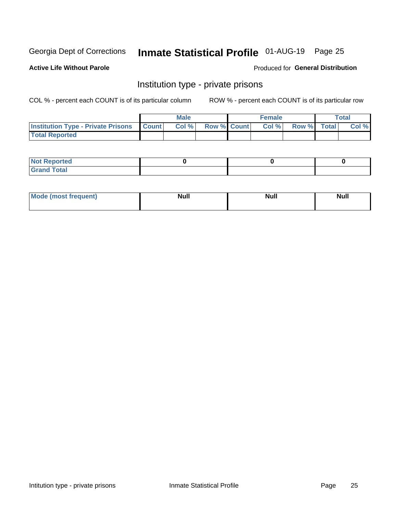# Inmate Statistical Profile 01-AUG-19 Page 25

#### **Active Life Without Parole**

#### Produced for General Distribution

### Institution type - private prisons

COL % - percent each COUNT is of its particular column

|                                                     | <b>Male</b> |                    | <b>Female</b> |             | Total |
|-----------------------------------------------------|-------------|--------------------|---------------|-------------|-------|
| <b>Institution Type - Private Prisons   Count  </b> | Col %       | <b>Row % Count</b> | Col %         | Row % Total | Col % |
| <b>Total Reported</b>                               |             |                    |               |             |       |

| Not Reported           |  |  |
|------------------------|--|--|
| <b>Cotal</b><br>______ |  |  |

| <b>Mo</b><br>frequent) | <b>Null</b> | <b>Null</b> | . . I *<br><b>IVUII</b> |
|------------------------|-------------|-------------|-------------------------|
|                        |             |             |                         |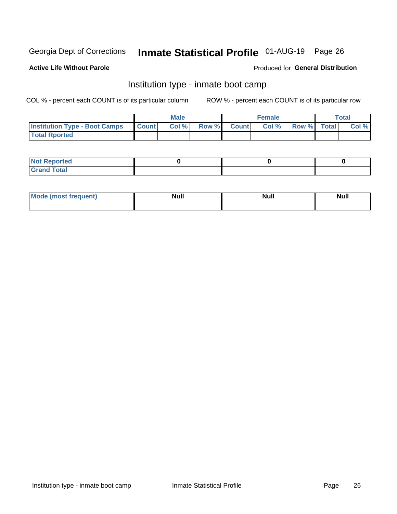# Inmate Statistical Profile 01-AUG-19 Page 26

#### **Active Life Without Parole**

#### Produced for General Distribution

### Institution type - inmate boot camp

COL % - percent each COUNT is of its particular column

|                                      |              | <b>Male</b> |               |              | <b>Female</b> |             | <b>Total</b> |
|--------------------------------------|--------------|-------------|---------------|--------------|---------------|-------------|--------------|
| <b>Institution Type - Boot Camps</b> | <b>Count</b> | Col %       | <b>Row %I</b> | <b>Count</b> | Col %         | Row % Total | Col %        |
| <b>Total Rported</b>                 |              |             |               |              |               |             |              |

| <b>Not Reported</b>            |  |  |
|--------------------------------|--|--|
| <b>Total</b><br>C <sub>r</sub> |  |  |

| Mod<br>uamo | Nul.<br>$- - - - - -$ | <b>Null</b> | . .<br>uu.<br>------ |
|-------------|-----------------------|-------------|----------------------|
|             |                       |             |                      |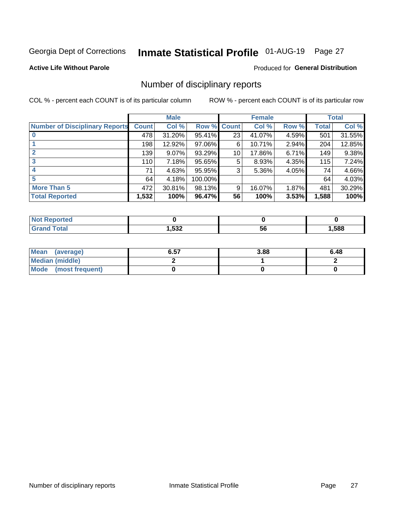# Inmate Statistical Profile 01-AUG-19 Page 27

#### **Active Life Without Parole**

#### Produced for General Distribution

### Number of disciplinary reports

COL % - percent each COUNT is of its particular column

|                                       |              | <b>Male</b> |         |                 | <b>Female</b> |       |              | <b>Total</b> |
|---------------------------------------|--------------|-------------|---------|-----------------|---------------|-------|--------------|--------------|
| <b>Number of Disciplinary Reports</b> | <b>Count</b> | Col %       | Row %   | <b>Count</b>    | Col %         | Row % | <b>Total</b> | Col %        |
|                                       | 478          | 31.20%      | 95.41%  | 23              | 41.07%        | 4.59% | 501          | 31.55%       |
|                                       | 198          | 12.92%      | 97.06%  | 6               | 10.71%        | 2.94% | 204          | 12.85%       |
| $\mathbf{2}$                          | 139          | $9.07\%$    | 93.29%  | 10 <sup>1</sup> | 17.86%        | 6.71% | 149          | 9.38%        |
| 3                                     | 110          | 7.18%       | 95.65%  | 5               | 8.93%         | 4.35% | 115          | 7.24%        |
|                                       | 71           | 4.63%       | 95.95%  | 3               | 5.36%         | 4.05% | 74           | 4.66%        |
| 5                                     | 64           | 4.18%       | 100.00% |                 |               |       | 64           | 4.03%        |
| <b>More Than 5</b>                    | 472          | 30.81%      | 98.13%  | 9               | 16.07%        | 1.87% | 481          | 30.29%       |
| <b>Total Reported</b>                 | 1,532        | 100%        | 96.47%  | 56              | 100%          | 3.53% | 1,588        | 100%         |

| NO    |      |    |      |
|-------|------|----|------|
| Γotal | ,532 | วง | ,588 |

| Mean (average)       | 6.57 | 3.88 | 6.48 |
|----------------------|------|------|------|
| Median (middle)      |      |      |      |
| Mode (most frequent) |      |      |      |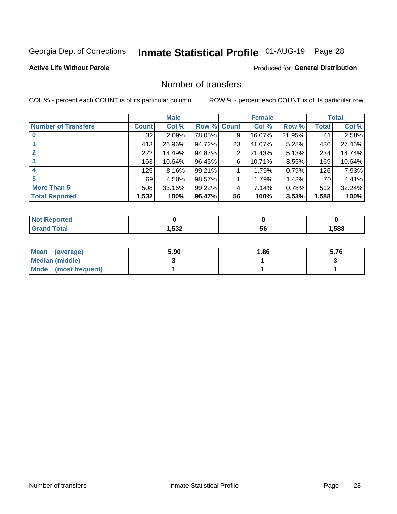# Inmate Statistical Profile 01-AUG-19 Page 28

#### **Active Life Without Parole**

#### **Produced for General Distribution**

### Number of transfers

COL % - percent each COUNT is of its particular column

|                            |         | <b>Male</b> |             |    | <b>Female</b> |          |       | <b>Total</b> |
|----------------------------|---------|-------------|-------------|----|---------------|----------|-------|--------------|
| <b>Number of Transfers</b> | Count l | Col %       | Row % Count |    | Col %         | Row %    | Total | Col %        |
|                            | 32      | 2.09%       | 78.05%      | 9  | 16.07%        | 21.95%   | 41    | 2.58%        |
|                            | 413     | 26.96%      | 94.72%      | 23 | 41.07%        | $5.28\%$ | 436   | 27.46%       |
| 2                          | 222     | 14.49%      | 94.87%      | 12 | 21.43%        | 5.13%    | 234   | 14.74%       |
| 3                          | 163     | 10.64%      | 96.45%      | 6  | 10.71%        | $3.55\%$ | 169   | 10.64%       |
|                            | 125     | $8.16\%$    | 99.21%      |    | 1.79%         | 0.79%    | 126   | 7.93%        |
| 5                          | 69      | 4.50%       | 98.57%      |    | 1.79%         | 1.43%    | 70    | 4.41%        |
| <b>More Than 5</b>         | 508     | 33.16%      | 99.22%      | 4  | 7.14%         | 0.78%    | 512   | 32.24%       |
| <b>Total Reported</b>      | 1,532   | 100%        | 96.47%      | 56 | 100%          | 3.53%    | 1,588 | 100%         |

| тео |      |    |      |
|-----|------|----|------|
|     | ,532 | วง | ,588 |

| Mean (average)       | 5.90 | 1.86 | 5.76 |
|----------------------|------|------|------|
| Median (middle)      |      |      |      |
| Mode (most frequent) |      |      |      |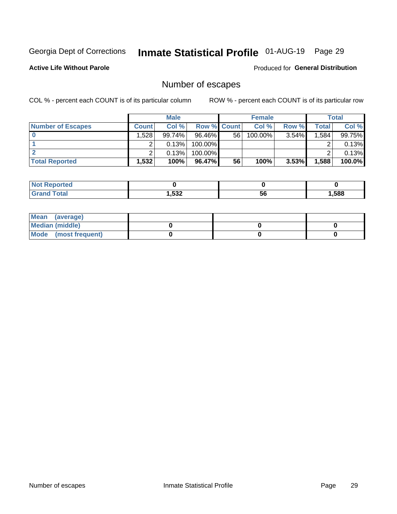# Inmate Statistical Profile 01-AUG-19 Page 29

**Active Life Without Parole** 

Produced for General Distribution

# Number of escapes

COL % - percent each COUNT is of its particular column

|                          |              | <b>Male</b> |                    |    | <b>Female</b> |       |       | Total  |
|--------------------------|--------------|-------------|--------------------|----|---------------|-------|-------|--------|
| <b>Number of Escapes</b> | <b>Count</b> | Col %       | <b>Row % Count</b> |    | Col %         | Row % | Total | Col %  |
|                          | .528         | $99.74\%$   | $96.46\%$          | 56 | $100.00\%$    | 3.54% | .584  | 99.75% |
|                          |              | 0.13%       | 100.00%            |    |               |       |       | 0.13%  |
|                          |              | 0.13%       | 100.00%            |    |               |       |       | 0.13%  |
| <b>Total Reported</b>    | $.532+$      | 100%        | $96.47\%$          | 56 | 100%          | 3.53% | 1,588 | 100.0% |

| <b>Not Reported</b>   |      |    |      |
|-----------------------|------|----|------|
| <b>Total</b><br>Grand | ,532 | 56 | ,588 |

| Mean (average)       |  |  |
|----------------------|--|--|
| Median (middle)      |  |  |
| Mode (most frequent) |  |  |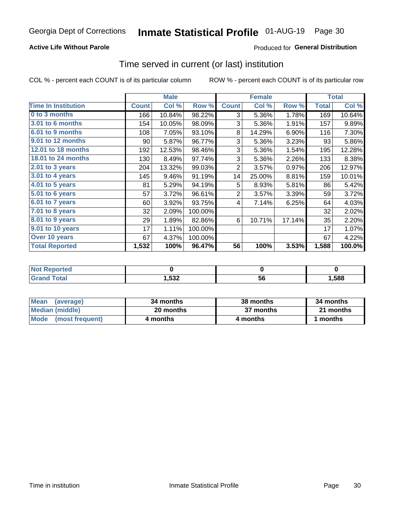#### **Active Life Without Parole**

#### Produced for General Distribution

### Time served in current (or last) institution

COL % - percent each COUNT is of its particular column

|                            |              | <b>Male</b> |         |                | <b>Female</b> |        |              | <b>Total</b> |
|----------------------------|--------------|-------------|---------|----------------|---------------|--------|--------------|--------------|
| <b>Time In Institution</b> | <b>Count</b> | Col %       | Row %   | <b>Count</b>   | Col %         | Row %  | <b>Total</b> | Col %        |
| 0 to 3 months              | 166          | 10.84%      | 98.22%  | 3              | 5.36%         | 1.78%  | 169          | 10.64%       |
| <b>3.01 to 6 months</b>    | 154          | 10.05%      | 98.09%  | 3              | 5.36%         | 1.91%  | 157          | 9.89%        |
| 6.01 to 9 months           | 108          | 7.05%       | 93.10%  | 8              | 14.29%        | 6.90%  | 116          | 7.30%        |
| 9.01 to 12 months          | 90           | 5.87%       | 96.77%  | 3              | 5.36%         | 3.23%  | 93           | 5.86%        |
| 12.01 to 18 months         | 192          | 12.53%      | 98.46%  | 3              | 5.36%         | 1.54%  | 195          | 12.28%       |
| <b>18.01 to 24 months</b>  | 130          | 8.49%       | 97.74%  | 3              | 5.36%         | 2.26%  | 133          | 8.38%        |
| $2.01$ to 3 years          | 204          | 13.32%      | 99.03%  | $\overline{2}$ | 3.57%         | 0.97%  | 206          | 12.97%       |
| $3.01$ to 4 years          | 145          | 9.46%       | 91.19%  | 14             | 25.00%        | 8.81%  | 159          | 10.01%       |
| 4.01 to 5 years            | 81           | 5.29%       | 94.19%  | 5              | 8.93%         | 5.81%  | 86           | 5.42%        |
| 5.01 to 6 years            | 57           | 3.72%       | 96.61%  | $\overline{2}$ | 3.57%         | 3.39%  | 59           | 3.72%        |
| 6.01 to 7 years            | 60           | 3.92%       | 93.75%  | 4              | 7.14%         | 6.25%  | 64           | 4.03%        |
| 7.01 to 8 years            | 32           | 2.09%       | 100.00% |                |               |        | 32           | 2.02%        |
| 8.01 to 9 years            | 29           | 1.89%       | 82.86%  | 6              | 10.71%        | 17.14% | 35           | 2.20%        |
| 9.01 to 10 years           | 17           | 1.11%       | 100.00% |                |               |        | 17           | 1.07%        |
| Over 10 years              | 67           | 4.37%       | 100.00% |                |               |        | 67           | 4.22%        |
| <b>Total Reported</b>      | 1,532        | 100%        | 96.47%  | 56             | 100%          | 3.53%  | 1,588        | 100.0%       |

| <b>Not Reported</b>    |      |    |      |
|------------------------|------|----|------|
| $f \wedge f \wedge f'$ | 532, | JL | ,588 |

| <b>Mean</b><br>(average) | 34 months | 38 months | 34 months |
|--------------------------|-----------|-----------|-----------|
| Median (middle)          | 20 months | 37 months | 21 months |
| Mode (most frequent)     | 4 months  | 4 months  | 1 months  |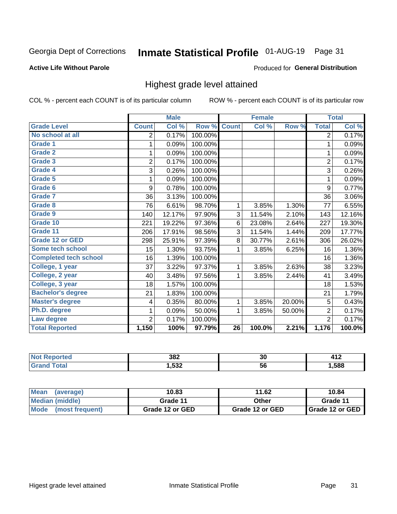# Inmate Statistical Profile 01-AUG-19 Page 31

#### **Active Life Without Parole**

#### Produced for General Distribution

### Highest grade level attained

COL % - percent each COUNT is of its particular column

|                              |                | <b>Male</b> |         |                 | <b>Female</b> |        |                | <b>Total</b> |
|------------------------------|----------------|-------------|---------|-----------------|---------------|--------|----------------|--------------|
| <b>Grade Level</b>           | <b>Count</b>   | Col %       | Row %   | <b>Count</b>    | Col %         | Row %  | <b>Total</b>   | Col %        |
| No school at all             | 2              | 0.17%       | 100.00% |                 |               |        | $\overline{2}$ | 0.17%        |
| <b>Grade 1</b>               | 1              | 0.09%       | 100.00% |                 |               |        | 1              | 0.09%        |
| <b>Grade 2</b>               | 1              | 0.09%       | 100.00% |                 |               |        | 1              | 0.09%        |
| <b>Grade 3</b>               | $\overline{2}$ | 0.17%       | 100.00% |                 |               |        | $\overline{2}$ | 0.17%        |
| Grade 4                      | 3              | 0.26%       | 100.00% |                 |               |        | 3              | 0.26%        |
| Grade 5                      | 1              | 0.09%       | 100.00% |                 |               |        | 1              | 0.09%        |
| Grade 6                      | 9              | 0.78%       | 100.00% |                 |               |        | 9              | 0.77%        |
| Grade 7                      | 36             | 3.13%       | 100.00% |                 |               |        | 36             | 3.06%        |
| <b>Grade 8</b>               | 76             | 6.61%       | 98.70%  | 1               | 3.85%         | 1.30%  | 77             | 6.55%        |
| Grade 9                      | 140            | 12.17%      | 97.90%  | 3               | 11.54%        | 2.10%  | 143            | 12.16%       |
| Grade 10                     | 221            | 19.22%      | 97.36%  | 6               | 23.08%        | 2.64%  | 227            | 19.30%       |
| Grade 11                     | 206            | 17.91%      | 98.56%  | 3               | 11.54%        | 1.44%  | 209            | 17.77%       |
| <b>Grade 12 or GED</b>       | 298            | 25.91%      | 97.39%  | 8               | 30.77%        | 2.61%  | 306            | 26.02%       |
| Some tech school             | 15             | 1.30%       | 93.75%  | 1               | 3.85%         | 6.25%  | 16             | 1.36%        |
| <b>Completed tech school</b> | 16             | 1.39%       | 100.00% |                 |               |        | 16             | 1.36%        |
| College, 1 year              | 37             | 3.22%       | 97.37%  | 1               | 3.85%         | 2.63%  | 38             | 3.23%        |
| College, 2 year              | 40             | 3.48%       | 97.56%  | 1               | 3.85%         | 2.44%  | 41             | 3.49%        |
| College, 3 year              | 18             | 1.57%       | 100.00% |                 |               |        | 18             | 1.53%        |
| <b>Bachelor's degree</b>     | 21             | 1.83%       | 100.00% |                 |               |        | 21             | 1.79%        |
| <b>Master's degree</b>       | 4              | 0.35%       | 80.00%  | 1               | 3.85%         | 20.00% | 5              | 0.43%        |
| Ph.D. degree                 | 1              | 0.09%       | 50.00%  | 1               | 3.85%         | 50.00% | $\overline{2}$ | 0.17%        |
| Law degree                   | $\overline{2}$ | 0.17%       | 100.00% |                 |               |        | $\overline{2}$ | 0.17%        |
| <b>Total Reported</b>        | 1,150          | 100%        | 97.79%  | $\overline{26}$ | 100.0%        | 2.21%  | 1,176          | 100.0%       |

| онео | 382  | 30 | T I 4 |
|------|------|----|-------|
|      | ,532 | วง | .588  |

| <b>Mean</b><br>(average) | 10.83           | 11.62           | 10.84           |  |
|--------------------------|-----------------|-----------------|-----------------|--|
| <b>Median (middle)</b>   | Grade 11        | Other           | Grade 11        |  |
| Mode<br>(most frequent)  | Grade 12 or GED | Grade 12 or GED | Grade 12 or GED |  |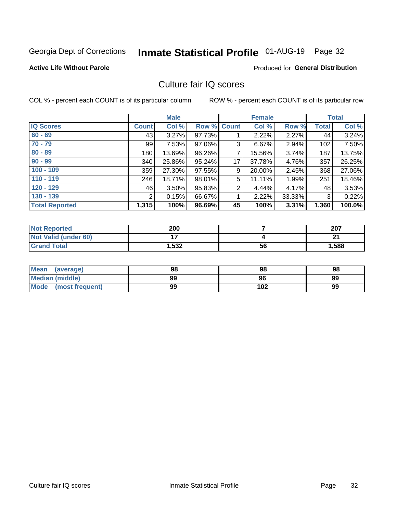# Inmate Statistical Profile 01-AUG-19 Page 32

#### **Active Life Without Parole**

#### **Produced for General Distribution**

### Culture fair IQ scores

COL % - percent each COUNT is of its particular column

|                       |              | <b>Male</b> |                    |                | <b>Female</b> |          |              | <b>Total</b> |
|-----------------------|--------------|-------------|--------------------|----------------|---------------|----------|--------------|--------------|
| <b>IQ Scores</b>      | <b>Count</b> | Col %       | <b>Row % Count</b> |                | Col %         | Row %    | <b>Total</b> | Col %        |
| $60 - 69$             | 43           | 3.27%       | 97.73%             |                | 2.22%         | $2.27\%$ | 44           | 3.24%        |
| $70 - 79$             | 99           | 7.53%       | 97.06%             | 3              | 6.67%         | 2.94%    | 102          | 7.50%        |
| $80 - 89$             | 180          | 13.69%      | 96.26%             | 7              | 15.56%        | 3.74%    | 187          | 13.75%       |
| $90 - 99$             | 340          | 25.86%      | 95.24%             | 17             | 37.78%        | 4.76%    | 357          | 26.25%       |
| $100 - 109$           | 359          | 27.30%      | 97.55%             | 9              | 20.00%        | 2.45%    | 368          | 27.06%       |
| $110 - 119$           | 246          | 18.71%      | 98.01%             | 5              | 11.11%        | 1.99%    | 251          | 18.46%       |
| $120 - 129$           | 46           | 3.50%       | 95.83%             | $\overline{2}$ | 4.44%         | 4.17%    | 48           | 3.53%        |
| $130 - 139$           | 2            | 0.15%       | 66.67%             | 1              | 2.22%         | 33.33%   | 3            | 0.22%        |
| <b>Total Reported</b> | 1,315        | 100%        | 96.69%             | 45             | 100%          | 3.31%    | 1,360        | 100.0%       |

| <b>Not Reported</b>  | 200   |    | 207   |
|----------------------|-------|----|-------|
| Not Valid (under 60) |       |    | n.    |
| <b>Grand Total</b>   | 1,532 | 56 | 1,588 |

| Mean<br>(average)       | 98 | 98  | 98 |
|-------------------------|----|-----|----|
| <b>Median (middle)</b>  | 99 | 96  | 99 |
| Mode<br>(most frequent) | 99 | 102 | 99 |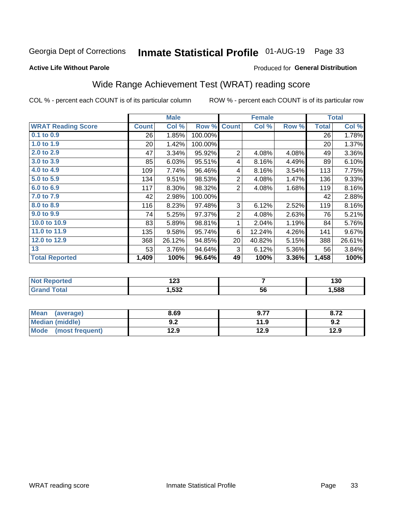# Inmate Statistical Profile 01-AUG-19 Page 33

#### **Active Life Without Parole**

#### Produced for General Distribution

# Wide Range Achievement Test (WRAT) reading score

COL % - percent each COUNT is of its particular column

|                           |                 | <b>Male</b> |         |                | <b>Female</b> |       |              | <b>Total</b> |
|---------------------------|-----------------|-------------|---------|----------------|---------------|-------|--------------|--------------|
| <b>WRAT Reading Score</b> | <b>Count</b>    | Col %       | Row %   | <b>Count</b>   | Col %         | Row % | <b>Total</b> | Col %        |
| $0.1$ to $0.9$            | 26              | 1.85%       | 100.00% |                |               |       | 26           | 1.78%        |
| 1.0 to 1.9                | 20 <sup>2</sup> | 1.42%       | 100.00% |                |               |       | 20           | 1.37%        |
| 2.0 to 2.9                | 47              | 3.34%       | 95.92%  | $\overline{2}$ | 4.08%         | 4.08% | 49           | 3.36%        |
| 3.0 to 3.9                | 85              | 6.03%       | 95.51%  | 4              | 8.16%         | 4.49% | 89           | 6.10%        |
| 4.0 to 4.9                | 109             | 7.74%       | 96.46%  | 4              | 8.16%         | 3.54% | 113          | 7.75%        |
| 5.0 to 5.9                | 134             | 9.51%       | 98.53%  | $\overline{2}$ | 4.08%         | 1.47% | 136          | 9.33%        |
| 6.0 to 6.9                | 117             | 8.30%       | 98.32%  | $\overline{2}$ | 4.08%         | 1.68% | 119          | 8.16%        |
| 7.0 to 7.9                | 42              | 2.98%       | 100.00% |                |               |       | 42           | 2.88%        |
| 8.0 to 8.9                | 116             | 8.23%       | 97.48%  | 3              | 6.12%         | 2.52% | 119          | 8.16%        |
| 9.0 to 9.9                | 74              | 5.25%       | 97.37%  | $\overline{2}$ | 4.08%         | 2.63% | 76           | 5.21%        |
| 10.0 to 10.9              | 83              | 5.89%       | 98.81%  | 1              | 2.04%         | 1.19% | 84           | 5.76%        |
| 11.0 to 11.9              | 135             | 9.58%       | 95.74%  | 6              | 12.24%        | 4.26% | 141          | 9.67%        |
| 12.0 to 12.9              | 368             | 26.12%      | 94.85%  | 20             | 40.82%        | 5.15% | 388          | 26.61%       |
| 13                        | 53              | 3.76%       | 94.64%  | 3              | 6.12%         | 5.36% | 56           | 3.84%        |
| <b>Total Reported</b>     | 1,409           | 100%        | 96.64%  | 49             | 100%          | 3.36% | 1,458        | 100%         |
|                           |                 |             |         |                |               |       |              |              |

| <b>Not Reported</b>   | י ה<br>14J |    | 130  |
|-----------------------|------------|----|------|
| <b>Total</b><br>Grand | .,532      | 56 | ,588 |

| <b>Mean</b><br>(average) | 8.69       | 9.77 | 8.72 |
|--------------------------|------------|------|------|
| Median (middle)          | י ה<br>J.Z | 11.9 | 9.2  |
| Mode<br>(most frequent)  | 12.9       | 12.9 | 12.9 |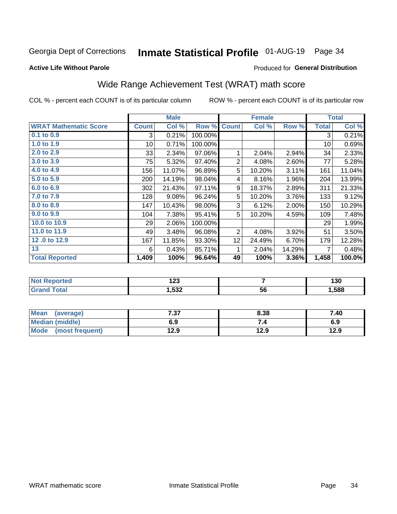# Inmate Statistical Profile 01-AUG-19 Page 34

#### **Active Life Without Parole**

#### Produced for General Distribution

# Wide Range Achievement Test (WRAT) math score

COL % - percent each COUNT is of its particular column

|                              |                 | <b>Male</b> |         |                 | <b>Female</b> |        |              | <b>Total</b> |
|------------------------------|-----------------|-------------|---------|-----------------|---------------|--------|--------------|--------------|
| <b>WRAT Mathematic Score</b> | <b>Count</b>    | Col %       | Row %   | <b>Count</b>    | Col %         | Row %  | <b>Total</b> | Col %        |
| 0.1 to 0.9                   | 3               | 0.21%       | 100.00% |                 |               |        | 3            | 0.21%        |
| 1.0 to 1.9                   | 10 <sup>1</sup> | 0.71%       | 100.00% |                 |               |        | 10           | 0.69%        |
| 2.0 to 2.9                   | 33              | 2.34%       | 97.06%  | 1               | 2.04%         | 2.94%  | 34           | 2.33%        |
| 3.0 to 3.9                   | 75              | 5.32%       | 97.40%  | $\overline{2}$  | 4.08%         | 2.60%  | 77           | 5.28%        |
| 4.0 to 4.9                   | 156             | 11.07%      | 96.89%  | 5               | 10.20%        | 3.11%  | 161          | 11.04%       |
| 5.0 to 5.9                   | 200             | 14.19%      | 98.04%  | 4               | 8.16%         | 1.96%  | 204          | 13.99%       |
| 6.0 to 6.9                   | 302             | 21.43%      | 97.11%  | 9               | 18.37%        | 2.89%  | 311          | 21.33%       |
| 7.0 to 7.9                   | 128             | 9.08%       | 96.24%  | 5               | 10.20%        | 3.76%  | 133          | 9.12%        |
| 8.0 to 8.9                   | 147             | 10.43%      | 98.00%  | 3               | 6.12%         | 2.00%  | 150          | 10.29%       |
| 9.0 to 9.9                   | 104             | 7.38%       | 95.41%  | 5               | 10.20%        | 4.59%  | 109          | 7.48%        |
| 10.0 to 10.9                 | 29              | 2.06%       | 100.00% |                 |               |        | 29           | 1.99%        |
| 11.0 to 11.9                 | 49              | 3.48%       | 96.08%  | 2               | 4.08%         | 3.92%  | 51           | 3.50%        |
| 12.0 to 12.9                 | 167             | 11.85%      | 93.30%  | 12 <sub>1</sub> | 24.49%        | 6.70%  | 179          | 12.28%       |
| 13                           | 6               | 0.43%       | 85.71%  | 1               | 2.04%         | 14.29% | 7            | 0.48%        |
| <b>Total Reported</b>        | 1,409           | 100%        | 96.64%  | 49              | 100%          | 3.36%  | 1,458        | 100.0%       |

| <b>Reported</b><br><b>NO</b> t | ה הו<br>14J |    | 130  |
|--------------------------------|-------------|----|------|
| ota.                           | ,532        | 56 | ,588 |

| Mean (average)         | 7 27<br>וט. ׁ | 8.38 | 7.40 |
|------------------------|---------------|------|------|
| <b>Median (middle)</b> | 6.9           |      | 6.9  |
| Mode (most frequent)   | 12.9          | 12.9 | 12.9 |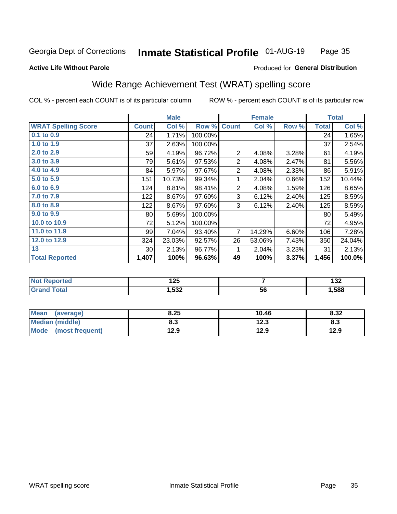#### **Inmate Statistical Profile 01-AUG-19** Page 35

#### **Active Life Without Parole**

#### Produced for General Distribution

### Wide Range Achievement Test (WRAT) spelling score

COL % - percent each COUNT is of its particular column

|                            |                 | <b>Male</b> |         |                | <b>Female</b>            |       |              | <b>Total</b> |
|----------------------------|-----------------|-------------|---------|----------------|--------------------------|-------|--------------|--------------|
| <b>WRAT Spelling Score</b> | <b>Count</b>    | Col %       | Row %   | <b>Count</b>   | Col %                    | Row % | <b>Total</b> | Col %        |
| $0.1$ to $0.9$             | 24              | 1.71%       | 100.00% |                |                          |       | 24           | 1.65%        |
| 1.0 to 1.9                 | 37              | 2.63%       | 100.00% |                |                          |       | 37           | 2.54%        |
| 2.0 to 2.9                 | 59              | 4.19%       | 96.72%  | 2              | 4.08%                    | 3.28% | 61           | 4.19%        |
| 3.0 to 3.9                 | 79              | 5.61%       | 97.53%  | $\overline{2}$ | 4.08%                    | 2.47% | 81           | 5.56%        |
| 4.0 to 4.9                 | 84              | 5.97%       | 97.67%  | 2              | 4.08%                    | 2.33% | 86           | 5.91%        |
| 5.0 to 5.9                 | 151             | 10.73%      | 99.34%  | 1              | 2.04%                    | 0.66% | 152          | 10.44%       |
| 6.0 to 6.9                 | 124             | 8.81%       | 98.41%  | $\overline{2}$ | 4.08%                    | 1.59% | 126          | 8.65%        |
| 7.0 to 7.9                 | 122             | 8.67%       | 97.60%  | 3              | 6.12%                    | 2.40% | 125          | 8.59%        |
| 8.0 to 8.9                 | 122             | 8.67%       | 97.60%  | 3              | 6.12%                    | 2.40% | 125          | 8.59%        |
| 9.0 to 9.9                 | 80              | 5.69%       | 100.00% |                |                          |       | 80           | 5.49%        |
| 10.0 to 10.9               | 72              | 5.12%       | 100.00% |                |                          |       | 72           | 4.95%        |
| 11.0 to 11.9               | 99              | 7.04%       | 93.40%  | 7              | 14.29%                   | 6.60% | 106          | 7.28%        |
| 12.0 to 12.9               | 324             | 23.03%      | 92.57%  | 26             | 53.06%                   | 7.43% | 350          | 24.04%       |
| 13                         | 30 <sup>°</sup> | 2.13%       | 96.77%  | 1              | 2.04%                    | 3.23% | 31           | 2.13%        |
| <b>Total Reported</b>      | 1,407           | 100%        | 96.63%  | 49             | 100%                     | 3.37% | 1,456        | 100.0%       |
|                            |                 |             |         |                |                          |       |              |              |
| Net Denested               |                 | 10E         |         |                | $\overline{\phantom{a}}$ |       |              | 122          |

| ,588<br>,532<br>56<br><b>otal</b> | <b>Reported</b><br><b>NOT</b> | - ה<br>. 23 | ,<br>IJZ |
|-----------------------------------|-------------------------------|-------------|----------|
|                                   |                               |             |          |

| <b>Mean</b><br>(average) | 8.25 | 10.46 | 8.32 |
|--------------------------|------|-------|------|
| <b>Median (middle)</b>   | o.J  | 12.3  | o.J  |
| Mode<br>(most frequent)  | l2.9 | 12.9  | 12.9 |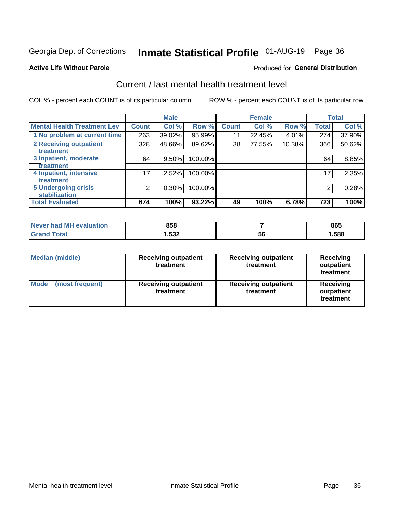# Inmate Statistical Profile 01-AUG-19 Page 36

#### **Active Life Without Parole**

#### Produced for General Distribution

# Current / last mental health treatment level

COL % - percent each COUNT is of its particular column

|                                    |              | <b>Male</b> |         |              | <b>Female</b> |        |              | <b>Total</b> |
|------------------------------------|--------------|-------------|---------|--------------|---------------|--------|--------------|--------------|
| <b>Mental Health Treatment Lev</b> | <b>Count</b> | Col %       | Row %   | <b>Count</b> | Col %         | Row %  | <b>Total</b> | Col %        |
| 1 No problem at current time       | 263          | 39.02%      | 95.99%  | 11           | 22.45%        | 4.01%  | 274          | 37.90%       |
| 2 Receiving outpatient             | 328          | 48.66%      | 89.62%  | 38           | 77.55%        | 10.38% | 366          | 50.62%       |
| <b>Treatment</b>                   |              |             |         |              |               |        |              |              |
| 3 Inpatient, moderate              | 64           | $9.50\%$    | 100.00% |              |               |        | 64           | 8.85%        |
| <b>Treatment</b>                   |              |             |         |              |               |        |              |              |
| 4 Inpatient, intensive             | 17           | 2.52%       | 100.00% |              |               |        | 17           | 2.35%        |
| Treatment                          |              |             |         |              |               |        |              |              |
| <b>5 Undergoing crisis</b>         | 2            | 0.30%       | 100.00% |              |               |        | 2            | 0.28%        |
| <b>Stabilization</b>               |              |             |         |              |               |        |              |              |
| <b>Total Evaluated</b>             | 674          | 100%        | 93.22%  | 49           | 100%          | 6.78%  | 723          | 100%         |

| evaluation<br>Never had MI | 858   |    | 865  |
|----------------------------|-------|----|------|
| int                        | 1,532 | ას | ,588 |

| Median (middle)                | <b>Receiving outpatient</b><br>treatment | <b>Receiving outpatient</b><br>treatment | <b>Receiving</b><br>outpatient<br>treatment |
|--------------------------------|------------------------------------------|------------------------------------------|---------------------------------------------|
| <b>Mode</b><br>(most frequent) | <b>Receiving outpatient</b><br>treatment | <b>Receiving outpatient</b><br>treatment | <b>Receiving</b><br>outpatient<br>treatment |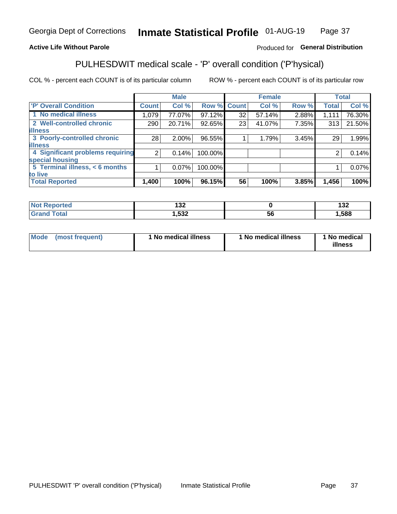#### Inmate Statistical Profile 01-AUG-19 Page 37

#### **Active Life Without Parole**

#### Produced for General Distribution

# PULHESDWIT medical scale - 'P' overall condition ('P'hysical)

COL % - percent each COUNT is of its particular column

|                                  |              | <b>Male</b> |         |              | <b>Female</b> |       |              | <b>Total</b> |
|----------------------------------|--------------|-------------|---------|--------------|---------------|-------|--------------|--------------|
| 'P' Overall Condition            | <b>Count</b> | Col %       | Row %   | <b>Count</b> | Col %         | Row % | <b>Total</b> | Col %        |
| 1 No medical illness             | 1,079        | 77.07%      | 97.12%  | 32           | 57.14%        | 2.88% | 1,111        | 76.30%       |
| 2 Well-controlled chronic        | 290          | 20.71%      | 92.65%  | 23           | 41.07%        | 7.35% | 313          | 21.50%       |
| <b>illness</b>                   |              |             |         |              |               |       |              |              |
| 3 Poorly-controlled chronic      | 28           | $2.00\%$    | 96.55%  |              | 1.79%         | 3.45% | 29           | 1.99%        |
| <b>illness</b>                   |              |             |         |              |               |       |              |              |
| 4 Significant problems requiring | 2            | 0.14%       | 100.00% |              |               |       | 2            | 0.14%        |
| special housing                  |              |             |         |              |               |       |              |              |
| 5 Terminal illness, < 6 months   |              | $0.07\%$    | 100.00% |              |               |       |              | 0.07%        |
| to live                          |              |             |         |              |               |       |              |              |
| <b>Total Reported</b>            | 1,400        | 100%        | 96.15%  | 56           | 100%          | 3.85% | 1,456        | 100%         |

| rteo  | 400           |   | ィっっ   |
|-------|---------------|---|-------|
| .     | IJZ           |   | 1 J Z |
| _____ | よつつ<br>אטר, י | უ | ,588  |

|  |  | Mode (most frequent) | 1 No medical illness | 1 No medical illness | 1 No medical<br>illness |
|--|--|----------------------|----------------------|----------------------|-------------------------|
|--|--|----------------------|----------------------|----------------------|-------------------------|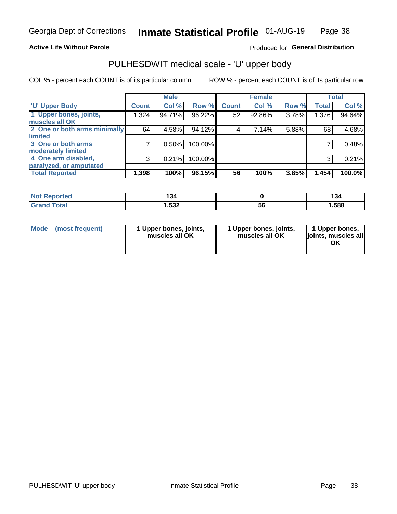#### **Active Life Without Parole**

#### Produced for General Distribution

# PULHESDWIT medical scale - 'U' upper body

COL % - percent each COUNT is of its particular column

|                              |              | <b>Male</b> |         |              | <b>Female</b> |       |              | <b>Total</b> |
|------------------------------|--------------|-------------|---------|--------------|---------------|-------|--------------|--------------|
| <b>'U' Upper Body</b>        | <b>Count</b> | Col %       | Row %   | <b>Count</b> | Col %         | Row % | <b>Total</b> | Col %        |
| 1 Upper bones, joints,       | 1,324        | 94.71%      | 96.22%  | 52           | 92.86%        | 3.78% | 1,376        | 94.64%       |
| muscles all OK               |              |             |         |              |               |       |              |              |
| 2 One or both arms minimally | 64           | 4.58%       | 94.12%  | 4            | 7.14%         | 5.88% | 68           | 4.68%        |
| limited                      |              |             |         |              |               |       |              |              |
| 3 One or both arms           |              | 0.50%       | 100.00% |              |               |       |              | 0.48%        |
| <b>moderately limited</b>    |              |             |         |              |               |       |              |              |
| 4 One arm disabled,          | 3            | 0.21%       | 100.00% |              |               |       | 3            | 0.21%        |
| paralyzed, or amputated      |              |             |         |              |               |       |              |              |
| <b>Total Reported</b>        | 1,398        | 100%        | 96.15%  | 56           | 100%          | 3.85% | 1,454        | 100.0%       |

| <b>Not Reported</b> | 134  |    | 134  |
|---------------------|------|----|------|
| <b>Grand Total</b>  | ,532 | ວເ | ,588 |

| Mode | (most frequent) | l Upper bones, joints,<br>muscles all OK | 1 Upper bones, joints,<br>muscles all OK | 1 Upper bones,<br>ljoints, muscles all<br>ОK |
|------|-----------------|------------------------------------------|------------------------------------------|----------------------------------------------|
|------|-----------------|------------------------------------------|------------------------------------------|----------------------------------------------|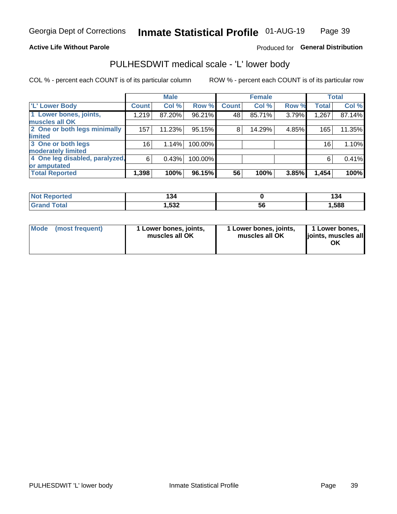#### **Active Life Without Parole**

#### Produced for General Distribution

### PULHESDWIT medical scale - 'L' lower body

COL % - percent each COUNT is of its particular column

|                                |                 | <b>Male</b> |         |              | <b>Female</b> |       |              | <b>Total</b> |
|--------------------------------|-----------------|-------------|---------|--------------|---------------|-------|--------------|--------------|
| 'L' Lower Body                 | <b>Count</b>    | Col %       | Row %   | <b>Count</b> | Col %         | Row % | <b>Total</b> | Col %        |
| 1 Lower bones, joints,         | 1,219           | 87.20%      | 96.21%  | 48           | 85.71%        | 3.79% | 1,267        | 87.14%       |
| muscles all OK                 |                 |             |         |              |               |       |              |              |
| 2 One or both legs minimally   | 157             | 11.23%      | 95.15%  | 8            | 14.29%        | 4.85% | 165          | 11.35%       |
| limited                        |                 |             |         |              |               |       |              |              |
| 3 One or both legs             | 16 <sub>1</sub> | 1.14%       | 100.00% |              |               |       | 16           | 1.10%        |
| moderately limited             |                 |             |         |              |               |       |              |              |
| 4 One leg disabled, paralyzed, | 6               | 0.43%       | 100.00% |              |               |       | 6            | 0.41%        |
| or amputated                   |                 |             |         |              |               |       |              |              |
| <b>Total Reported</b>          | 1,398           | 100%        | 96.15%  | 56           | 100%          | 3.85% | 1,454        | 100%         |

| <b>Not Reported</b> | 134  |    | 134  |
|---------------------|------|----|------|
| <b>Grand Total</b>  | ,532 | ວເ | ,588 |

| Mode | (most frequent) | 1 Lower bones, joints,<br>muscles all OK | 1 Lower bones, joints,<br>muscles all OK | 1 Lower bones,<br>ljoints, muscles all<br>ΟK |
|------|-----------------|------------------------------------------|------------------------------------------|----------------------------------------------|
|------|-----------------|------------------------------------------|------------------------------------------|----------------------------------------------|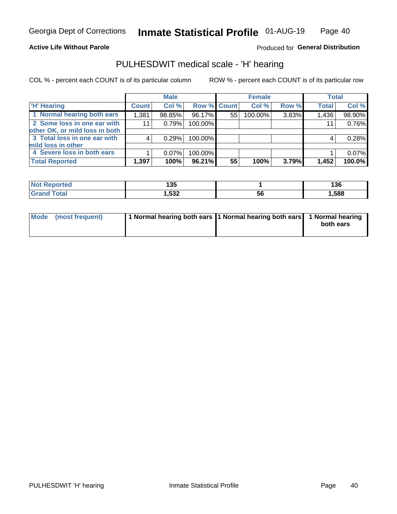#### **Active Life Without Parole**

Produced for General Distribution

### PULHESDWIT medical scale - 'H' hearing

COL % - percent each COUNT is of its particular column

|                                |              | <b>Male</b> |                    |    | <b>Female</b> |       | <b>Total</b> |        |
|--------------------------------|--------------|-------------|--------------------|----|---------------|-------|--------------|--------|
| <b>H' Hearing</b>              | <b>Count</b> | Col %       | <b>Row % Count</b> |    | Col %         | Row % | <b>Total</b> | Col %  |
| 1 Normal hearing both ears     | 1,381        | 98.85%      | 96.17%             | 55 | 100.00%       | 3.83% | 1,436        | 98.90% |
| 2 Some loss in one ear with    | 11           | 0.79%       | 100.00%            |    |               |       | 11           | 0.76%  |
| other OK, or mild loss in both |              |             |                    |    |               |       |              |        |
| 3 Total loss in one ear with   | 4            | 0.29%       | 100.00%            |    |               |       | 4            | 0.28%  |
| mild loss in other             |              |             |                    |    |               |       |              |        |
| 4 Severe loss in both ears     |              | $0.07\%$    | 100.00%            |    |               |       |              | 0.07%  |
| <b>Total Reported</b>          | 1,397        | 100%        | 96.21%             | 55 | 100%          | 3.79% | 1,452        | 100.0% |

| <b>Not Reported</b> | 125<br>טטו |    | 136    |
|---------------------|------------|----|--------|
| `otal               | ,532       | 56 | 588, ا |

| Mode (most frequent) | 1 Normal hearing both ears 1 Normal hearing both ears 1 Normal hearing | both ears |
|----------------------|------------------------------------------------------------------------|-----------|
|                      |                                                                        |           |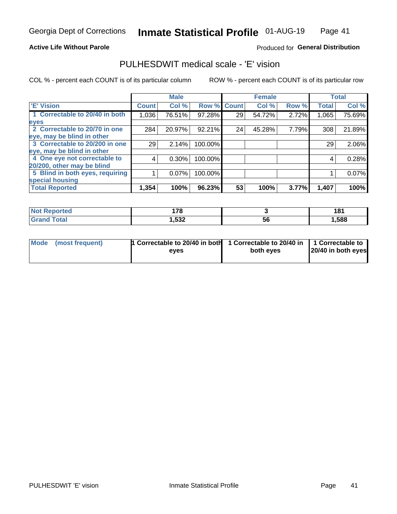#### **Active Life Without Parole**

#### Produced for General Distribution

### PULHESDWIT medical scale - 'E' vision

COL % - percent each COUNT is of its particular column

|                                 |              | <b>Male</b> |         |              | <b>Female</b> |       |              | <b>Total</b> |
|---------------------------------|--------------|-------------|---------|--------------|---------------|-------|--------------|--------------|
| 'E' Vision                      | <b>Count</b> | Col %       | Row %   | <b>Count</b> | Col %         | Row % | <b>Total</b> | Col %        |
| 1 Correctable to 20/40 in both  | 1,036        | 76.51%      | 97.28%  | 29           | 54.72%        | 2.72% | 1,065        | 75.69%       |
| eyes                            |              |             |         |              |               |       |              |              |
| 2 Correctable to 20/70 in one   | 284          | 20.97%      | 92.21%  | 24           | 45.28%        | 7.79% | 308          | 21.89%       |
| eye, may be blind in other      |              |             |         |              |               |       |              |              |
| 3 Correctable to 20/200 in one  | 29           | 2.14%       | 100.00% |              |               |       | 29           | 2.06%        |
| eye, may be blind in other      |              |             |         |              |               |       |              |              |
| 4 One eye not correctable to    | 4            | $0.30\%$    | 100.00% |              |               |       | 4            | 0.28%        |
| 20/200, other may be blind      |              |             |         |              |               |       |              |              |
| 5 Blind in both eyes, requiring |              | 0.07%       | 100.00% |              |               |       |              | 0.07%        |
| special housing                 |              |             |         |              |               |       |              |              |
| <b>Total Reported</b>           | 1,354        | 100%        | 96.23%  | 53           | 100%          | 3.77% | 1,407        | 100%         |

| <b>Reported</b><br>NOT | 470<br>. . v |    | 181  |
|------------------------|--------------|----|------|
| <b>Total</b>           | 1,532        | 56 | ,588 |

| Mode (most frequent) | 1 Correctable to 20/40 in both<br>eves | 1 Correctable to 20/40 in   1 Correctable to  <br>both eves | 20/40 in both eyes |
|----------------------|----------------------------------------|-------------------------------------------------------------|--------------------|
|                      |                                        |                                                             |                    |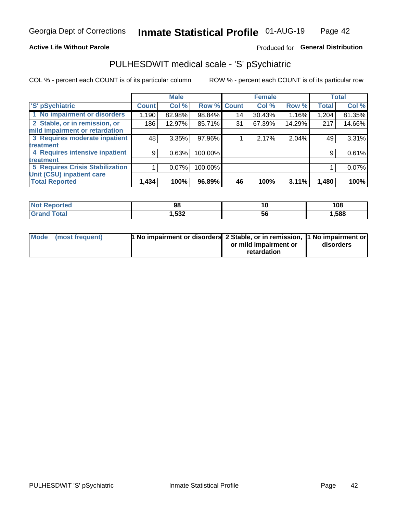#### **Active Life Without Parole**

#### Produced for General Distribution

# PULHESDWIT medical scale - 'S' pSychiatric

COL % - percent each COUNT is of its particular column

|                                        |              | <b>Male</b> |         |             | <b>Female</b> |        |              | <b>Total</b> |
|----------------------------------------|--------------|-------------|---------|-------------|---------------|--------|--------------|--------------|
| 'S' pSychiatric                        | <b>Count</b> | Col %       |         | Row % Count | Col %         | Row %  | <b>Total</b> | Col %        |
| 1 No impairment or disorders           | 1,190        | 82.98%      | 98.84%  | 14          | 30.43%        | 1.16%  | 1,204        | 81.35%       |
| 2 Stable, or in remission, or          | 186          | 12.97%      | 85.71%  | 31          | 67.39%        | 14.29% | 217          | 14.66%       |
| mild impairment or retardation         |              |             |         |             |               |        |              |              |
| 3 Requires moderate inpatient          | 48           | 3.35%       | 97.96%  |             | 2.17%         | 2.04%  | 49           | 3.31%        |
| treatment                              |              |             |         |             |               |        |              |              |
| 4 Requires intensive inpatient         | 9            | 0.63%       | 100.00% |             |               |        | 9            | 0.61%        |
| treatment                              |              |             |         |             |               |        |              |              |
| <b>5 Requires Crisis Stabilization</b> |              | 0.07%       | 100.00% |             |               |        |              | $0.07\%$     |
| Unit (CSU) inpatient care              |              |             |         |             |               |        |              |              |
| <b>Total Reported</b>                  | 1,434        | 100%        | 96.89%  | 46          | 100%          | 3.11%  | 1,480        | 100%         |

| <b>Not Reported</b> | 98   |    | 108   |
|---------------------|------|----|-------|
| <b>Grand Total</b>  | ,532 | วง | 1,588 |

| Mode (most frequent) | <b>1 No impairment or disorders 2 Stable, or in remission, 1 No impairment or</b> |                       |           |
|----------------------|-----------------------------------------------------------------------------------|-----------------------|-----------|
|                      |                                                                                   | or mild impairment or | disorders |
|                      |                                                                                   | retardation           |           |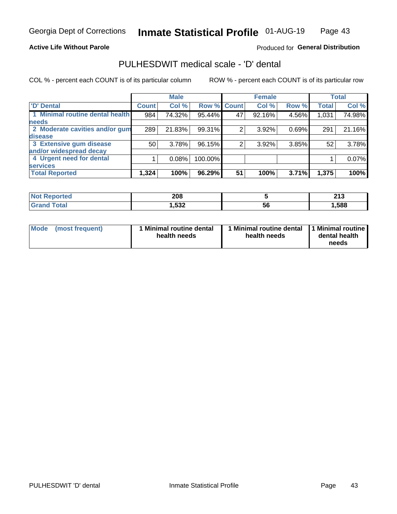#### **Active Life Without Parole**

#### Produced for General Distribution

# PULHESDWIT medical scale - 'D' dental

COL % - percent each COUNT is of its particular column

|                                 |              | <b>Male</b> |         |              | <b>Female</b> |       |              | <b>Total</b> |
|---------------------------------|--------------|-------------|---------|--------------|---------------|-------|--------------|--------------|
| <b>D'</b> Dental                | <b>Count</b> | Col %       | Row %   | <b>Count</b> | Col %         | Row % | <b>Total</b> | Col %        |
| 1 Minimal routine dental health | 984          | 74.32%      | 95.44%  | 47           | 92.16%        | 4.56% | 1,031        | 74.98%       |
| <b>needs</b>                    |              |             |         |              |               |       |              |              |
| 2 Moderate cavities and/or gum  | 289          | 21.83%      | 99.31%  |              | 3.92%         | 0.69% | 291          | 21.16%       |
| disease                         |              |             |         |              |               |       |              |              |
| 3 Extensive gum disease         | 50           | 3.78%       | 96.15%  | 2            | 3.92%         | 3.85% | 52           | 3.78%        |
| and/or widespread decay         |              |             |         |              |               |       |              |              |
| 4 Urgent need for dental        |              | 0.08%       | 100.00% |              |               |       |              | 0.07%        |
| <b>services</b>                 |              |             |         |              |               |       |              |              |
| <b>Total Reported</b>           | 1,324        | 100%        | 96.29%  | 51           | 100%          | 3.71% | 1,375        | 100%         |

| <b>Not Repo</b><br>orted<br>. | 208          |    | 245<br>4 I J |
|-------------------------------|--------------|----|--------------|
| Total                         | よつつ<br>גט, י | 56 | ,588         |

| <b>Mode</b> | (most frequent) | <b>Minimal routine dental</b><br>health needs | 1 Minimal routine dental   1 Minimal routine  <br>health needs | dental health<br>needs |
|-------------|-----------------|-----------------------------------------------|----------------------------------------------------------------|------------------------|
|-------------|-----------------|-----------------------------------------------|----------------------------------------------------------------|------------------------|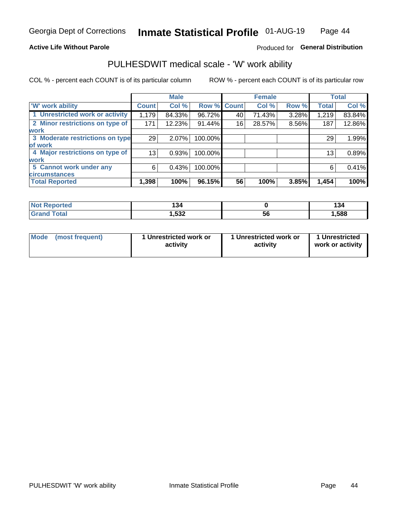#### **Active Life Without Parole**

#### Produced for General Distribution

### PULHESDWIT medical scale - 'W' work ability

COL % - percent each COUNT is of its particular column

|                                 |              | <b>Male</b> |         |             | <b>Female</b> |       |              | <b>Total</b> |
|---------------------------------|--------------|-------------|---------|-------------|---------------|-------|--------------|--------------|
| <b>W' work ability</b>          | <b>Count</b> | Col %       |         | Row % Count | Col %         | Row % | <b>Total</b> | Col %        |
| 1 Unrestricted work or activity | 1,179        | 84.33%      | 96.72%  | 40          | 71.43%        | 3.28% | 1,219        | 83.84%       |
| 2 Minor restrictions on type of | 171          | 12.23%      | 91.44%  | 16          | 28.57%        | 8.56% | 187          | 12.86%       |
| <b>work</b>                     |              |             |         |             |               |       |              |              |
| 3 Moderate restrictions on type | 29           | 2.07%       | 100.00% |             |               |       | 29           | 1.99%        |
| lof work                        |              |             |         |             |               |       |              |              |
| 4 Major restrictions on type of | 13           | 0.93%       | 100.00% |             |               |       | 13           | 0.89%        |
| <b>work</b>                     |              |             |         |             |               |       |              |              |
| 5 Cannot work under any         | 6            | 0.43%       | 100.00% |             |               |       | 6            | 0.41%        |
| <b>circumstances</b>            |              |             |         |             |               |       |              |              |
| <b>Total Reported</b>           | 1,398        | 100%        | 96.15%  | 56          | 100%          | 3.85% | 1,454        | 100%         |

| 'Not Reported        | 134   |          | דיו  |
|----------------------|-------|----------|------|
| <b>Total</b><br>Cron | 1,532 | <b>b</b> | ,588 |

| Mode (most frequent) | 1 Unrestricted work or | 1 Unrestricted work or | 1 Unrestricted   |
|----------------------|------------------------|------------------------|------------------|
|                      | activity               | activity               | work or activity |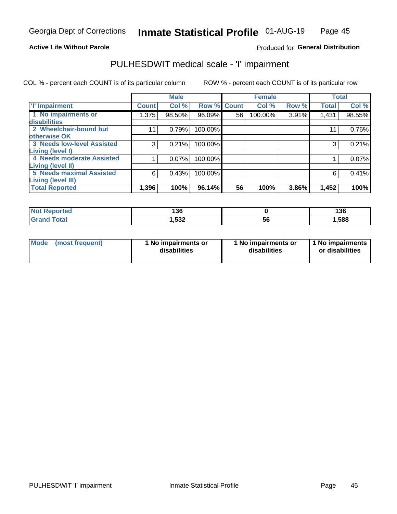#### **Active Life Without Parole**

#### Produced for General Distribution

# PULHESDWIT medical scale - 'I' impairment

COL % - percent each COUNT is of its particular column ROW % - percent each COUNT is of its particular row

|                                   |              | <b>Male</b> |             |    | <b>Female</b> |       |              | <b>Total</b> |
|-----------------------------------|--------------|-------------|-------------|----|---------------|-------|--------------|--------------|
| <b>T' Impairment</b>              | <b>Count</b> | Col %       | Row % Count |    | Col %         | Row % | <b>Total</b> | Col %        |
| 1 No impairments or               | 1,375        | 98.50%      | 96.09%      | 56 | 100.00%       | 3.91% | 1,431        | 98.55%       |
| <b>disabilities</b>               |              |             |             |    |               |       |              |              |
| 2 Wheelchair-bound but            | 11           | 0.79%       | 100.00%     |    |               |       | 11           | 0.76%        |
| otherwise OK                      |              |             |             |    |               |       |              |              |
| <b>3 Needs low-level Assisted</b> | 3            | 0.21%       | 100.00%     |    |               |       | 3            | 0.21%        |
| Living (level I)                  |              |             |             |    |               |       |              |              |
| 4 Needs moderate Assisted         |              | 0.07%       | 100.00%     |    |               |       |              | 0.07%        |
| Living (level II)                 |              |             |             |    |               |       |              |              |
| <b>5 Needs maximal Assisted</b>   | 6            | 0.43%       | 100.00%     |    |               |       | 6            | 0.41%        |
| <b>Living (level III)</b>         |              |             |             |    |               |       |              |              |
| <b>Total Reported</b>             | 1,396        | 100%        | 96.14%      | 56 | 100%          | 3.86% | 1,452        | 100%         |

| orted       | 136    |           | 136   |
|-------------|--------|-----------|-------|
| <b>otal</b> | 532, ا | . .<br>ჂႩ | 1,588 |

| Mode | (most frequent) | 1 No impairments or<br>disabilities | 1 No impairments or<br>disabilities | 1 No impairments<br>or disabilities |
|------|-----------------|-------------------------------------|-------------------------------------|-------------------------------------|
|------|-----------------|-------------------------------------|-------------------------------------|-------------------------------------|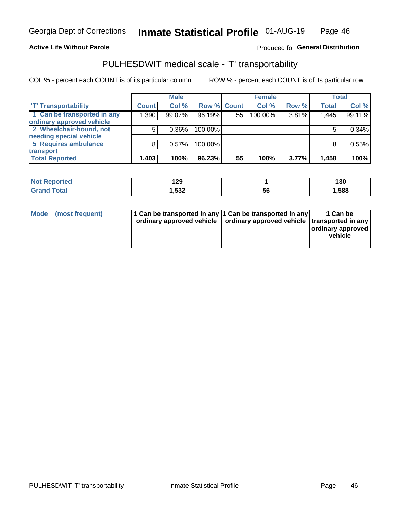#### **Active Life Without Parole**

#### Produced fo General Distribution

# PULHESDWIT medical scale - 'T' transportability

COL % - percent each COUNT is of its particular column

|                             |              | <b>Male</b> |             |    | <b>Female</b> |       |              | <b>Total</b> |
|-----------------------------|--------------|-------------|-------------|----|---------------|-------|--------------|--------------|
| <b>T' Transportability</b>  | <b>Count</b> | Col %       | Row % Count |    | Col %         | Row % | <b>Total</b> | Col %        |
| 1 Can be transported in any | 1,390        | 99.07%      | 96.19%      | 55 | 100.00%       | 3.81% | 1,445        | 99.11%       |
| ordinary approved vehicle   |              |             |             |    |               |       |              |              |
| 2 Wheelchair-bound, not     |              | $0.36\%$    | 100.00%     |    |               |       |              | 0.34%        |
| needing special vehicle     |              |             |             |    |               |       |              |              |
| 5 Requires ambulance        |              | 0.57%       | 100.00%     |    |               |       |              | 0.55%        |
| transport                   |              |             |             |    |               |       |              |              |
| <b>Total Reported</b>       | 1,403        | 100%        | 96.23%      | 55 | 100%          | 3.77% | 1,458        | 100%         |

| orteo       | 2C<br>173 |    | 130   |
|-------------|-----------|----|-------|
| <b>otal</b> | .532      | ჂႩ | 1,588 |

| Mode (most frequent) | 1 Can be transported in any 1 Can be transported in any | ordinary approved vehicle   ordinary approved vehicle   transported in any | 1 Can be<br>ordinary approved<br>vehicle |
|----------------------|---------------------------------------------------------|----------------------------------------------------------------------------|------------------------------------------|
|                      |                                                         |                                                                            |                                          |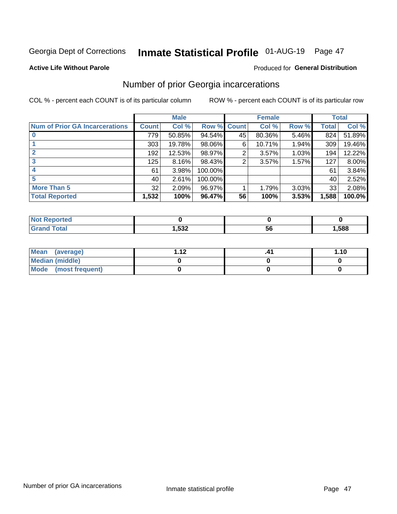# Inmate Statistical Profile 01-AUG-19 Page 47

#### **Active Life Without Parole**

#### **Produced for General Distribution**

### Number of prior Georgia incarcerations

COL % - percent each COUNT is of its particular column

|                                       |       | <b>Male</b> |             |    | <b>Female</b> |       |       | <b>Total</b> |
|---------------------------------------|-------|-------------|-------------|----|---------------|-------|-------|--------------|
| <b>Num of Prior GA Incarcerations</b> | Count | Col %       | Row % Count |    | Col %         | Row % | Total | Col %        |
|                                       | 779   | 50.85%      | $94.54\%$   | 45 | 80.36%        | 5.46% | 824   | 51.89%       |
|                                       | 303   | 19.78%      | 98.06%      | 6  | 10.71%        | 1.94% | 309   | 19.46%       |
|                                       | 192   | 12.53%      | 98.97%      | 2  | 3.57%         | 1.03% | 194   | 12.22%       |
| 3                                     | 125   | 8.16%       | 98.43%      | 2  | 3.57%         | 1.57% | 127   | 8.00%        |
| 4                                     | 61    | 3.98%       | 100.00%     |    |               |       | 61    | 3.84%        |
| 5                                     | 40 l  | 2.61%       | 100.00%     |    |               |       | 40    | 2.52%        |
| <b>More Than 5</b>                    | 32    | 2.09%       | 96.97%      |    | 1.79%         | 3.03% | 33    | 2.08%        |
| <b>Total Reported</b>                 | 1,532 | 100%        | 96.47%      | 56 | 100%          | 3.53% | 1,588 | 100.0%       |

| <b>orteo</b><br>NG |                      |    |      |
|--------------------|----------------------|----|------|
| <b>Total</b>       | <b>F00</b><br>∡دכ, ו | эt | .588 |

| Mean (average)       | 1 1 J | 1.10 |
|----------------------|-------|------|
| Median (middle)      |       |      |
| Mode (most frequent) |       |      |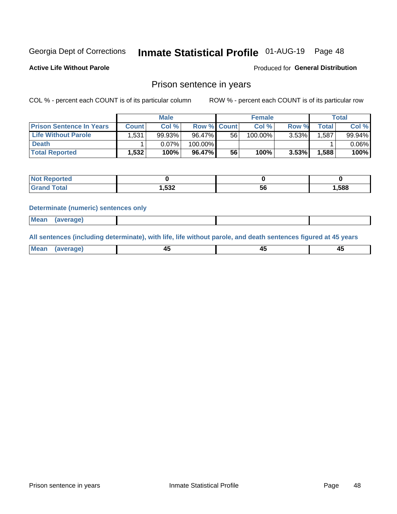# Inmate Statistical Profile 01-AUG-19 Page 48

**Active Life Without Parole** 

Produced for General Distribution

### Prison sentence in years

COL % - percent each COUNT is of its particular column

ROW % - percent each COUNT is of its particular row

|                                 |              | <b>Male</b> |                    |    | <b>Female</b> |          |             | Total    |
|---------------------------------|--------------|-------------|--------------------|----|---------------|----------|-------------|----------|
| <b>Prison Sentence In Years</b> | <b>Count</b> | Col %       | <b>Row % Count</b> |    | Col %         | Row %    | $\tau$ otal | Col %    |
| <b>Life Without Parole</b>      | 1,531        | 99.93%      | 96.47%             | 56 | 100.00%       | $3.53\%$ | .587        | 99.94%   |
| <b>Death</b>                    |              | 0.07%       | 100.00%            |    |               |          |             | $0.06\%$ |
| <b>Total Reported</b>           | 1,532        | 100%        | 96.47%             | 56 | 100%          | 3.53%    | ا 588. ا    | 100%     |

| portea       |       |    |       |
|--------------|-------|----|-------|
| <b>cotal</b> | 1,532 | ວບ | 1,588 |

#### **Determinate (numeric) sentences only**

| ' Mea<br><b>Service</b> A<br>ЯМА. |  |  |  |
|-----------------------------------|--|--|--|
|                                   |  |  |  |

All sentences (including determinate), with life, life without parole, and death sentences figured at 45 years

| l Mea<br>חר<br> | ᠇៶<br>$\sim$ | $\sim$ | ╌ |
|-----------------|--------------|--------|---|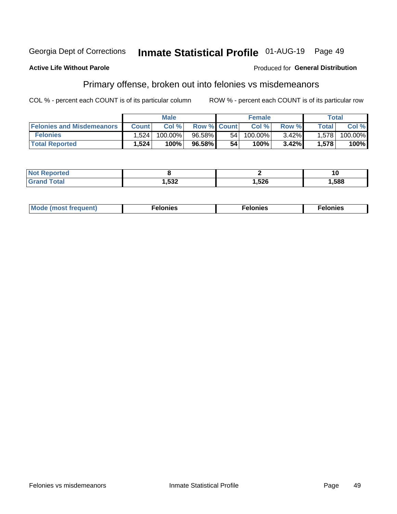#### Georgia Dept of Corrections Inmate Statistical Profile 01-AUG-19 Page 49

#### **Active Life Without Parole**

#### Produced for General Distribution

### Primary offense, broken out into felonies vs misdemeanors

COL % - percent each COUNT is of its particular column

|                                  |              | <b>Male</b> |                    |      | <b>Female</b> |       |                    | Total   |
|----------------------------------|--------------|-------------|--------------------|------|---------------|-------|--------------------|---------|
| <b>Felonies and Misdemeanors</b> | <b>Count</b> | Col%        | <b>Row % Count</b> |      | Col%          | Row % | Total <sub>1</sub> | Col %   |
| <b>Felonies</b>                  | 1.524        | 100.00%     | 96.58%             | 54 I | 100.00%       | 3.42% | 1.578              | 100.00% |
| <b>Total Reported</b>            | .524         | 100%        | 96.58%             | 54   | $100\%$       | 3.42% | 1.578              | 100%    |

| <b>Not Reported</b>          |       |      | 10   |
|------------------------------|-------|------|------|
| <b>Fotal</b><br>Grand<br>uuu | 1,532 | ,526 | ,588 |

| Mode (most frequent)<br>elonies | Felonies | Felonies |
|---------------------------------|----------|----------|
|---------------------------------|----------|----------|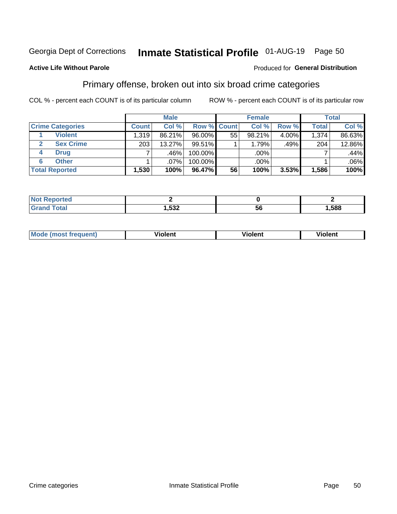# Inmate Statistical Profile 01-AUG-19 Page 50

#### **Active Life Without Parole**

#### Produced for General Distribution

### Primary offense, broken out into six broad crime categories

COL % - percent each COUNT is of its particular column

|                         |              | <b>Male</b> |           |                    | <b>Female</b> |          |              | <b>Total</b> |
|-------------------------|--------------|-------------|-----------|--------------------|---------------|----------|--------------|--------------|
| <b>Crime Categories</b> | <b>Count</b> | Col %       |           | <b>Row % Count</b> | Col %         | Row %    | <b>Total</b> | Col %        |
| <b>Violent</b>          | 1,319        | 86.21%      | 96.00%    | 55                 | 98.21%        | $4.00\%$ | 1,374        | 86.63%       |
| <b>Sex Crime</b><br>2   | 203          | 13.27%      | $99.51\%$ |                    | 1.79%         | .49%     | 204          | 12.86%       |
| <b>Drug</b><br>4        | 7            | $.46\%$     | 100.00%   |                    | .00%          |          |              | .44%         |
| <b>Other</b><br>6       |              | $.07\%$     | 100.00%   |                    | .00%          |          |              | $.06\%$      |
| <b>Total Reported</b>   | 1,530        | 100%        | 96.47%    | 56                 | 100%          | $3.53\%$ | 1,586        | 100%         |

| prtea<br><b>NOT REPO</b> |              |     |      |
|--------------------------|--------------|-----|------|
| <b>Total</b>             | よつつ<br>∍ ∟כה | ้วเ | ,588 |

| <b>Mode (most frequent)</b> | <br>'iolent | Violent | --<br><b>Violent</b> |
|-----------------------------|-------------|---------|----------------------|
|                             |             |         |                      |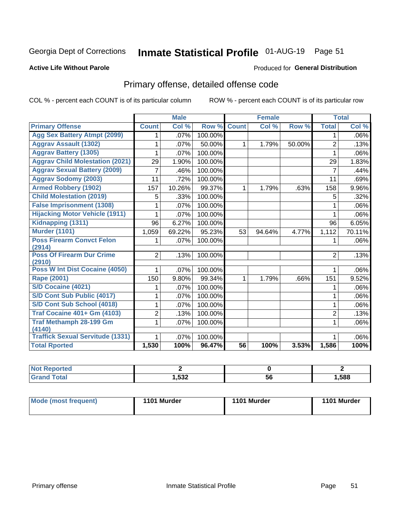# Inmate Statistical Profile 01-AUG-19 Page 51

#### **Active Life Without Parole**

#### Produced for General Distribution

# Primary offense, detailed offense code

COL % - percent each COUNT is of its particular column

|                                            |                | <b>Male</b> |         | <b>Female</b>   |        |        |                | <b>Total</b> |
|--------------------------------------------|----------------|-------------|---------|-----------------|--------|--------|----------------|--------------|
| <b>Primary Offense</b>                     | <b>Count</b>   | Col %       | Row %   | <b>Count</b>    | Col %  | Row %  | <b>Total</b>   | Col %        |
| <b>Agg Sex Battery Atmpt (2099)</b>        | 1              | .07%        | 100.00% |                 |        |        | 1              | $.06\%$      |
| <b>Aggrav Assault (1302)</b>               | 1              | .07%        | 50.00%  | 1               | 1.79%  | 50.00% | $\overline{2}$ | .13%         |
| <b>Aggrav Battery (1305)</b>               | 1              | .07%        | 100.00% |                 |        |        | 1              | $.06\%$      |
| <b>Aggrav Child Molestation (2021)</b>     | 29             | 1.90%       | 100.00% |                 |        |        | 29             | 1.83%        |
| <b>Aggrav Sexual Battery (2009)</b>        | 7              | .46%        | 100.00% |                 |        |        | 7              | .44%         |
| <b>Aggrav Sodomy (2003)</b>                | 11             | .72%        | 100.00% |                 |        |        | 11             | .69%         |
| <b>Armed Robbery (1902)</b>                | 157            | 10.26%      | 99.37%  | $\mathbf{1}$    | 1.79%  | .63%   | 158            | 9.96%        |
| <b>Child Molestation (2019)</b>            | 5              | .33%        | 100.00% |                 |        |        | 5              | .32%         |
| <b>False Imprisonment (1308)</b>           | 1              | .07%        | 100.00% |                 |        |        | 1              | $.06\%$      |
| <b>Hijacking Motor Vehicle (1911)</b>      | 1              | .07%        | 100.00% |                 |        |        | 1              | $.06\%$      |
| Kidnapping (1311)                          | 96             | 6.27%       | 100.00% |                 |        |        | 96             | 6.05%        |
| <b>Murder (1101)</b>                       | 1,059          | 69.22%      | 95.23%  | 53              | 94.64% | 4.77%  | 1,112          | 70.11%       |
| <b>Poss Firearm Convct Felon</b>           | 1.             | .07%        | 100.00% |                 |        |        |                | $.06\%$      |
| (2914)                                     |                |             |         |                 |        |        |                |              |
| <b>Poss Of Firearm Dur Crime</b><br>(2910) | $\overline{2}$ | .13%        | 100.00% |                 |        |        | $\overline{2}$ | .13%         |
| Poss W Int Dist Cocaine (4050)             |                | .07%        | 100.00% |                 |        |        |                | $.06\%$      |
| Rape (2001)                                | 150            | 9.80%       | 99.34%  | $\mathbf{1}$    | 1.79%  | .66%   | 151            | 9.52%        |
| S/D Cocaine (4021)                         | 1              | .07%        | 100.00% |                 |        |        | 1              | $.06\%$      |
| S/D Cont Sub Public (4017)                 | 1              | .07%        | 100.00% |                 |        |        | 1              | $.06\%$      |
| S/D Cont Sub School (4018)                 | 1              | .07%        | 100.00% |                 |        |        | 1              | $.06\%$      |
| <b>Traf Cocaine 401+ Gm (4103)</b>         | $\overline{2}$ | .13%        | 100.00% |                 |        |        | $\overline{2}$ | .13%         |
| <b>Traf Methamph 28-199 Gm</b>             | 1              | .07%        | 100.00% |                 |        |        | 1              | .06%         |
| (4140)                                     |                |             |         |                 |        |        |                |              |
| <b>Traffick Sexual Servitude (1331)</b>    | 1              | .07%        | 100.00% |                 |        |        |                | $.06\%$      |
| <b>Total Rported</b>                       | 1,530          | 100%        | 96.47%  | $\overline{56}$ | 100%   | 3.53%  | 1,586          | 100%         |

| NI.<br>porteg |             |    |      |
|---------------|-------------|----|------|
|               | よつつ<br>,טט, | эt | ,588 |

| <b>Mode (most frequent)</b> | 1101 Murder | 1101 Murder | 1101 Murder |
|-----------------------------|-------------|-------------|-------------|
|                             |             |             |             |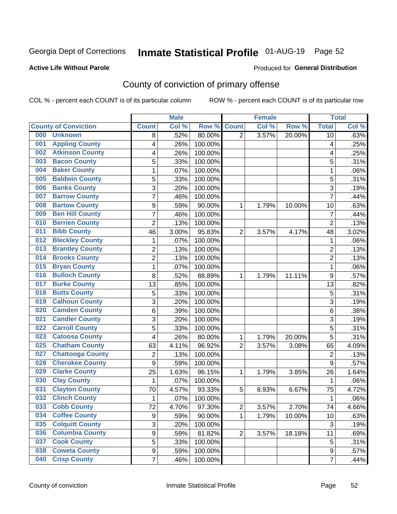# Inmate Statistical Profile 01-AUG-19 Page 52

#### **Active Life Without Parole**

#### **Produced for General Distribution**

# County of conviction of primary offense

COL % - percent each COUNT is of its particular column

|                                |                  | <b>Male</b> |         | <b>Female</b>  |       |        | <b>Total</b>            |       |
|--------------------------------|------------------|-------------|---------|----------------|-------|--------|-------------------------|-------|
| <b>County of Conviction</b>    | <b>Count</b>     | Col %       | Row %   | <b>Count</b>   | Col % | Row %  | <b>Total</b>            | Col % |
| 000<br><b>Unknown</b>          | 8                | .52%        | 80.00%  | 2              | 3.57% | 20.00% | 10                      | .63%  |
| <b>Appling County</b><br>001   | 4                | .26%        | 100.00% |                |       |        | $\overline{\mathbf{4}}$ | .25%  |
| <b>Atkinson County</b><br>002  | 4                | .26%        | 100.00% |                |       |        | 4                       | .25%  |
| <b>Bacon County</b><br>003     | 5                | .33%        | 100.00% |                |       |        | 5                       | .31%  |
| <b>Baker County</b><br>004     | 1                | .07%        | 100.00% |                |       |        | 1                       | .06%  |
| <b>Baldwin County</b><br>005   | 5                | .33%        | 100.00% |                |       |        | 5                       | .31%  |
| <b>Banks County</b><br>006     | 3                | .20%        | 100.00% |                |       |        | 3                       | .19%  |
| <b>Barrow County</b><br>007    | $\overline{7}$   | .46%        | 100.00% |                |       |        | $\overline{7}$          | .44%  |
| <b>Bartow County</b><br>008    | 9                | .59%        | 90.00%  | 1              | 1.79% | 10.00% | 10                      | .63%  |
| <b>Ben Hill County</b><br>009  | $\overline{7}$   | .46%        | 100.00% |                |       |        | 7                       | .44%  |
| <b>Berrien County</b><br>010   | $\overline{c}$   | .13%        | 100.00% |                |       |        | $\overline{c}$          | .13%  |
| <b>Bibb County</b><br>011      | 46               | 3.00%       | 95.83%  | $\overline{2}$ | 3.57% | 4.17%  | 48                      | 3.02% |
| <b>Bleckley County</b><br>012  | 1                | .07%        | 100.00% |                |       |        | $\mathbf{1}$            | .06%  |
| <b>Brantley County</b><br>013  | $\overline{2}$   | .13%        | 100.00% |                |       |        | $\overline{2}$          | .13%  |
| <b>Brooks County</b><br>014    | $\overline{c}$   | .13%        | 100.00% |                |       |        | $\overline{c}$          | .13%  |
| <b>Bryan County</b><br>015     | 1                | .07%        | 100.00% |                |       |        | $\mathbf{1}$            | .06%  |
| <b>Bulloch County</b><br>016   | 8                | .52%        | 88.89%  | 1              | 1.79% | 11.11% | 9                       | .57%  |
| <b>Burke County</b><br>017     | 13               | .85%        | 100.00% |                |       |        | 13                      | .82%  |
| <b>Butts County</b><br>018     | 5                | .33%        | 100.00% |                |       |        | $\overline{5}$          | .31%  |
| <b>Calhoun County</b><br>019   | $\overline{3}$   | .20%        | 100.00% |                |       |        | $\overline{3}$          | .19%  |
| <b>Camden County</b><br>020    | 6                | .39%        | 100.00% |                |       |        | $\,6\,$                 | .38%  |
| <b>Candler County</b><br>021   | 3                | .20%        | 100.00% |                |       |        | 3                       | .19%  |
| <b>Carroll County</b><br>022   | 5                | .33%        | 100.00% |                |       |        | 5                       | .31%  |
| <b>Catoosa County</b><br>023   | 4                | .26%        | 80.00%  | 1              | 1.79% | 20.00% | 5                       | .31%  |
| <b>Chatham County</b><br>025   | 63               | 4.11%       | 96.92%  | $\overline{2}$ | 3.57% | 3.08%  | 65                      | 4.09% |
| <b>Chattooga County</b><br>027 | $\overline{2}$   | .13%        | 100.00% |                |       |        | $\overline{2}$          | .13%  |
| <b>Cherokee County</b><br>028  | $\boldsymbol{9}$ | .59%        | 100.00% |                |       |        | $9\,$                   | .57%  |
| <b>Clarke County</b><br>029    | 25               | 1.63%       | 96.15%  | 1              | 1.79% | 3.85%  | 26                      | 1.64% |
| <b>Clay County</b><br>030      | $\mathbf 1$      | .07%        | 100.00% |                |       |        | $\mathbf{1}$            | .06%  |
| <b>Clayton County</b><br>031   | 70               | 4.57%       | 93.33%  | 5              | 8.93% | 6.67%  | 75                      | 4.72% |
| <b>Clinch County</b><br>032    | 1                | .07%        | 100.00% |                |       |        | 1                       | .06%  |
| <b>Cobb County</b><br>033      | 72               | 4.70%       | 97.30%  | 2              | 3.57% | 2.70%  | 74                      | 4.66% |
| <b>Coffee County</b><br>034    | 9                | .59%        | 90.00%  | 1              | 1.79% | 10.00% | 10                      | .63%  |
| <b>Colquitt County</b><br>035  | 3                | .20%        | 100.00% |                |       |        | $\mathbf{3}$            | .19%  |
| <b>Columbia County</b><br>036  | $\boldsymbol{9}$ | .59%        | 81.82%  | $\overline{2}$ | 3.57% | 18.18% | 11                      | .69%  |
| <b>Cook County</b><br>037      | 5                | .33%        | 100.00% |                |       |        | $\sqrt{5}$              | .31%  |
| <b>Coweta County</b><br>038    | 9                | .59%        | 100.00% |                |       |        | 9                       | .57%  |
| <b>Crisp County</b><br>040     | $\overline{7}$   | .46%        | 100.00% |                |       |        | $\overline{7}$          | .44%  |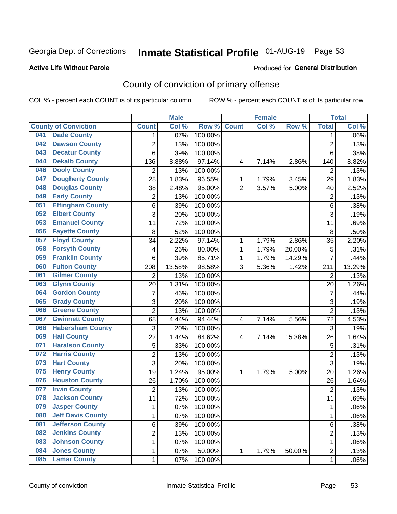# Inmate Statistical Profile 01-AUG-19 Page 53

#### **Active Life Without Parole**

#### Produced for General Distribution

# County of conviction of primary offense

COL % - percent each COUNT is of its particular column

|     |                             |                         | <b>Male</b> |         |                | <b>Female</b> |        |                | <b>Total</b> |
|-----|-----------------------------|-------------------------|-------------|---------|----------------|---------------|--------|----------------|--------------|
|     | <b>County of Conviction</b> | <b>Count</b>            | Col %       | Row %   | <b>Count</b>   | Col %         | Row %  | <b>Total</b>   | Col %        |
| 041 | <b>Dade County</b>          | 1                       | .07%        | 100.00% |                |               |        | 1              | .06%         |
| 042 | <b>Dawson County</b>        | $\overline{2}$          | .13%        | 100.00% |                |               |        | $\overline{2}$ | .13%         |
| 043 | <b>Decatur County</b>       | 6                       | .39%        | 100.00% |                |               |        | 6              | .38%         |
| 044 | <b>Dekalb County</b>        | 136                     | 8.88%       | 97.14%  | 4              | 7.14%         | 2.86%  | 140            | 8.82%        |
| 046 | <b>Dooly County</b>         | $\overline{2}$          | .13%        | 100.00% |                |               |        | $\overline{2}$ | .13%         |
| 047 | <b>Dougherty County</b>     | 28                      | 1.83%       | 96.55%  | 1              | 1.79%         | 3.45%  | 29             | 1.83%        |
| 048 | <b>Douglas County</b>       | 38                      | 2.48%       | 95.00%  | $\overline{2}$ | 3.57%         | 5.00%  | 40             | 2.52%        |
| 049 | <b>Early County</b>         | $\mathbf 2$             | .13%        | 100.00% |                |               |        | $\overline{2}$ | .13%         |
| 051 | <b>Effingham County</b>     | 6                       | .39%        | 100.00% |                |               |        | 6              | .38%         |
| 052 | <b>Elbert County</b>        | 3                       | .20%        | 100.00% |                |               |        | 3              | .19%         |
| 053 | <b>Emanuel County</b>       | 11                      | .72%        | 100.00% |                |               |        | 11             | .69%         |
| 056 | <b>Fayette County</b>       | 8                       | .52%        | 100.00% |                |               |        | 8              | .50%         |
| 057 | <b>Floyd County</b>         | 34                      | 2.22%       | 97.14%  | $\mathbf{1}$   | 1.79%         | 2.86%  | 35             | 2.20%        |
| 058 | <b>Forsyth County</b>       | 4                       | .26%        | 80.00%  | 1              | 1.79%         | 20.00% | 5              | .31%         |
| 059 | <b>Franklin County</b>      | 6                       | .39%        | 85.71%  | 1              | 1.79%         | 14.29% | $\overline{7}$ | .44%         |
| 060 | <b>Fulton County</b>        | 208                     | 13.58%      | 98.58%  | 3              | 5.36%         | 1.42%  | 211            | 13.29%       |
| 061 | <b>Gilmer County</b>        | $\overline{2}$          | .13%        | 100.00% |                |               |        | $\overline{2}$ | .13%         |
| 063 | <b>Glynn County</b>         | 20                      | 1.31%       | 100.00% |                |               |        | 20             | 1.26%        |
| 064 | <b>Gordon County</b>        | $\overline{7}$          | .46%        | 100.00% |                |               |        | $\overline{7}$ | .44%         |
| 065 | <b>Grady County</b>         | 3                       | .20%        | 100.00% |                |               |        | $\overline{3}$ | .19%         |
| 066 | <b>Greene County</b>        | $\overline{2}$          | .13%        | 100.00% |                |               |        | $\overline{2}$ | .13%         |
| 067 | <b>Gwinnett County</b>      | 68                      | 4.44%       | 94.44%  | 4              | 7.14%         | 5.56%  | 72             | 4.53%        |
| 068 | <b>Habersham County</b>     | 3                       | .20%        | 100.00% |                |               |        | 3              | .19%         |
| 069 | <b>Hall County</b>          | 22                      | 1.44%       | 84.62%  | 4              | 7.14%         | 15.38% | 26             | 1.64%        |
| 071 | <b>Haralson County</b>      | 5                       | .33%        | 100.00% |                |               |        | 5              | .31%         |
| 072 | <b>Harris County</b>        | $\overline{2}$          | .13%        | 100.00% |                |               |        | $\overline{2}$ | .13%         |
| 073 | <b>Hart County</b>          | 3                       | .20%        | 100.00% |                |               |        | $\overline{3}$ | .19%         |
| 075 | <b>Henry County</b>         | 19                      | 1.24%       | 95.00%  | 1              | 1.79%         | 5.00%  | 20             | 1.26%        |
| 076 | <b>Houston County</b>       | 26                      | 1.70%       | 100.00% |                |               |        | 26             | 1.64%        |
| 077 | <b>Irwin County</b>         | $\overline{2}$          | .13%        | 100.00% |                |               |        | $\overline{2}$ | .13%         |
| 078 | <b>Jackson County</b>       | 11                      | .72%        | 100.00% |                |               |        | 11             | .69%         |
| 079 | <b>Jasper County</b>        | 1                       | .07%        | 100.00% |                |               |        | 1              | .06%         |
| 080 | <b>Jeff Davis County</b>    | 1                       | .07%        | 100.00% |                |               |        | $\mathbf{1}$   | .06%         |
| 081 | <b>Jefferson County</b>     | 6                       | .39%        | 100.00% |                |               |        | 6              | .38%         |
| 082 | <b>Jenkins County</b>       | $\overline{\mathbf{c}}$ | .13%        | 100.00% |                |               |        | $\overline{2}$ | .13%         |
| 083 | <b>Johnson County</b>       | 1                       | .07%        | 100.00% |                |               |        | $\mathbf{1}$   | .06%         |
| 084 | <b>Jones County</b>         | 1                       | .07%        | 50.00%  | $\mathbf{1}$   | 1.79%         | 50.00% | $\overline{c}$ | .13%         |
| 085 | <b>Lamar County</b>         | $\mathbf 1$             | .07%        | 100.00% |                |               |        | $\mathbf 1$    | .06%         |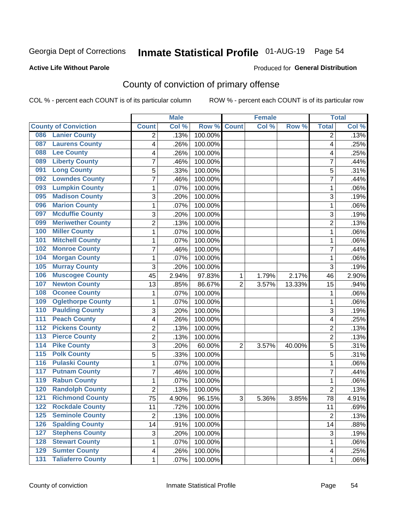# Inmate Statistical Profile 01-AUG-19 Page 54

#### **Active Life Without Parole**

#### Produced for General Distribution

# County of conviction of primary offense

COL % - percent each COUNT is of its particular column

|                  |                             |                | <b>Male</b> |                  | <b>Female</b>  |       |        | <b>Total</b>    |       |
|------------------|-----------------------------|----------------|-------------|------------------|----------------|-------|--------|-----------------|-------|
|                  | <b>County of Conviction</b> | <b>Count</b>   | Col %       | Row <sup>%</sup> | <b>Count</b>   | Col % | Row %  | <b>Total</b>    | Col%  |
| 086              | <b>Lanier County</b>        | 2              | .13%        | 100.00%          |                |       |        | 2               | .13%  |
| 087              | <b>Laurens County</b>       | 4              | .26%        | 100.00%          |                |       |        | 4               | .25%  |
| 088              | <b>Lee County</b>           | 4              | .26%        | 100.00%          |                |       |        | 4               | .25%  |
| 089              | <b>Liberty County</b>       | $\overline{7}$ | .46%        | 100.00%          |                |       |        | $\overline{7}$  | .44%  |
| 091              | <b>Long County</b>          | 5              | .33%        | 100.00%          |                |       |        | 5               | .31%  |
| 092              | <b>Lowndes County</b>       | 7              | .46%        | 100.00%          |                |       |        | $\overline{7}$  | .44%  |
| 093              | <b>Lumpkin County</b>       | 1              | .07%        | 100.00%          |                |       |        | 1               | .06%  |
| 095              | <b>Madison County</b>       | 3              | .20%        | 100.00%          |                |       |        | 3               | .19%  |
| 096              | <b>Marion County</b>        | 1              | .07%        | 100.00%          |                |       |        | 1               | .06%  |
| 097              | <b>Mcduffie County</b>      | 3              | .20%        | 100.00%          |                |       |        | 3               | .19%  |
| 099              | <b>Meriwether County</b>    | $\overline{2}$ | .13%        | 100.00%          |                |       |        | $\overline{2}$  | .13%  |
| 100              | <b>Miller County</b>        | 1              | .07%        | 100.00%          |                |       |        | $\mathbf{1}$    | .06%  |
| 101              | <b>Mitchell County</b>      | 1              | .07%        | 100.00%          |                |       |        | 1               | .06%  |
| 102              | <b>Monroe County</b>        | $\overline{7}$ | .46%        | 100.00%          |                |       |        | $\overline{7}$  | .44%  |
| 104              | <b>Morgan County</b>        | 1              | .07%        | 100.00%          |                |       |        | 1               | .06%  |
| 105              | <b>Murray County</b>        | 3              | .20%        | 100.00%          |                |       |        | 3               | .19%  |
| 106              | <b>Muscogee County</b>      | 45             | 2.94%       | 97.83%           | 1              | 1.79% | 2.17%  | 46              | 2.90% |
| 107              | <b>Newton County</b>        | 13             | .85%        | 86.67%           | $\overline{2}$ | 3.57% | 13.33% | 15              | .94%  |
| 108              | <b>Oconee County</b>        | 1              | .07%        | 100.00%          |                |       |        | 1               | .06%  |
| 109              | <b>Oglethorpe County</b>    | 1              | .07%        | 100.00%          |                |       |        | 1               | .06%  |
| 110              | <b>Paulding County</b>      | 3              | .20%        | 100.00%          |                |       |        | 3               | .19%  |
| 111              | <b>Peach County</b>         | 4              | .26%        | 100.00%          |                |       |        | 4               | .25%  |
| $\overline{112}$ | <b>Pickens County</b>       | $\overline{2}$ | .13%        | 100.00%          |                |       |        | $\overline{2}$  | .13%  |
| $\overline{113}$ | <b>Pierce County</b>        | $\overline{2}$ | .13%        | 100.00%          |                |       |        | $\overline{2}$  | .13%  |
| 114              | <b>Pike County</b>          | 3              | .20%        | 60.00%           | $\overline{2}$ | 3.57% | 40.00% | 5               | .31%  |
| $\overline{115}$ | <b>Polk County</b>          | 5              | .33%        | 100.00%          |                |       |        | 5               | .31%  |
| $\overline{116}$ | <b>Pulaski County</b>       | 1              | .07%        | 100.00%          |                |       |        | 1               | .06%  |
| 117              | <b>Putnam County</b>        | $\overline{7}$ | .46%        | 100.00%          |                |       |        | $\overline{7}$  | .44%  |
| 119              | <b>Rabun County</b>         | 1              | .07%        | 100.00%          |                |       |        | 1               | .06%  |
| 120              | <b>Randolph County</b>      | $\overline{2}$ | .13%        | 100.00%          |                |       |        | $\overline{2}$  | .13%  |
| 121              | <b>Richmond County</b>      | 75             | 4.90%       | 96.15%           | 3              | 5.36% | 3.85%  | 78              | 4.91% |
| 122              | <b>Rockdale County</b>      | 11             | .72%        | 100.00%          |                |       |        | $\overline{11}$ | .69%  |
| 125              | <b>Seminole County</b>      | $\overline{2}$ | .13%        | 100.00%          |                |       |        | $\overline{2}$  | .13%  |
| 126              | <b>Spalding County</b>      | 14             | .91%        | 100.00%          |                |       |        | 14              | .88%  |
| 127              | <b>Stephens County</b>      | 3              | .20%        | 100.00%          |                |       |        | 3               | .19%  |
| 128              | <b>Stewart County</b>       | 1              | .07%        | 100.00%          |                |       |        | $\mathbf{1}$    | .06%  |
| 129              | <b>Sumter County</b>        | 4              | .26%        | 100.00%          |                |       |        | 4               | .25%  |
| $\overline{131}$ | <b>Taliaferro County</b>    | 1              | .07%        | 100.00%          |                |       |        | 1               | .06%  |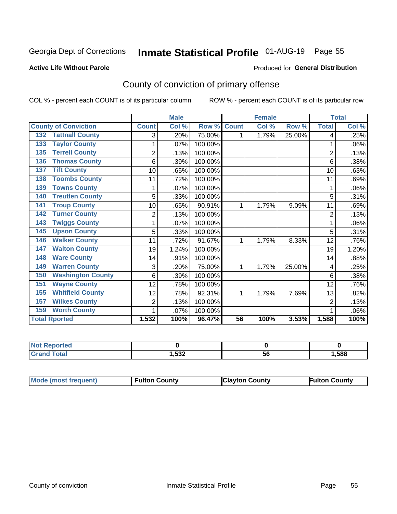# Inmate Statistical Profile 01-AUG-19 Page 55

#### **Active Life Without Parole**

#### Produced for General Distribution

# County of conviction of primary offense

COL % - percent each COUNT is of its particular column

|                                 |                | <b>Male</b> |         |                 | <b>Female</b> |        |                | <b>Total</b> |  |
|---------------------------------|----------------|-------------|---------|-----------------|---------------|--------|----------------|--------------|--|
| <b>County of Conviction</b>     | <b>Count</b>   | Col %       | Row %   | <b>Count</b>    | Col %         | Row %  | <b>Total</b>   | Col %        |  |
| <b>Tattnall County</b><br>132   | 3              | .20%        | 75.00%  | 1               | 1.79%         | 25.00% | 4              | .25%         |  |
| <b>Taylor County</b><br>133     | 1              | .07%        | 100.00% |                 |               |        | 1              | .06%         |  |
| <b>Terrell County</b><br>135    | $\overline{2}$ | .13%        | 100.00% |                 |               |        | $\overline{2}$ | .13%         |  |
| <b>Thomas County</b><br>136     | 6              | .39%        | 100.00% |                 |               |        | 6              | .38%         |  |
| <b>Tift County</b><br>137       | 10             | .65%        | 100.00% |                 |               |        | 10             | .63%         |  |
| <b>Toombs County</b><br>138     | 11             | .72%        | 100.00% |                 |               |        | 11             | .69%         |  |
| <b>Towns County</b><br>139      |                | .07%        | 100.00% |                 |               |        | 1              | .06%         |  |
| <b>Treutlen County</b><br>140   | 5              | .33%        | 100.00% |                 |               |        | 5              | .31%         |  |
| <b>Troup County</b><br>141      | 10             | .65%        | 90.91%  | 1               | 1.79%         | 9.09%  | 11             | .69%         |  |
| <b>Turner County</b><br>142     | $\overline{2}$ | .13%        | 100.00% |                 |               |        | $\overline{2}$ | .13%         |  |
| <b>Twiggs County</b><br>143     | 1              | .07%        | 100.00% |                 |               |        | 1              | .06%         |  |
| <b>Upson County</b><br>145      | 5              | .33%        | 100.00% |                 |               |        | 5              | .31%         |  |
| <b>Walker County</b><br>146     | 11             | .72%        | 91.67%  | 1               | 1.79%         | 8.33%  | 12             | .76%         |  |
| <b>Walton County</b><br>147     | 19             | 1.24%       | 100.00% |                 |               |        | 19             | 1.20%        |  |
| <b>Ware County</b><br>148       | 14             | .91%        | 100.00% |                 |               |        | 14             | .88%         |  |
| <b>Warren County</b><br>149     | 3              | .20%        | 75.00%  | 1               | 1.79%         | 25.00% | 4              | .25%         |  |
| <b>Washington County</b><br>150 | 6              | .39%        | 100.00% |                 |               |        | 6              | .38%         |  |
| <b>Wayne County</b><br>151      | 12             | .78%        | 100.00% |                 |               |        | 12             | .76%         |  |
| <b>Whitfield County</b><br>155  | 12             | .78%        | 92.31%  | 1               | 1.79%         | 7.69%  | 13             | .82%         |  |
| <b>Wilkes County</b><br>157     | 2              | .13%        | 100.00% |                 |               |        | $\overline{2}$ | .13%         |  |
| <b>Worth County</b><br>159      | 1              | .07%        | 100.00% |                 |               |        | 1              | .06%         |  |
| <b>Total Rported</b>            | 1,532          | 100%        | 96.47%  | $\overline{56}$ | 100%          | 3.53%  | 1,588          | 100%         |  |

| <b>o</b> rteo                   |       |     |      |
|---------------------------------|-------|-----|------|
| <b>otal</b><br>$\mathbf{v}$ and | 1,532 | ่วเ | ,588 |

| Mode (most frequent) | <b>Fulton County</b> | <b>IClayton County</b> | <b>Fulton County</b> |
|----------------------|----------------------|------------------------|----------------------|
|----------------------|----------------------|------------------------|----------------------|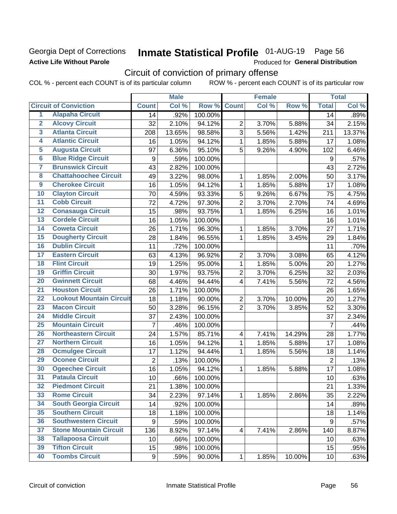### Georgia Dept of Corrections **Active Life Without Parole**

# Inmate Statistical Profile 01-AUG-19 Page 56

Produced for General Distribution

# Circuit of conviction of primary offense

COL % - percent each COUNT is of its particular column ROW % - percent each COUNT is of its particular row

|                         |                                 |                | <b>Male</b> |         |                | <b>Female</b> |        |                  | <b>Total</b> |
|-------------------------|---------------------------------|----------------|-------------|---------|----------------|---------------|--------|------------------|--------------|
|                         | <b>Circuit of Conviction</b>    | <b>Count</b>   | Col %       | Row %   | <b>Count</b>   | Col %         | Row %  | <b>Total</b>     | Col %        |
| 1                       | <b>Alapaha Circuit</b>          | 14             | .92%        | 100.00% |                |               |        | 14               | .89%         |
| $\overline{2}$          | <b>Alcovy Circuit</b>           | 32             | 2.10%       | 94.12%  | $\overline{2}$ | 3.70%         | 5.88%  | 34               | 2.15%        |
| $\overline{\mathbf{3}}$ | <b>Atlanta Circuit</b>          | 208            | 13.65%      | 98.58%  | 3              | 5.56%         | 1.42%  | 211              | 13.37%       |
| 4                       | <b>Atlantic Circuit</b>         | 16             | 1.05%       | 94.12%  | $\mathbf{1}$   | 1.85%         | 5.88%  | 17               | 1.08%        |
| $\overline{5}$          | <b>Augusta Circuit</b>          | 97             | 6.36%       | 95.10%  | 5              | 9.26%         | 4.90%  | 102              | 6.46%        |
| $\overline{6}$          | <b>Blue Ridge Circuit</b>       | 9              | .59%        | 100.00% |                |               |        | $\boldsymbol{9}$ | .57%         |
| 7                       | <b>Brunswick Circuit</b>        | 43             | 2.82%       | 100.00% |                |               |        | 43               | 2.72%        |
| 8                       | <b>Chattahoochee Circuit</b>    | 49             | 3.22%       | 98.00%  | 1              | 1.85%         | 2.00%  | 50               | 3.17%        |
| $\overline{9}$          | <b>Cherokee Circuit</b>         | 16             | 1.05%       | 94.12%  | 1              | 1.85%         | 5.88%  | 17               | 1.08%        |
| 10                      | <b>Clayton Circuit</b>          | 70             | 4.59%       | 93.33%  | 5              | 9.26%         | 6.67%  | 75               | 4.75%        |
| $\overline{11}$         | <b>Cobb Circuit</b>             | 72             | 4.72%       | 97.30%  | $\overline{2}$ | 3.70%         | 2.70%  | 74               | 4.69%        |
| $\overline{12}$         | <b>Conasauga Circuit</b>        | 15             | .98%        | 93.75%  | $\mathbf{1}$   | 1.85%         | 6.25%  | 16               | 1.01%        |
| $\overline{13}$         | <b>Cordele Circuit</b>          | 16             | 1.05%       | 100.00% |                |               |        | 16               | 1.01%        |
| $\overline{14}$         | <b>Coweta Circuit</b>           | 26             | 1.71%       | 96.30%  | $\mathbf{1}$   | 1.85%         | 3.70%  | 27               | 1.71%        |
| $\overline{15}$         | <b>Dougherty Circuit</b>        | 28             | 1.84%       | 96.55%  | $\mathbf{1}$   | 1.85%         | 3.45%  | 29               | 1.84%        |
| 16                      | <b>Dublin Circuit</b>           | 11             | .72%        | 100.00% |                |               |        | 11               | .70%         |
| $\overline{17}$         | <b>Eastern Circuit</b>          | 63             | 4.13%       | 96.92%  | $\overline{2}$ | 3.70%         | 3.08%  | 65               | 4.12%        |
| $\overline{18}$         | <b>Flint Circuit</b>            | 19             | 1.25%       | 95.00%  | $\mathbf{1}$   | 1.85%         | 5.00%  | 20               | 1.27%        |
| 19                      | <b>Griffin Circuit</b>          | 30             | 1.97%       | 93.75%  | $\overline{2}$ | 3.70%         | 6.25%  | 32               | 2.03%        |
| 20                      | <b>Gwinnett Circuit</b>         | 68             | 4.46%       | 94.44%  | $\overline{4}$ | 7.41%         | 5.56%  | 72               | 4.56%        |
| $\overline{21}$         | <b>Houston Circuit</b>          | 26             | 1.71%       | 100.00% |                |               |        | 26               | 1.65%        |
| $\overline{22}$         | <b>Lookout Mountain Circuit</b> | 18             | 1.18%       | 90.00%  | $\overline{2}$ | 3.70%         | 10.00% | 20               | 1.27%        |
| 23                      | <b>Macon Circuit</b>            | 50             | 3.28%       | 96.15%  | $\overline{2}$ | 3.70%         | 3.85%  | 52               | 3.30%        |
| 24                      | <b>Middle Circuit</b>           | 37             | 2.43%       | 100.00% |                |               |        | 37               | 2.34%        |
| $\overline{25}$         | <b>Mountain Circuit</b>         | $\overline{7}$ | .46%        | 100.00% |                |               |        | $\overline{7}$   | .44%         |
| 26                      | <b>Northeastern Circuit</b>     | 24             | 1.57%       | 85.71%  | $\overline{4}$ | 7.41%         | 14.29% | 28               | 1.77%        |
| $\overline{27}$         | <b>Northern Circuit</b>         | 16             | 1.05%       | 94.12%  | 1              | 1.85%         | 5.88%  | 17               | 1.08%        |
| 28                      | <b>Ocmulgee Circuit</b>         | 17             | 1.12%       | 94.44%  | 1              | 1.85%         | 5.56%  | 18               | 1.14%        |
| 29                      | <b>Oconee Circuit</b>           | $\overline{2}$ | .13%        | 100.00% |                |               |        | $\overline{2}$   | .13%         |
| 30                      | <b>Ogeechee Circuit</b>         | 16             | 1.05%       | 94.12%  | $\mathbf{1}$   | 1.85%         | 5.88%  | 17               | 1.08%        |
| $\overline{31}$         | <b>Pataula Circuit</b>          | 10             | .66%        | 100.00% |                |               |        | 10               | .63%         |
| 32                      | <b>Piedmont Circuit</b>         | 21             | 1.38%       | 100.00% |                |               |        | 21               | 1.33%        |
| 33                      | <b>Rome Circuit</b>             | 34             | 2.23%       | 97.14%  | $\mathbf 1$    | 1.85%         | 2.86%  | 35               | 2.22%        |
| 34                      | <b>South Georgia Circuit</b>    | 14             | .92%        | 100.00% |                |               |        | 14               | .89%         |
| 35                      | <b>Southern Circuit</b>         | 18             | 1.18%       | 100.00% |                |               |        | 18               | 1.14%        |
| 36                      | <b>Southwestern Circuit</b>     | 9              | .59%        | 100.00% |                |               |        | 9                | .57%         |
| 37                      | <b>Stone Mountain Circuit</b>   | 136            | 8.92%       | 97.14%  | 4              | 7.41%         | 2.86%  | 140              | 8.87%        |
| 38                      | <b>Tallapoosa Circuit</b>       | 10             | .66%        | 100.00% |                |               |        | 10               | .63%         |
| 39                      | <b>Tifton Circuit</b>           | 15             | .98%        | 100.00% |                |               |        | 15               | .95%         |
| 40                      | <b>Toombs Circuit</b>           | 9              | .59%        | 90.00%  | $\mathbf{1}$   | 1.85%         | 10.00% | 10 <sup>1</sup>  | .63%         |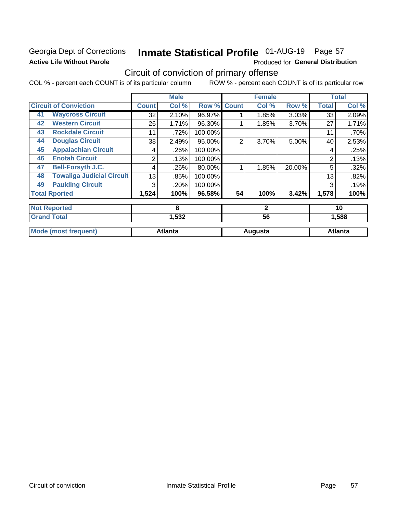### Georgia Dept of Corrections **Active Life Without Parole**

# Inmate Statistical Profile 01-AUG-19 Page 57

Produced for General Distribution

# Circuit of conviction of primary offense

COL % - percent each COUNT is of its particular column ROW % - percent each COUNT is of its particular row

|    |                                  |              | <b>Male</b>    |         |              | <b>Female</b> |        |                | <b>Total</b>   |
|----|----------------------------------|--------------|----------------|---------|--------------|---------------|--------|----------------|----------------|
|    | <b>Circuit of Conviction</b>     | <b>Count</b> | Col %          | Row %   | <b>Count</b> | Col %         | Row %  | <b>Total</b>   | Col %          |
| 41 | <b>Waycross Circuit</b>          | 32           | 2.10%          | 96.97%  |              | 1.85%         | 3.03%  | 33             | 2.09%          |
| 42 | <b>Western Circuit</b>           | 26           | 1.71%          | 96.30%  |              | 1.85%         | 3.70%  | 27             | 1.71%          |
| 43 | <b>Rockdale Circuit</b>          | 11           | .72%           | 100.00% |              |               |        | 11             | .70%           |
| 44 | <b>Douglas Circuit</b>           | 38           | 2.49%          | 95.00%  | 2            | 3.70%         | 5.00%  | 40             | 2.53%          |
| 45 | <b>Appalachian Circuit</b>       | 4            | .26%           | 100.00% |              |               |        | 4              | .25%           |
| 46 | <b>Enotah Circuit</b>            | 2            | .13%           | 100.00% |              |               |        | $\overline{2}$ | .13%           |
| 47 | <b>Bell-Forsyth J.C.</b>         | 4            | .26%           | 80.00%  |              | 1.85%         | 20.00% | 5              | .32%           |
| 48 | <b>Towaliga Judicial Circuit</b> | 13           | .85%           | 100.00% |              |               |        | 13             | .82%           |
| 49 | <b>Paulding Circuit</b>          | 3            | .20%           | 100.00% |              |               |        | 3              | .19%           |
|    | <b>Total Rported</b>             | 1,524        | 100%           | 96.58%  | 54           | 100%          | 3.42%  | 1,578          | 100%           |
|    | <b>Not Reported</b>              |              | 8              |         |              | $\mathbf{2}$  |        |                | 10             |
|    | <b>Grand Total</b>               |              | 56<br>1,532    |         |              | 1,588         |        |                |                |
|    | <b>Mode (most frequent)</b>      |              | <b>Atlanta</b> |         |              | Augusta       |        |                | <b>Atlanta</b> |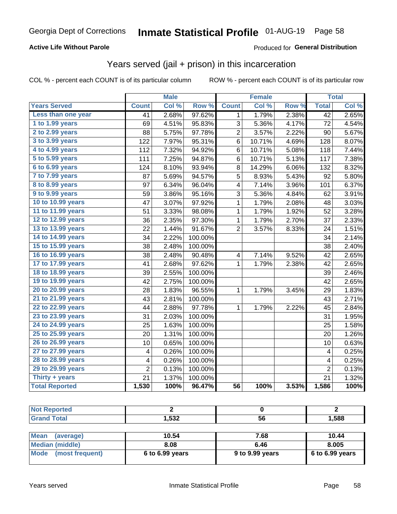#### **Active Life Without Parole**

#### Produced for General Distribution

### Years served (jail + prison) in this incarceration

COL % - percent each COUNT is of its particular column

|                       |                 | <b>Male</b> |         |                 | <b>Female</b> |       |                 | <b>Total</b> |
|-----------------------|-----------------|-------------|---------|-----------------|---------------|-------|-----------------|--------------|
| <b>Years Served</b>   | <b>Count</b>    | Col %       | Row %   | <b>Count</b>    | Col %         | Row % | <b>Total</b>    | Col %        |
| Less than one year    | 41              | 2.68%       | 97.62%  | 1               | 1.79%         | 2.38% | $\overline{42}$ | 2.65%        |
| 1 to 1.99 years       | 69              | 4.51%       | 95.83%  | 3               | 5.36%         | 4.17% | 72              | 4.54%        |
| 2 to 2.99 years       | 88              | 5.75%       | 97.78%  | 2               | 3.57%         | 2.22% | 90              | 5.67%        |
| 3 to 3.99 years       | 122             | 7.97%       | 95.31%  | 6               | 10.71%        | 4.69% | 128             | 8.07%        |
| 4 to 4.99 years       | 112             | 7.32%       | 94.92%  | 6               | 10.71%        | 5.08% | 118             | 7.44%        |
| 5 to 5.99 years       | 111             | 7.25%       | 94.87%  | 6               | 10.71%        | 5.13% | 117             | 7.38%        |
| 6 to 6.99 years       | 124             | 8.10%       | 93.94%  | 8               | 14.29%        | 6.06% | 132             | 8.32%        |
| 7 to 7.99 years       | 87              | 5.69%       | 94.57%  | 5               | 8.93%         | 5.43% | 92              | 5.80%        |
| 8 to 8.99 years       | 97              | 6.34%       | 96.04%  | 4               | 7.14%         | 3.96% | 101             | 6.37%        |
| 9 to 9.99 years       | 59              | 3.86%       | 95.16%  | 3               | 5.36%         | 4.84% | 62              | 3.91%        |
| 10 to 10.99 years     | 47              | 3.07%       | 97.92%  | 1               | 1.79%         | 2.08% | 48              | 3.03%        |
| 11 to 11.99 years     | 51              | 3.33%       | 98.08%  | 1               | 1.79%         | 1.92% | 52              | 3.28%        |
| 12 to 12.99 years     | 36              | 2.35%       | 97.30%  | 1               | 1.79%         | 2.70% | 37              | 2.33%        |
| 13 to 13.99 years     | 22              | 1.44%       | 91.67%  | 2               | 3.57%         | 8.33% | 24              | 1.51%        |
| 14 to 14.99 years     | 34              | 2.22%       | 100.00% |                 |               |       | 34              | 2.14%        |
| 15 to 15.99 years     | 38              | 2.48%       | 100.00% |                 |               |       | 38              | 2.40%        |
| 16 to 16.99 years     | 38              | 2.48%       | 90.48%  | 4               | 7.14%         | 9.52% | 42              | 2.65%        |
| 17 to 17.99 years     | 41              | 2.68%       | 97.62%  | 1               | 1.79%         | 2.38% | 42              | 2.65%        |
| 18 to 18.99 years     | 39              | 2.55%       | 100.00% |                 |               |       | 39              | 2.46%        |
| 19 to 19.99 years     | 42              | 2.75%       | 100.00% |                 |               |       | 42              | 2.65%        |
| 20 to 20.99 years     | 28              | 1.83%       | 96.55%  | 1               | 1.79%         | 3.45% | 29              | 1.83%        |
| 21 to 21.99 years     | 43              | 2.81%       | 100.00% |                 |               |       | 43              | 2.71%        |
| 22 to 22.99 years     | 44              | 2.88%       | 97.78%  | 1               | 1.79%         | 2.22% | 45              | 2.84%        |
| 23 to 23.99 years     | 31              | 2.03%       | 100.00% |                 |               |       | 31              | 1.95%        |
| 24 to 24.99 years     | 25              | 1.63%       | 100.00% |                 |               |       | 25              | 1.58%        |
| 25 to 25.99 years     | 20              | 1.31%       | 100.00% |                 |               |       | 20              | 1.26%        |
| 26 to 26.99 years     | 10              | 0.65%       | 100.00% |                 |               |       | 10              | 0.63%        |
| 27 to 27.99 years     | 4               | 0.26%       | 100.00% |                 |               |       | 4               | 0.25%        |
| 28 to 28.99 years     | 4               | 0.26%       | 100.00% |                 |               |       | 4               | 0.25%        |
| 29 to 29.99 years     | $\overline{2}$  | 0.13%       | 100.00% |                 |               |       | $\overline{2}$  | 0.13%        |
| Thirty + years        | $\overline{21}$ | 1.37%       | 100.00% |                 |               |       | 21              | 1.32%        |
| <b>Total Reported</b> | 1,530           | 100%        | 96.47%  | $\overline{56}$ | 100%          | 3.53% | 1,586           | 100%         |

| <b>EOO</b><br>אטטי | JU | 1,588 |
|--------------------|----|-------|

| <b>Mean</b><br>(average) | 10.54             | 7.68            | 10.44             |
|--------------------------|-------------------|-----------------|-------------------|
| Median (middle)          | 8.08              | 6.46            | 8.005             |
| Mode (most frequent)     | $6$ to 6.99 years | 9 to 9.99 years | $6$ to 6.99 years |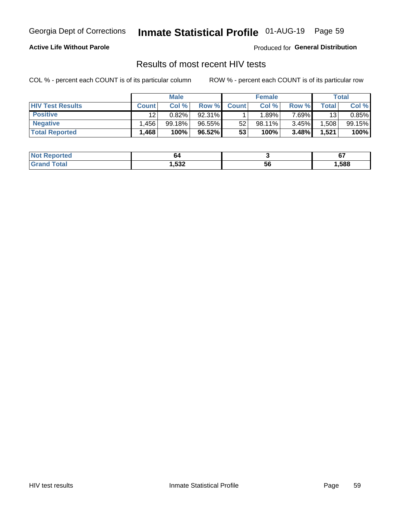# Inmate Statistical Profile 01-AUG-19 Page 59

#### **Active Life Without Parole**

Produced for General Distribution

### Results of most recent HIV tests

COL % - percent each COUNT is of its particular column

|                         | <b>Male</b>  |        |        | <b>Female</b> |           |          | Total |        |
|-------------------------|--------------|--------|--------|---------------|-----------|----------|-------|--------|
| <b>HIV Test Results</b> | <b>Count</b> | Col %  | Row %I | <b>Count</b>  | Col %     | Row %    | Total | Col %  |
| <b>Positive</b>         | 12           | 0.82%  | 92.31% |               | .89%      | 7.69%    | 13    | 0.85%  |
| <b>Negative</b>         | .456         | 99.18% | 96.55% | 52            | $98.11\%$ | $3.45\%$ | .508  | 99.15% |
| <b>Total Reported</b>   | .468         | 100%   | 96.52% | 53            | 100%      | 3.48%    | 1,521 | 100%   |

| <b>Not Reported</b> | o٤   |    | ^-<br>U I |
|---------------------|------|----|-----------|
| Total               | .532 | ວບ | ,588      |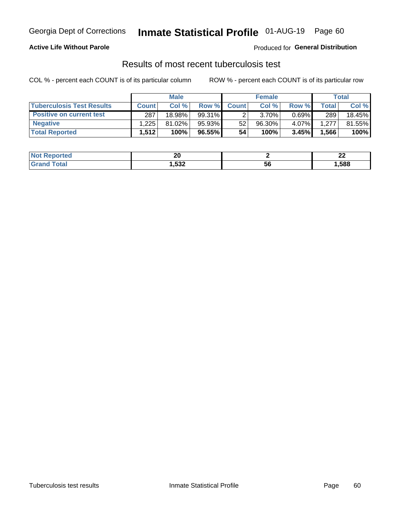# Georgia Dept of Corrections **Inmate Statistical Profile** 01-AUG-19 Page 60

#### **Active Life Without Parole**

Produced for **General Distribution**

### Results of most recent tuberculosis test

COL % - percent each COUNT is of its particular column ROW % - percent each COUNT is of its particular row

|                                  | <b>Male</b>  |           |        | <b>Female</b> |        |          | Total        |        |
|----------------------------------|--------------|-----------|--------|---------------|--------|----------|--------------|--------|
| <b>Tuberculosis Test Results</b> | <b>Count</b> | Col %     | Row %I | <b>Count</b>  | Col %  | Row %    | <b>Total</b> | Col %  |
| <b>Positive on current test</b>  | 287          | $18.98\%$ | 99.31% |               | 3.70%  | $0.69\%$ | 289          | 18.45% |
| <b>Negative</b>                  | 225. ا       | $81.02\%$ | 95.93% | 52            | 96.30% | $4.07\%$ | 1,277        | 81.55% |
| <b>Total Reported</b>            | 1,512        | 100%      | 96.55% | 54            | 100%   | 3.45%    | .566         | 100%   |

| <b>Not Reported</b> | nr<br>ZU |    | n,<br>-- |
|---------------------|----------|----|----------|
| `otal               | ,532     | วง | 588, ا   |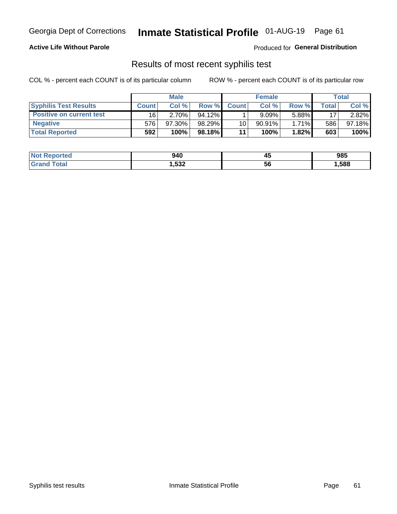# Georgia Dept of Corrections **Inmate Statistical Profile** 01-AUG-19 Page 61

#### **Active Life Without Parole**

Produced for **General Distribution**

### Results of most recent syphilis test

COL % - percent each COUNT is of its particular column ROW % - percent each COUNT is of its particular row

|                                 | <b>Male</b>  |           |           | <b>Female</b> |           |          | Total |        |
|---------------------------------|--------------|-----------|-----------|---------------|-----------|----------|-------|--------|
| <b>Syphilis Test Results</b>    | <b>Count</b> | Col%      | Row %I    | <b>Count</b>  | Col %     | Row %I   | Total | Col %  |
| <b>Positive on current test</b> | 16           | 2.70%     | $94.12\%$ |               | 9.09%     | 5.88%    | 17    | 2.82%  |
| <b>Negative</b>                 | 576          | $97.30\%$ | 98.29%    | 10            | $90.91\%$ | $1.71\%$ | 586   | 97.18% |
| <b>Total Reported</b>           | 592          | 100%      | 98.18%    | 11            | 100%      | $1.82\%$ | 603   | 100%   |

| <b>Not Reported</b> | 940  | −™ | 985  |
|---------------------|------|----|------|
| <b>Total</b>        | ,532 | ჂႩ | ,588 |